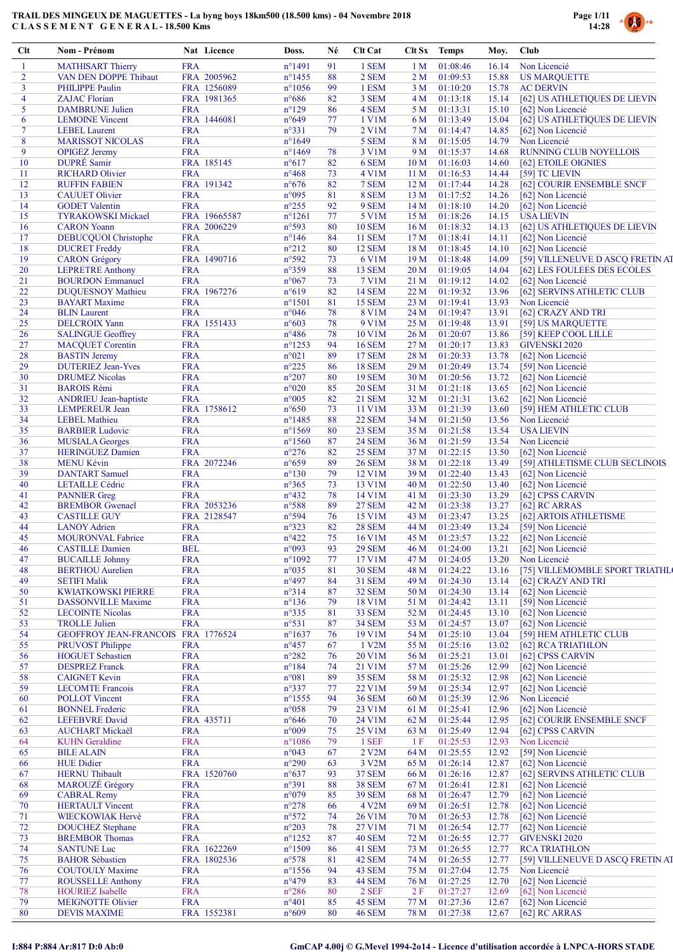

| Clt            | Nom - Prénom                                       |                          | Nat Licence  | Doss.                            | Né       | Clt Cat                        |                                    | Clt Sx Temps         | Moy.           | Club                                               |
|----------------|----------------------------------------------------|--------------------------|--------------|----------------------------------|----------|--------------------------------|------------------------------------|----------------------|----------------|----------------------------------------------------|
| 1              | <b>MATHISART Thierry</b>                           | <b>FRA</b>               |              | $n^{\circ}$ 1491                 | 91       | 1 SEM                          | 1 <sub>M</sub>                     | 01:08:46             | 16.14          | Non Licencié                                       |
| $\overline{2}$ | VAN DEN DOPPE Thibaut                              |                          | FRA 2005962  | $n^{\circ}$ 1455                 | 88       | 2 SEM                          | 2 <sub>M</sub>                     | 01:09:53             | 15.88          | <b>US MARQUETTE</b>                                |
| 3              | <b>PHILIPPE Paulin</b>                             |                          | FRA 1256089  | $n^{\circ}1056$                  | 99       | 1 ESM                          | 3 <sub>M</sub>                     | 01:10:20             | 15.78          | <b>AC DERVIN</b>                                   |
| 4              | <b>ZAJAC Florian</b>                               |                          | FRA 1981365  | $n^{\circ}686$                   | 82       | 3 SEM                          | 4 <sub>M</sub>                     | 01:13:18             | 15.14          | [62] US ATHLETIQUES DE LIEVIN                      |
| 5<br>6         | <b>DAMBRUNE Julien</b><br><b>LEMOINE</b> Vincent   | <b>FRA</b>               | FRA 1446081  | $n^{\circ}129$<br>$n^{\circ}649$ | 86<br>77 | 4 SEM<br>1 V1M                 | 5 M                                | 01:13:31<br>01:13:49 | 15.10<br>15.04 | [62] Non Licencié<br>[62] US ATHLETIQUES DE LIEVIN |
| $\overline{7}$ | <b>LEBEL</b> Laurent                               | <b>FRA</b>               |              | $n^{\circ}331$                   | 79       | 2 V1M                          | 6 M<br>7 M                         | 01:14:47             | 14.85          | [62] Non Licencié                                  |
| 8              | <b>MARISSOT NICOLAS</b>                            | <b>FRA</b>               |              | $n^{\circ}1649$                  |          | 5 SEM                          | 8 M                                | 01:15:05             | 14.79          | Non Licencié                                       |
| 9              | <b>OPIGEZ</b> Jeremy                               | <b>FRA</b>               |              | $n^{\circ}$ 1469                 | 78       | 3 V1M                          | 9 M                                | 01:15:37             | 14.68          | RUNNING CLUB NOYELLOIS                             |
| 10             | DUPRÉ Samir                                        |                          | FRA 185145   | $n^{\circ}617$                   | 82       | 6 SEM                          | 10 <sub>M</sub>                    | 01:16:03             | 14.60          | [62] ETOILE OIGNIES                                |
| 11             | <b>RICHARD Olivier</b>                             | <b>FRA</b>               |              | $n^{\circ}468$                   | 73       | 4 V1M                          | 11 <sub>M</sub>                    | 01:16:53             | 14.44          | [59] TC LIEVIN                                     |
| 12             | <b>RUFFIN FABIEN</b>                               |                          | FRA 191342   | $n^{\circ}676$                   | 82       | 7 SEM                          | 12 <sub>M</sub>                    | 01:17:44             | 14.28          | [62] COURIR ENSEMBLE SNCF                          |
| 13             | <b>CAUUET Olivier</b>                              | <b>FRA</b>               |              | $n^{\circ}095$                   | 81       | 8 SEM                          | 13 <sub>M</sub>                    | 01:17:52             | 14.26          | [62] Non Licencié                                  |
| 14             | <b>GODET</b> Valentin                              | <b>FRA</b>               |              | $n^{\circ}255$                   | 92       | 9 SEM                          | 14M                                | 01:18:10             | 14.20          | [62] Non Licencié                                  |
| 15             | <b>TYRAKOWSKI Mickael</b>                          |                          | FRA 19665587 | $n^{\circ}1261$                  | 77       | 5 V1M                          | 15 <sub>M</sub>                    | 01:18:26             | 14.15          | <b>USA LIEVIN</b>                                  |
| 16             | <b>CARON</b> Yoann                                 |                          | FRA 2006229  | $n^{\circ}593$                   | 80       | <b>10 SEM</b>                  | 16M                                | 01:18:32             | 14.13          | [62] US ATHLETIQUES DE LIEVIN                      |
| 17<br>18       | DEBUCQUOI Christophe<br><b>DUCRET Freddy</b>       | <b>FRA</b><br><b>FRA</b> |              | $n^{\circ}146$<br>$n^{\circ}212$ | 84<br>80 | <b>11 SEM</b><br><b>12 SEM</b> | 17 <sub>M</sub><br>18 <sub>M</sub> | 01:18:41<br>01:18:45 | 14.11<br>14.10 | [62] Non Licencié<br>[62] Non Licencié             |
| 19             | <b>CARON</b> Grégory                               |                          | FRA 1490716  | n°592                            | 73       | 6 V1M                          | 19 <sub>M</sub>                    | 01:18:48             | 14.09          | [59] VILLENEUVE D ASCQ FRETIN AT                   |
| 20             | <b>LEPRETRE Anthony</b>                            | <b>FRA</b>               |              | n°359                            | 88       | 13 SEM                         | 20 <sub>M</sub>                    | 01:19:05             | 14.04          | [62] LES FOULEES DES ECOLES                        |
| 21             | <b>BOURDON Emmanuel</b>                            | <b>FRA</b>               |              | $n^{\circ}067$                   | 73       | 7 V1M                          | 21 M                               | 01:19:12             | 14.02          | [62] Non Licencié                                  |
| 22             | <b>DUQUESNOY Mathieu</b>                           |                          | FRA 1967276  | $n^{\circ}619$                   | 82       | <b>14 SEM</b>                  | 22 M                               | 01:19:32             | 13.96          | [62] SERVINS ATHLETIC CLUB                         |
| 23             | <b>BAYART</b> Maxime                               | <b>FRA</b>               |              | $n^{\circ}1501$                  | 81       | <b>15 SEM</b>                  | 23 M                               | 01:19:41             | 13.93          | Non Licencié                                       |
| 24             | <b>BLIN</b> Laurent                                | <b>FRA</b>               |              | $n^{\circ}046$                   | 78       | 8 V1M                          | 24 M                               | 01:19:47             | 13.91          | [62] CRAZY AND TRI                                 |
| 25             | <b>DELCROIX Yann</b>                               |                          | FRA 1551433  | $n^{\circ}603$                   | 78       | 9 V1M                          | 25 M                               | 01:19:48             | 13.91          | [59] US MARQUETTE                                  |
| 26             | <b>SALINGUE Geoffrey</b>                           | <b>FRA</b>               |              | $n^{\circ}486$                   | 78       | 10 V1M                         | 26 <sub>M</sub>                    | 01:20:07             | 13.86          | [59] KEEP COOL LILLE                               |
| 27             | <b>MACQUET Corentin</b>                            | <b>FRA</b>               |              | $n^{\circ}$ 1253                 | 94       | <b>16 SEM</b>                  | 27 <sub>M</sub>                    | 01:20:17             | 13.83          | <b>GIVENSKI 2020</b>                               |
| 28             | <b>BASTIN</b> Jeremy                               | <b>FRA</b>               |              | $n^{\circ}021$                   | 89       | <b>17 SEM</b>                  | 28 M                               | 01:20:33             | 13.78          | [62] Non Licencié                                  |
| 29             | <b>DUTERIEZ Jean-Yves</b>                          | <b>FRA</b>               |              | $n^{\circ}225$                   | 86       | <b>18 SEM</b>                  | 29 M                               | 01:20:49             | 13.74          | [59] Non Licencié                                  |
| 30             | <b>DRUMEZ Nicolas</b>                              | <b>FRA</b>               |              | $n^{\circ}207$                   | 80       | <b>19 SEM</b>                  | 30 M                               | 01:20:56             | 13.72          | [62] Non Licencié                                  |
| 31<br>32       | <b>BAROIS Rémi</b><br><b>ANDRIEU</b> Jean-baptiste | <b>FRA</b><br><b>FRA</b> |              | $n^{\circ}020$<br>$n^{\circ}005$ | 85<br>82 | <b>20 SEM</b><br><b>21 SEM</b> | 31 M<br>32 M                       | 01:21:18<br>01:21:31 | 13.65<br>13.62 | [62] Non Licencié<br>[62] Non Licencié             |
| 33             | <b>LEMPEREUR Jean</b>                              |                          | FRA 1758612  | $n^{\circ}650$                   | 73       | 11 V1M                         | 33 M                               | 01:21:39             | 13.60          | [59] HEM ATHLETIC CLUB                             |
| 34             | <b>LEBEL</b> Mathieu                               | <b>FRA</b>               |              | $n^{\circ}$ 1485                 | 88       | <b>22 SEM</b>                  | 34 M                               | 01:21:50             | 13.56          | Non Licencié                                       |
| 35             | <b>BARBIER Ludovic</b>                             | <b>FRA</b>               |              | $n^{\circ}1569$                  | 80       | 23 SEM                         | 35 M                               | 01:21:58             | 13.54          | <b>USA LIEVIN</b>                                  |
| 36             | <b>MUSIALA Georges</b>                             | <b>FRA</b>               |              | $n^{\circ}1560$                  | 87       | <b>24 SEM</b>                  | 36 M                               | 01:21:59             | 13.54          | Non Licencié                                       |
| 37             | <b>HERINGUEZ Damien</b>                            | <b>FRA</b>               |              | $n^{\circ}276$                   | 82       | <b>25 SEM</b>                  | 37 M                               | 01:22:15             | 13.50          | [62] Non Licencié                                  |
| 38             | <b>MENU Kévin</b>                                  |                          | FRA 2072246  | $n^{\circ}659$                   | 89       | <b>26 SEM</b>                  | 38 M                               | 01:22:18             | 13.49          | [59] ATHLETISME CLUB SECLINOIS                     |
| 39             | <b>DANTART</b> Samuel                              | <b>FRA</b>               |              | $n^{\circ}130$                   | 79       | 12 V1M                         | 39 M                               | 01:22:40             | 13.43          | [62] Non Licencié                                  |
| 40             | <b>LETAILLE Cédric</b>                             | <b>FRA</b>               |              | $n^{\circ}365$                   | 73       | 13 V1M                         | 40 M                               | 01:22:50             | 13.40          | [62] Non Licencié                                  |
| 41             | <b>PANNIER</b> Greg                                | <b>FRA</b>               |              | $n^{\circ}432$                   | 78       | 14 V1M                         | 41 M                               | 01:23:30             | 13.29          | [62] CPSS CARVIN                                   |
| 42             | <b>BREMBOR</b> Gwenael                             |                          | FRA 2053236  | $n^{\circ}588$                   | 89       | <b>27 SEM</b>                  | 42 M                               | 01:23:38             | 13.27          | [62] RC ARRAS                                      |
| 43             | <b>CASTILLE GUY</b>                                |                          | FRA 2128547  | n°594                            | 76       | 15 V1M                         | 43 M                               | 01:23:47             | 13.25          | [62] ARTOIS ATHLETISME                             |
| 44             | <b>LANOY Adrien</b>                                | <b>FRA</b>               |              | $n^{\circ}323$                   | 82       | <b>28 SEM</b>                  | 44 M                               | 01:23:49             | 13.24          | [59] Non Licencié                                  |
| 45<br>46       | <b>MOURONVAL Fabrice</b>                           | <b>FRA</b>               |              | $n^{\circ}422$                   | 75       | 16 V1M                         | 45 M                               | 01:23:57             | 13.22          | [62] Non Licencié                                  |
| 47             | <b>CASTILLE Damien</b><br><b>BUCAILLE Johnny</b>   | <b>BEL</b><br><b>FRA</b> |              | n°093<br>n°1092                  | 93<br>77 | <b>29 SEM</b><br>17 V1M        | 46 M<br>47 M                       | 01:24:00<br>01:24:05 | 13.21<br>13.20 | [62] Non Licencié<br>Non Licencié                  |
| 48             | <b>BERTHOU</b> Aurelien                            | <b>FRA</b>               |              | $n^{\circ}035$                   | 81       | <b>30 SEM</b>                  | 48 M                               | 01:24:22             | 13.16          | [75] VILLEMOMBLE SPORT TRIATHL                     |
| 49             | <b>SETIFI Malik</b>                                | <b>FRA</b>               |              | $n^{\circ}497$                   | 84       | <b>31 SEM</b>                  | 49 M                               | 01:24:30             | 13.14          | [62] CRAZY AND TRI                                 |
| 50             | <b>KWIATKOWSKI PIERRE</b>                          | <b>FRA</b>               |              | n°314                            | 87       | <b>32 SEM</b>                  | 50 M                               | 01:24:30             | 13.14          | [62] Non Licencié                                  |
| 51             | <b>DASSONVILLE Maxime</b>                          | <b>FRA</b>               |              | $n^{\circ}136$                   | 79       | 18 V1M                         | 51 M                               | 01:24:42             | 13.11          | [59] Non Licencié                                  |
| 52             | <b>LECOINTE Nicolas</b>                            | <b>FRA</b>               |              | $n^{\circ}335$                   | 81       | 33 SEM                         | 52 M                               | 01:24:45             | 13.10          | [62] Non Licencié                                  |
| 53             | <b>TROLLE Julien</b>                               | <b>FRA</b>               |              | n°531                            | 87       | <b>34 SEM</b>                  | 53 M                               | 01:24:57             | 13.07          | [62] Non Licencié                                  |
| 54             | GEOFFROY JEAN-FRANCOIS FRA 1776524                 |                          |              | $n^{\circ}1637$                  | 76       | 19 V1M                         | 54 M                               | 01:25:10             | 13.04          | [59] HEM ATHLETIC CLUB                             |
| 55             | <b>PRUVOST Philippe</b>                            | <b>FRA</b>               |              | $n^{\circ}457$                   | 67       | 1 V2M                          | 55 M                               | 01:25:16             | 13.02          | [62] RCA TRIATHLON                                 |
| 56             | <b>HOGUET</b> Sebastien                            | <b>FRA</b>               |              | $n^{\circ}282$                   | 76       | 20 V1M                         | 56 M                               | 01:25:21             | 13.01          | [62] CPSS CARVIN                                   |
| 57             | <b>DESPREZ Franck</b>                              | <b>FRA</b>               |              | $n^{\circ}184$                   | 74       | 21 V1M                         | 57 M                               | 01:25:26             | 12.99          | [62] Non Licencié                                  |
| 58<br>59       | <b>CAIGNET Kevin</b><br><b>LECOMTE Francois</b>    | <b>FRA</b><br><b>FRA</b> |              | $n^{\circ}081$<br>n°337          | 89<br>77 | <b>35 SEM</b><br>22 V1M        | 58 M                               | 01:25:32<br>01:25:34 | 12.98<br>12.97 | [62] Non Licencié<br>[62] Non Licencié             |
| 60             | <b>POLLOT</b> Vincent                              | <b>FRA</b>               |              | $n^{\circ}$ 1555                 | 94       | <b>36 SEM</b>                  | 59 M<br>60 M                       | 01:25:39             | 12.96          | Non Licencié                                       |
| 61             | <b>BONNEL Frederic</b>                             | <b>FRA</b>               |              | $n^{\circ}058$                   | 79       | 23 V1M                         | 61 M                               | 01:25:41             | 12.96          | [62] Non Licencié                                  |
| 62             | <b>LEFEBVRE</b> David                              |                          | FRA 435711   | $n^{\circ}646$                   | 70       | 24 V1M                         | 62 M                               | 01:25:44             | 12.95          | [62] COURIR ENSEMBLE SNCF                          |
| 63             | <b>AUCHART Mickaël</b>                             | <b>FRA</b>               |              | n°009                            | 75       | 25 V1M                         | 63 M                               | 01:25:49             | 12.94          | [62] CPSS CARVIN                                   |
| 64             | <b>KUHN</b> Geraldine                              | <b>FRA</b>               |              | $n^{\circ}1086$                  | 79       | 1 SEF                          | -1 F                               | 01:25:53             | 12.93          | Non Licencié                                       |
| 65             | <b>BILE ALAIN</b>                                  | <b>FRA</b>               |              | $n^{\circ}043$                   | 67       | 2 V2M                          | 64 M                               | 01:25:55             | 12.92          | [59] Non Licencié                                  |
| 66             | <b>HUE Didier</b>                                  | <b>FRA</b>               |              | $n^{\circ}290$                   | 63       | 3 V2M                          | 65 M                               | 01:26:14             | 12.87          | [62] Non Licencié                                  |
| 67             | <b>HERNU</b> Thibault                              |                          | FRA 1520760  | $n^{\circ}637$                   | 93       | <b>37 SEM</b>                  | 66 M                               | 01:26:16             | 12.87          | [62] SERVINS ATHLETIC CLUB                         |
| 68             | MAROUZÉ Grégory                                    | <b>FRA</b>               |              | n°391                            | 88       | <b>38 SEM</b>                  | 67 M                               | 01:26:41             | 12.81          | [62] Non Licencié                                  |
| 69             | <b>CABRAL Remy</b>                                 | <b>FRA</b>               |              | $n^{\circ}079$                   | 85       | <b>39 SEM</b>                  | 68 M                               | 01:26:47             | 12.79          | [62] Non Licencié                                  |
| 70             | <b>HERTAULT Vincent</b><br>WIECKOWIAK Hervé        | <b>FRA</b><br><b>FRA</b> |              | $n^{\circ}278$<br>n°572          | 66       | 4 V <sub>2</sub> M<br>26 V1M   | 69 M                               | 01:26:51<br>01:26:53 | 12.78<br>12.78 | [62] Non Licencié<br>[62] Non Licencié             |
| 71<br>72       | <b>DOUCHEZ Stephane</b>                            | <b>FRA</b>               |              | $n^{\circ}203$                   | 74<br>78 | 27 V1M                         | 70 M<br>71 M                       | 01:26:54             | 12.77          | [62] Non Licencié                                  |
| 73             | <b>BREMBOR Thomas</b>                              | <b>FRA</b>               |              | $n^{\circ}$ 1252                 | 87       | 40 SEM                         | 72 M                               | 01:26:55             | 12.77          | <b>GIVENSKI 2020</b>                               |
| 74             | <b>SANTUNE Luc</b>                                 |                          | FRA 1622269  | $n^{\circ}1509$                  | 86       | 41 SEM                         | 73 M                               | 01:26:55             | 12.77          | <b>RCA TRIATHLON</b>                               |
| 75             | <b>BAHOR Sébastien</b>                             |                          | FRA 1802536  | $n^{\circ}578$                   | 81       | 42 SEM                         | 74 M                               | 01:26:55             | 12.77          | [59] VILLENEUVE D ASCQ FRETIN AT                   |
| 76             | <b>COUTOULY Maxime</b>                             | <b>FRA</b>               |              | $n^{\circ}$ 1556                 | 94       | 43 SEM                         | 75 M                               | 01:27:04             | 12.75          | Non Licencié                                       |
| 77             | <b>ROUSSELLE Anthony</b>                           | <b>FRA</b>               |              | $n^{\circ}479$                   | 83       | 44 SEM                         | 76 M                               | 01:27:25             | 12.70          | [62] Non Licencié                                  |
| 78             | <b>HOURIEZ</b> Isabelle                            | <b>FRA</b>               |              | $n^{\circ}286$                   | 80       | 2 SEF                          | 2F                                 | 01:27:27             | 12.69          | [62] Non Licencié                                  |
| 79             | <b>MEIGNOTTE Olivier</b>                           | <b>FRA</b>               |              | $n^{\circ}401$                   | 85       | 45 SEM                         | 77 M                               | 01:27:36             | 12.67          | [62] Non Licencié                                  |
| 80             | <b>DEVIS MAXIME</b>                                |                          | FRA 1552381  | $n^{\circ}609$                   | 80       | <b>46 SEM</b>                  | 78 M                               | 01:27:38             | 12.67          | [62] RC ARRAS                                      |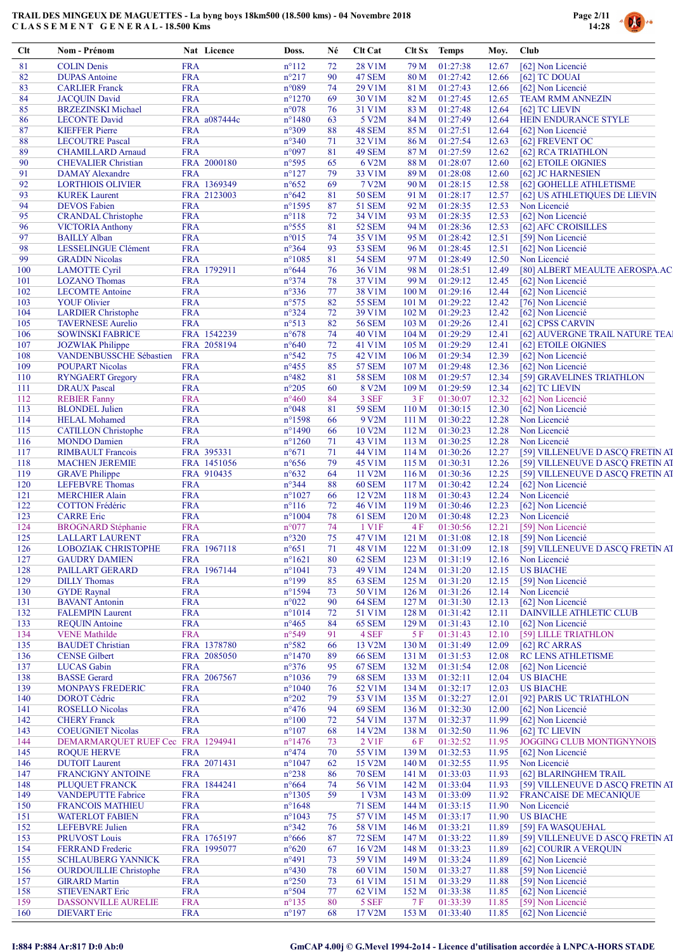

| Clt        | Nom - Prénom                                             |                          | Nat Licence                | Doss.                              | Né       | Clt Cat                        | Clt Sx                    | <b>Temps</b>               | Moy.           | Club                                                                 |
|------------|----------------------------------------------------------|--------------------------|----------------------------|------------------------------------|----------|--------------------------------|---------------------------|----------------------------|----------------|----------------------------------------------------------------------|
| 81         | <b>COLIN Denis</b>                                       | <b>FRA</b>               |                            | $n^{\circ}112$                     | 72       | 28 V1M                         | 79 M                      | 01:27:38                   | 12.67          | [62] Non Licencié                                                    |
| 82         | <b>DUPAS</b> Antoine                                     | <b>FRA</b>               |                            | $n^{\circ}217$                     | 90       | 47 SEM                         | 80 M                      | 01:27:42                   | 12.66          | [62] TC DOUAI                                                        |
| 83         | <b>CARLIER Franck</b>                                    | <b>FRA</b>               |                            | n°089                              | 74       | 29 V1M                         | 81 M                      | 01:27:43                   | 12.66          | [62] Non Licencié                                                    |
| 84<br>85   | <b>JACQUIN David</b><br><b>BRZEZINSKI Michael</b>        | <b>FRA</b><br><b>FRA</b> |                            | $n^{\circ}1270$<br>$n^{\circ}078$  | 69<br>76 | 30 V1M<br>31 V1M               | 82 M<br>83 M              | 01:27:45<br>01:27:48       | 12.65<br>12.64 | <b>TEAM RMM ANNEZIN</b><br>[62] TC LIEVIN                            |
| 86         | <b>LECONTE David</b>                                     |                          | FRA a087444c               | $n^{\circ}$ 1480                   | 63       | 5 V2M                          | 84 M                      | 01:27:49                   | 12.64          | HEIN ENDURANCE STYLE                                                 |
| 87         | <b>KIEFFER Pierre</b>                                    | <b>FRA</b>               |                            | $n^{\circ}309$                     | 88       | 48 SEM                         | 85 M                      | 01:27:51                   | 12.64          | [62] Non Licencié                                                    |
| 88         | <b>LECOUTRE Pascal</b>                                   | <b>FRA</b>               |                            | $n^{\circ}340$                     | 71       | 32 V1M                         | 86 M                      | 01:27:54                   | 12.63          | [62] FREVENT OC                                                      |
| 89         | <b>CHAMILLARD Arnaud</b>                                 | <b>FRA</b>               |                            | n°097                              | 81       | 49 SEM                         | 87 M                      | 01:27:59                   | 12.62          | [62] RCA TRIATHLON                                                   |
| 90<br>91   | <b>CHEVALIER Christian</b><br><b>DAMAY</b> Alexandre     | <b>FRA</b>               | FRA 2000180                | $n^{\circ}595$<br>$n^{\circ}127$   | 65<br>79 | 6 V2M<br>33 V1M                | 88 M<br>89 M              | 01:28:07<br>01:28:08       | 12.60<br>12.60 | [62] ETOILE OIGNIES<br>[62] JC HARNESIEN                             |
| 92         | <b>LORTHIOIS OLIVIER</b>                                 |                          | FRA 1369349                | $n^{\circ}652$                     | 69       | 7 V2M                          | 90 M                      | 01:28:15                   | 12.58          | [62] GOHELLE ATHLETISME                                              |
| 93         | <b>KUREK</b> Laurent                                     |                          | FRA 2123003                | $n^{\circ}642$                     | 81       | <b>50 SEM</b>                  | 91 M                      | 01:28:17                   | 12.57          | [62] US ATHLETIQUES DE LIEVIN                                        |
| 94         | <b>DEVOS</b> Fabien                                      | <b>FRA</b>               |                            | $n^{\circ}$ 1595                   | 87       | <b>51 SEM</b>                  | 92 M                      | 01:28:35                   | 12.53          | Non Licencié                                                         |
| 95         | <b>CRANDAL Christophe</b>                                | <b>FRA</b>               |                            | $n^{\circ}118$                     | 72       | 34 V1M                         | 93 M                      | 01:28:35                   | 12.53          | [62] Non Licencié                                                    |
| 96         | <b>VICTORIA Anthony</b>                                  | <b>FRA</b>               |                            | $n^{\circ}$ 555                    | 81       | <b>52 SEM</b>                  | 94 M                      | 01:28:36                   | 12.53          | [62] AFC CROISILLES                                                  |
| 97         | <b>BAILLY Alban</b>                                      | <b>FRA</b>               |                            | $n^{\circ}015$                     | 74       | 35 V1M                         | 95 M                      | 01:28:42                   | 12.51          | [59] Non Licencié                                                    |
| 98<br>99   | LESSELINGUE Clément<br><b>GRADIN Nicolas</b>             | <b>FRA</b><br><b>FRA</b> |                            | $n^{\circ}364$<br>$n^{\circ}1085$  | 93<br>81 | <b>53 SEM</b><br><b>54 SEM</b> | 96 M<br>97 M              | 01:28:45<br>01:28:49       | 12.51<br>12.50 | [62] Non Licencié<br>Non Licencié                                    |
| 100        | <b>LAMOTTE Cyril</b>                                     |                          | FRA 1792911                | $n^{\circ}644$                     | 76       | 36 V1M                         | 98 M                      | 01:28:51                   | 12.49          | [80] ALBERT MEAULTE AEROSPA.AC                                       |
| 101        | <b>LOZANO</b> Thomas                                     | <b>FRA</b>               |                            | $n^{\circ}374$                     | 78       | 37 V1M                         | 99 M                      | 01:29:12                   | 12.45          | [62] Non Licencié                                                    |
| 102        | <b>LECOMTE Antoine</b>                                   | <b>FRA</b>               |                            | $n^{\circ}336$                     | 77       | 38 V1M                         | 100 M                     | 01:29:16                   | 12.44          | [62] Non Licencié                                                    |
| 103        | <b>YOUF Olivier</b>                                      | <b>FRA</b>               |                            | $n^{\circ}575$                     | 82       | 55 SEM                         | 101 <sub>M</sub>          | 01:29:22                   | 12.42          | [76] Non Licencié                                                    |
| 104        | <b>LARDIER Christophe</b>                                | <b>FRA</b>               |                            | $n^{\circ}324$                     | 72       | 39 V1M                         | 102 <sub>M</sub>          | 01:29:23                   | 12.42          | [62] Non Licencié                                                    |
| 105        | <b>TAVERNESE Aurelio</b>                                 | <b>FRA</b>               |                            | n°513                              | 82       | <b>56 SEM</b>                  | 103 M                     | 01:29:26                   | 12.41          | [62] CPSS CARVIN                                                     |
| 106        | <b>SOWINSKI FABRICE</b>                                  |                          | FRA 1542239                | $n^{\circ}678$                     | 74       | 40 V1M                         | 104 M                     | 01:29:29                   | 12.41          | [62] AUVERGNE TRAIL NATURE TEA]                                      |
| 107        | <b>JOZWIAK Philippe</b>                                  |                          | FRA 2058194                | $n^{\circ}640$                     | 72       | 41 V1M                         | 105 M                     | 01:29:29                   | 12.41          | [62] ETOILE OIGNIES                                                  |
| 108<br>109 | VANDENBUSSCHE Sébastien<br><b>POUPART Nicolas</b>        | <b>FRA</b><br><b>FRA</b> |                            | $n^{\circ}542$<br>$n^{\circ}455$   | 75<br>85 | 42 V1M<br><b>57 SEM</b>        | 106 <sub>M</sub><br>107 M | 01:29:34<br>01:29:48       | 12.39<br>12.36 | [62] Non Licencié<br>[62] Non Licencié                               |
| 110        | <b>RYNGAERT Gregory</b>                                  | <b>FRA</b>               |                            | $n^{\circ}482$                     | 81       | <b>58 SEM</b>                  | 108 <sub>M</sub>          | 01:29:57                   | 12.34          | [59] GRAVELINES TRIATHLON                                            |
| 111        | <b>DRAUX</b> Pascal                                      | <b>FRA</b>               |                            | $n^{\circ}205$                     | 60       | 8 V2M                          | 109 M                     | 01:29:59                   | 12.34          | [62] TC LIEVIN                                                       |
| 112        | <b>REBIER Fanny</b>                                      | <b>FRA</b>               |                            | $n^{\circ}460$                     | 84       | 3 SEF                          | 3F                        | 01:30:07                   | 12.32          | [62] Non Licencié                                                    |
| 113        | <b>BLONDEL</b> Julien                                    | <b>FRA</b>               |                            | $n^{\circ}048$                     | 81       | <b>59 SEM</b>                  | 110 M                     | 01:30:15                   | 12.30          | [62] Non Licencié                                                    |
| 114        | <b>HELAL Mohamed</b>                                     | <b>FRA</b>               |                            | $n^{\circ}1598$                    | 66       | 9 V2M                          | 111 M                     | 01:30:22                   | 12.28          | Non Licencié                                                         |
| 115        | <b>CATILLON</b> Christophe                               | <b>FRA</b>               |                            | $n^{\circ}$ 1490                   | 66       | 10 V2M                         | 112M                      | 01:30:23                   | 12.28          | Non Licencié                                                         |
| 116        | <b>MONDO</b> Damien                                      | <b>FRA</b>               |                            | $n^{\circ}1260$                    | 71       | 43 V1M                         | 113M                      | 01:30:25                   | 12.28          | Non Licencié                                                         |
| 117<br>118 | <b>RIMBAULT</b> Francois<br><b>MACHEN JEREMIE</b>        |                          | FRA 395331<br>FRA 1451056  | $n^{\circ}671$<br>$n^{\circ}656$   | 71<br>79 | 44 V1M<br>45 V1M               | 114M<br>115 M             | 01:30:26<br>01:30:31       | 12.27<br>12.26 | [59] VILLENEUVE D ASCQ FRETIN AT<br>[59] VILLENEUVE D ASCQ FRETIN AT |
| 119        | <b>GRAVE Philippe</b>                                    |                          | FRA 910435                 | $n^{\circ}632$                     | 64       | 11 V2M                         | 116M                      | 01:30:36                   | 12.25          | [59] VILLENEUVE D ASCQ FRETIN AT                                     |
| 120        | <b>LEFEBVRE</b> Thomas                                   | <b>FRA</b>               |                            | n°344                              | 88       | <b>60 SEM</b>                  | 117 <sub>M</sub>          | 01:30:42                   | 12.24          | [62] Non Licencié                                                    |
| 121        | <b>MERCHIER Alain</b>                                    | <b>FRA</b>               |                            | $n^{\circ}1027$                    | 66       | 12 V2M                         | 118M                      | 01:30:43                   | 12.24          | Non Licencié                                                         |
| 122        | <b>COTTON Frédéric</b>                                   | <b>FRA</b>               |                            | $n^{\circ}116$                     | 72       | 46 V1M                         | 119M                      | 01:30:46                   | 12.23          | [62] Non Licencié                                                    |
| 123        | <b>CARRE</b> Eric                                        | <b>FRA</b>               |                            | $n^{\circ}1004$                    | 78       | 61 SEM                         | 120 <sub>M</sub>          | 01:30:48                   | 12.23          | Non Licencié                                                         |
| 124        | <b>BROGNARD</b> Stéphanie                                | <b>FRA</b>               |                            | $n^{\circ}077$                     | 74       | 1 V1F                          | 4F                        | 01:30:56                   | 12.21          | [59] Non Licencié                                                    |
| 125        | <b>LALLART LAURENT</b>                                   | <b>FRA</b>               |                            | $n^{\circ}320$                     | 75       | 47 V1M                         | 121 M                     | 01:31:08                   | 12.18          | [59] Non Licencié                                                    |
| 126<br>127 | <b>LOBOZIAK CHRISTOPHE</b><br><b>GAUDRY DAMIEN</b>       | <b>FRA</b>               | FRA 1967118                | $n^{\circ}651$<br>$n^{\circ}1621$  | 71<br>80 | 48 V1M<br>62 SEM               | 123M                      | 122 M 01:31:09<br>01:31:19 | 12.16          | 12.18 [59] VILLENEUVE D ASCQ FRETIN AT<br>Non Licencié               |
| 128        | PAILLART GERARD                                          |                          | FRA 1967144                | $n^{\circ}1041$                    | 73       | 49 V1M                         | 124M                      | 01:31:20                   | 12.15          | <b>US BIACHE</b>                                                     |
| 129        | <b>DILLY</b> Thomas                                      | <b>FRA</b>               |                            | $n^{\circ}199$                     | 85       | 63 SEM                         | 125 <sub>M</sub>          | 01:31:20                   | 12.15          | [59] Non Licencié                                                    |
| 130        | <b>GYDE</b> Raynal                                       | <b>FRA</b>               |                            | $n^{\circ}1594$                    | 73       | 50 V1M                         | 126 M                     | 01:31:26                   | 12.14          | Non Licencié                                                         |
| 131        | <b>BAVANT</b> Antonin                                    | <b>FRA</b>               |                            | $n^{\circ}022$                     | 90       | 64 SEM                         | 127 <sub>M</sub>          | 01:31:30                   | 12.13          | [62] Non Licencié                                                    |
| 132        | <b>FALEMPIN Laurent</b>                                  | <b>FRA</b>               |                            | $n^{\circ}1014$                    | 72       | 51 V1M                         | 128 M                     | 01:31:42                   | 12.11          | <b>DAINVILLE ATHLETIC CLUB</b>                                       |
| 133        | <b>REQUIN Antoine</b>                                    | <b>FRA</b>               |                            | $n^{\circ}465$                     | 84       | 65 SEM                         | 129 M                     | 01:31:43                   | 12.10          | [62] Non Licencié                                                    |
| 134        | <b>VENE</b> Mathilde                                     | <b>FRA</b>               |                            | $n^{\circ}549$                     | 91       | 4 SEF                          | 5F                        | 01:31:43                   | 12.10          | [59] LILLE TRIATHLON                                                 |
| 135        | <b>BAUDET</b> Christian<br><b>CENSE Gilbert</b>          |                          | FRA 1378780                | $n^{\circ}582$                     | 66       | 13 V2M<br><b>66 SEM</b>        | 130 M                     | 01:31:49                   | 12.09          | $[62]$ RC ARRAS<br>RC LENS ATHLETISME                                |
| 136<br>137 | <b>LUCAS</b> Gabin                                       | <b>FRA</b>               | FRA 2085050                | $n^{\circ}$ 1470<br>$n^{\circ}376$ | 89<br>95 | 67 SEM                         | 131 M<br>132 M            | 01:31:53<br>01:31:54       | 12.08<br>12.08 | [62] Non Licencié                                                    |
| 138        | <b>BASSE</b> Gerard                                      |                          | FRA 2067567                | $n^{\circ}1036$                    | 79       | <b>68 SEM</b>                  | 133 M                     | 01:32:11                   | 12.04          | <b>US BIACHE</b>                                                     |
| 139        | <b>MONPAYS FREDERIC</b>                                  | <b>FRA</b>               |                            | $n^{\circ}1040$                    | 76       | 52 V1M                         | 134 M                     | 01:32:17                   | 12.03          | <b>US BIACHE</b>                                                     |
| 140        | <b>DOROT</b> Cédric                                      | <b>FRA</b>               |                            | $n^{\circ}202$                     | 79       | 53 V1M                         | 135M                      | 01:32:27                   | 12.01          | [92] PARIS UC TRIATHLON                                              |
| 141        | <b>ROSELLO</b> Nicolas                                   | <b>FRA</b>               |                            | $n^{\circ}476$                     | 94       | <b>69 SEM</b>                  | 136M                      | 01:32:30                   | 12.00          | [62] Non Licencié                                                    |
| 142        | <b>CHERY</b> Franck                                      | <b>FRA</b>               |                            | $n^{\circ}100$                     | 72       | 54 V1M                         | 137 M                     | 01:32:37                   | 11.99          | [62] Non Licencié                                                    |
| 143        | <b>COEUGNIET Nicolas</b>                                 | <b>FRA</b>               |                            | $n^{\circ}107$                     | 68       | 14 V2M                         | 138 <sub>M</sub>          | 01:32:50                   | 11.96          | [62] TC LIEVIN                                                       |
| 144<br>145 | DEMARMARQUET RUEF Cec: FRA 1294941<br><b>ROQUE HERVE</b> | <b>FRA</b>               |                            | $n^{\circ}$ 1476<br>$n^{\circ}474$ | 73<br>70 | 2 V1F<br>55 V1M                | 6 F<br>139M               | 01:32:52<br>01:32:53       | 11.95<br>11.95 | JOGGING CLUB MONTIGNYNOIS<br>[62] Non Licencié                       |
| 146        | <b>DUTOIT</b> Laurent                                    |                          | FRA 2071431                | $n^{\circ}1047$                    | 62       | 15 V2M                         | 140 <sub>M</sub>          | 01:32:55                   | 11.95          | Non Licencié                                                         |
| 147        | <b>FRANCIGNY ANTOINE</b>                                 | <b>FRA</b>               |                            | $n^{\circ}238$                     | 86       | <b>70 SEM</b>                  | 141 M                     | 01:33:03                   | 11.93          | [62] BLARINGHEM TRAIL                                                |
| 148        | PLUQUET FRANCK                                           |                          | FRA 1844241                | $n^{\circ}664$                     | 74       | 56 V1M                         | 142 M                     | 01:33:04                   | 11.93          | [59] VILLENEUVE D ASCQ FRETIN AT                                     |
| 149        | <b>VANDEPUTTE Fabrice</b>                                | <b>FRA</b>               |                            | $n^{\circ}1305$                    | 59       | 1 V3M                          | 143 M                     | 01:33:09                   | 11.92          | <b>FRANCAISE DE MECANIQUE</b>                                        |
| 150        | <b>FRANCOIS MATHIEU</b>                                  | <b>FRA</b>               |                            | $n^{\circ}1648$                    |          | <b>71 SEM</b>                  | 144 M                     | 01:33:15                   | 11.90          | Non Licencié                                                         |
| 151        | <b>WATERLOT FABIEN</b>                                   | <b>FRA</b>               |                            | $n^{\circ}1043$                    | 75       | 57 V1M                         | 145 M                     | 01:33:17                   | 11.90          | <b>US BIACHE</b>                                                     |
| 152        | <b>LEFEBVRE</b> Julien                                   | <b>FRA</b>               |                            | $n^{\circ}342$                     | 76       | 58 V1M                         | 146M                      | 01:33:21                   | 11.89          | [59] FA WASQUEHAL                                                    |
| 153<br>154 | <b>PRUVOST Louis</b><br><b>FERRAND</b> Frederic          |                          | FRA 1765197<br>FRA 1995077 | $n^{\circ}666$<br>$n^{\circ}620$   | 87<br>67 | <b>72 SEM</b><br>16 V2M        | 147 M<br>148 M            | 01:33:22<br>01:33:23       | 11.89<br>11.89 | [59] VILLENEUVE D ASCQ FRETIN AT<br>[62] COURIR A VERQUIN            |
| 155        | <b>SCHLAUBERG YANNICK</b>                                | <b>FRA</b>               |                            | $n^{\circ}491$                     | 73       | 59 V1M                         | 149 M                     | 01:33:24                   | 11.89          | [62] Non Licencié                                                    |
| 156        | <b>OURDOUILLIE</b> Christophe                            | <b>FRA</b>               |                            | $n^{\circ}430$                     | 78       | 60 V1M                         | 150 M                     | 01:33:27                   | 11.88          | [59] Non Licencié                                                    |
| 157        | <b>GIRARD</b> Martin                                     | <b>FRA</b>               |                            | $n^{\circ}250$                     | 73       | 61 V1M                         | 151 M                     | 01:33:29                   | 11.88          | [59] Non Licencié                                                    |
| 158        | <b>STIEVENART Eric</b>                                   | <b>FRA</b>               |                            | $n^{\circ}504$                     | 77       | 62 V1M                         | 152 M                     | 01:33:38                   | 11.85          | [62] Non Licencié                                                    |
| 159        | DASSONVILLE AURELIE                                      | <b>FRA</b>               |                            | $n^{\circ}$ 135                    | 80       | 5 SEF                          | 7 F                       | 01:33:39                   | 11.85          | [59] Non Licencié                                                    |
| 160        | <b>DIEVART</b> Eric                                      | <b>FRA</b>               |                            | $n^{\circ}197$                     | 68       | 17 V <sub>2</sub> M            | 153 M                     | 01:33:40                   | 11.85          | [62] Non Licencié                                                    |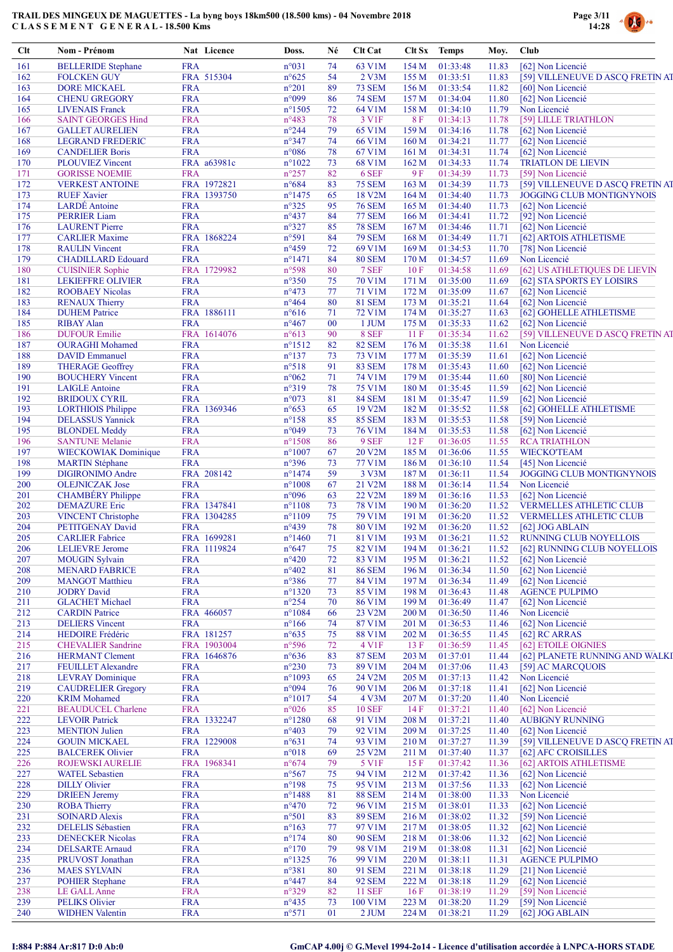

| $Cl$ t     | Nom - Prénom                                         | Nat Licence               | Doss.                              | Né       | Clt Cat                 | Clt Sx           | <b>Temps</b>         | Moy.           | <b>Club</b>                            |
|------------|------------------------------------------------------|---------------------------|------------------------------------|----------|-------------------------|------------------|----------------------|----------------|----------------------------------------|
| 161        | <b>BELLERIDE</b> Stephane                            | <b>FRA</b>                | n°031                              | 74       | 63 V1M                  | 154M             | 01:33:48             | 11.83          | [62] Non Licencié                      |
| 162        | <b>FOLCKEN GUY</b>                                   | FRA 515304                | $n^{\circ}625$                     | 54       | 2 V3M                   | 155 M            | 01:33:51             | 11.83          | [59] VILLENEUVE D ASCQ FRETIN AT       |
| 163        | <b>DORE MICKAEL</b>                                  | <b>FRA</b>                | $n^{\circ}201$                     | 89       | <b>73 SEM</b>           | 156M             | 01:33:54             | 11.82          | [60] Non Licencié                      |
| 164        | <b>CHENU GREGORY</b>                                 | <b>FRA</b>                | n°099                              | 86       | <b>74 SEM</b>           | 157 M            | 01:34:04             | 11.80          | [62] Non Licencié                      |
| 165        | <b>LIVENAIS</b> Franck                               | <b>FRA</b>                | $n^{\circ}1505$                    | 72       | 64 V1M                  | 158 M            | 01:34:10             | 11.79          | Non Licencié                           |
| 166        | <b>SAINT GEORGES Hind</b>                            | <b>FRA</b>                | $n^{\circ}483$                     | 78       | 3 V1F                   | 8F               | 01:34:13             | 11.78          | [59] LILLE TRIATHLON                   |
| 167        | <b>GALLET AURELIEN</b>                               | <b>FRA</b>                | $n^{\circ}244$                     | 79       | 65 V1M                  | 159 M            | 01:34:16             | 11.78          | [62] Non Licencié                      |
| 168        | <b>LEGRAND FREDERIC</b>                              | <b>FRA</b>                | $n^{\circ}347$                     | 74       | 66 V1M                  | 160 M            | 01:34:21             | 11.77          | [62] Non Licencié                      |
| 169        | <b>CANDELIER Boris</b>                               | <b>FRA</b>                | $n^{\circ}086$                     | 78       | 67 V1M                  | 161 <sub>M</sub> | 01:34:31             | 11.74          | [62] Non Licencié                      |
| 170        | <b>PLOUVIEZ Vincent</b>                              | FRA a63981c               | $n^{\circ}1022$                    | 73       | 68 V1M                  | 162 M            | 01:34:33             | 11.74          | <b>TRIATLON DE LIEVIN</b>              |
| 171        | <b>GORISSE NOEMIE</b>                                | <b>FRA</b>                | $n^{\circ}257$                     | 82       | 6 SEF                   | 9 F              | 01:34:39             | 11.73          | [59] Non Licencié                      |
| 172        | <b>VERKEST ANTOINE</b>                               | FRA 1972821               | $n^{\circ}684$<br>$n^{\circ}$ 1475 | 83       | <b>75 SEM</b>           | 163 M            | 01:34:39             | 11.73          | [59] VILLENEUVE D ASCQ FRETIN AT       |
| 173<br>174 | <b>RUEF Xavier</b><br>LARDÉ Antoine                  | FRA 1393750<br><b>FRA</b> | $n^{\circ}325$                     | 65<br>95 | 18 V2M<br><b>76 SEM</b> | 164M<br>165 M    | 01:34:40<br>01:34:40 | 11.73<br>11.73 | JOGGING CLUB MONTIGNYNOIS              |
| 175        | <b>PERRIER Liam</b>                                  | <b>FRA</b>                | $n^{\circ}437$                     | 84       | <b>77 SEM</b>           | 166 M            | 01:34:41             | 11.72          | [62] Non Licencié<br>[92] Non Licencié |
| 176        | <b>LAURENT</b> Pierre                                | <b>FRA</b>                | $n^{\circ}327$                     | 85       | <b>78 SEM</b>           | 167 <sub>M</sub> | 01:34:46             | 11.71          | [62] Non Licencié                      |
| 177        | <b>CARLIER Maxime</b>                                | FRA 1868224               | n°591                              | 84       | <b>79 SEM</b>           | 168 <sub>M</sub> | 01:34:49             | 11.71          | [62] ARTOIS ATHLETISME                 |
| 178        | <b>RAULIN</b> Vincent                                | <b>FRA</b>                | $n^{\circ}459$                     | 72       | 69 V1M                  | 169 <sub>M</sub> | 01:34:53             | 11.70          | [78] Non Licencié                      |
| 179        | <b>CHADILLARD Edouard</b>                            | <b>FRA</b>                | $n^{\circ}1471$                    | 84       | <b>80 SEM</b>           | 170 <sub>M</sub> | 01:34:57             | 11.69          | Non Licencié                           |
| 180        | <b>CUISINIER Sophie</b>                              | FRA 1729982               | n°598                              | 80       | 7 SEF                   | 10F              | 01:34:58             | 11.69          | [62] US ATHLETIQUES DE LIEVIN          |
| 181        | <b>LEKIEFFRE OLIVIER</b>                             | <b>FRA</b>                | $n^{\circ}350$                     | 75       | 70 V1M                  | 171 M            | 01:35:00             | 11.69          | [62] STA SPORTS EY LOISIRS             |
| 182        | <b>ROOBAEY Nicolas</b>                               | <b>FRA</b>                | $n^{\circ}473$                     | 77       | 71 V1M                  | 172 M            | 01:35:09             | 11.67          | [62] Non Licencié                      |
| 183        | <b>RENAUX Thierry</b>                                | <b>FRA</b>                | $n^{\circ}464$                     | 80       | <b>81 SEM</b>           | 173 M            | 01:35:21             | 11.64          | [62] Non Licencié                      |
| 184        | <b>DUHEM Patrice</b>                                 | FRA 1886111               | $n^{\circ}616$                     | 71       | 72 V1M                  | 174M             | 01:35:27             | 11.63          | [62] GOHELLE ATHLETISME                |
| 185        | <b>RIBAY Alan</b>                                    | <b>FRA</b>                | $n^{\circ}467$                     | 00       | 1 JUM                   | 175 M            | 01:35:33             | 11.62          | [62] Non Licencié                      |
| 186        | <b>DUFOUR Emilie</b>                                 | FRA 1614076               | $n^{\circ}613$                     | 90       | 8 SEF                   | 11F              | 01:35:34             | 11.62          | [59] VILLENEUVE D ASCQ FRETIN AT       |
| 187        | <b>OURAGHI</b> Mohamed                               | <b>FRA</b>                | $n^{\circ}1512$                    | 82       | <b>82 SEM</b>           | 176 M            | 01:35:38             | 11.61          | Non Licencié                           |
| 188        | <b>DAVID</b> Emmanuel                                | <b>FRA</b>                | $n^{\circ}137$                     | 73       | 73 V1M                  | 177 M            | 01:35:39             | 11.61          | [62] Non Licencié                      |
| 189        | <b>THERAGE Geoffrey</b>                              | <b>FRA</b>                | n°518                              | 91       | <b>83 SEM</b>           | 178 M            | 01:35:43             | 11.60          | [62] Non Licencié                      |
| 190        | <b>BOUCHERY Vincent</b>                              | <b>FRA</b>                | $n^{\circ}062$                     | 71       | 74 V1M                  | 179M             | 01:35:44             | 11.60          | [80] Non Licencié                      |
| 191        | <b>LAIGLE</b> Antoine                                | <b>FRA</b>                | n°319                              | 78       | <b>75 V1M</b>           | 180 M            | 01:35:45             | 11.59          | [62] Non Licencié                      |
| 192        | <b>BRIDOUX CYRIL</b>                                 | <b>FRA</b>                | n°073                              | 81       | <b>84 SEM</b>           | 181 M            | 01:35:47             | 11.59          | [62] Non Licencié                      |
| 193        | <b>LORTHIOIS Philippe</b>                            | FRA 1369346               | $n^{\circ}653$                     | 65       | 19 V2M                  | 182 M            | 01:35:52             | 11.58          | [62] GOHELLE ATHLETISME                |
| 194        | <b>DELASSUS</b> Yannick                              | <b>FRA</b>                | $n^{\circ}158$                     | 85       | <b>85 SEM</b>           | 183M             | 01:35:53             | 11.58          | [59] Non Licencié                      |
| 195        | <b>BLONDEL Meddy</b>                                 | <b>FRA</b>                | n°049                              | 73       | <b>76 V1M</b>           | 184 M            | 01:35:53             | 11.58          | [62] Non Licencié                      |
| 196        | <b>SANTUNE Melanie</b>                               | <b>FRA</b>                | $n^{\circ}1508$                    | 86       | 9 SEF                   | 12F              | 01:36:05             | 11.55          | <b>RCA TRIATHLON</b>                   |
| 197        | <b>WIECKOWIAK Dominique</b>                          | <b>FRA</b>                | $n^{\circ}1007$                    | 67       | 20 V <sub>2</sub> M     | 185 M            | 01:36:06             | 11.55          | <b>WIECKOTEAM</b>                      |
| 198        | <b>MARTIN Stéphane</b>                               | <b>FRA</b>                | $n^{\circ}396$                     | 73       | 77 V1M                  | 186 M            | 01:36:10             | 11.54          | [45] Non Licencié                      |
| 199        | <b>DIGIRONIMO Andre</b>                              | FRA 208142                | $n^{\circ}$ 1474                   | 59       | 3 V3M                   | 187 <sub>M</sub> | 01:36:11             | 11.54          | JOGGING CLUB MONTIGNYNOIS              |
| 200        | <b>OLEJNICZAK</b> Jose                               | <b>FRA</b>                | $n^{\circ}1008$                    | 67       | 21 V2M                  | 188 M            | 01:36:14             | 11.54          | Non Licencié                           |
| 201        | <b>CHAMBÉRY</b> Philippe                             | <b>FRA</b>                | n°096                              | 63       | 22 V2M                  | 189 M            | 01:36:16             | 11.53          | [62] Non Licencié                      |
| 202        | <b>DEMAZURE</b> Eric                                 | FRA 1347841               | $n^{\circ}1108$                    | 73       | <b>78 V1M</b>           | 190 <sub>M</sub> | 01:36:20             | 11.52          | VERMELLES ATHLETIC CLUB                |
| 203        | <b>VINCENT Christophe</b>                            | FRA 1304285               | $n^{\circ}1109$                    | 75       | 79 V1M                  | 191 M            | 01:36:20             | 11.52          | <b>VERMELLES ATHLETIC CLUB</b>         |
| 204        | PETITGENAY David                                     | <b>FRA</b>                | $n^{\circ}439$                     | 78       | 80 V1M                  | 192 M            | 01:36:20             | 11.52          | $[62]$ JOG ABLAIN                      |
| 205        | <b>CARLIER Fabrice</b>                               | FRA 1699281               | $n^{\circ}$ 1460                   | 71       | 81 V1M                  | 193 M            | 01:36:21             | 11.52          | <b>RUNNING CLUB NOYELLOIS</b>          |
| 206        | <b>LELIEVRE</b> Jerome                               | FRA 1119824               | $n^{\circ}647$                     | 75       | 82 V1M                  |                  | 194 M 01:36:21       | 11.52          | [62] RUNNING CLUB NOYELLOIS            |
| 207        | <b>MOUGIN Sylvain</b>                                | <b>FRA</b>                | $n^{\circ}420$                     | 72       | 83 V1M                  | 195 M            | 01:36:21             | 11.52          | [62] Non Licencié                      |
| 208        | <b>MENARD FABRICE</b>                                | <b>FRA</b>                | $n^{\circ}402$                     | 81       | <b>86 SEM</b>           | 196 M            | 01:36:34             | 11.50          | [62] Non Licencié                      |
| 209        | <b>MANGOT</b> Matthieu                               | <b>FRA</b>                | n°386                              | 77       | 84 V1M                  | 197 <sub>M</sub> | 01:36:34             | 11.49          | [62] Non Licencié                      |
| 210        | <b>JODRY David</b>                                   | <b>FRA</b>                | $n^{\circ}$ 1320                   | 73       | 85 V1M                  | 198 <sub>M</sub> | 01:36:43             | 11.48          | <b>AGENCE PULPIMO</b>                  |
| 211        | <b>GLACHET Michael</b>                               | <b>FRA</b>                | $n^{\circ}254$                     | 70       | 86 V1M                  | 199M             | 01:36:49             | 11.47          | [62] Non Licencié                      |
| 212        | <b>CARDIN Patrice</b>                                | FRA 466057                | $n^{\circ}1084$                    | 66       | 23 V2M                  | 200 M            | 01:36:50             | 11.46          | Non Licencié                           |
| 213        | <b>DELIERS</b> Vincent                               | <b>FRA</b>                | $n^{\circ}166$                     | 74       | 87 V1M                  | 201 M            | 01:36:53             | 11.46          | [62] Non Licencié                      |
| 214        | <b>HEDOIRE</b> Frédéric                              | FRA 181257                | $n^{\circ}635$                     | 75       | <b>88 V1M</b>           | 202 M            | 01:36:55             | 11.45          | [62] RC ARRAS                          |
| 215        | <b>CHEVALIER Sandrine</b>                            | FRA 1903004               | $n^{\circ}596$                     | 72       | 4 V1F                   | 13 F             | 01:36:59             | 11.45          | [62] ETOILE OIGNIES                    |
| 216        | <b>HERMANT Clement</b>                               | FRA 1646876               | $n^{\circ}636$                     | 83       | <b>87 SEM</b>           | 203 M            | 01:37:01             | 11.44          | [62] PLANETE RUNNING AND WALKI         |
| 217        | FEUILLET Alexandre                                   | <b>FRA</b>                | $n^{\circ}230$                     | 73       | 89 V1M                  | 204 M            | 01:37:06             | 11.43          | [59] AC MARCOUOIS                      |
| 218<br>219 | <b>LEVRAY Dominique</b><br><b>CAUDRELIER Gregory</b> | <b>FRA</b><br><b>FRA</b>  | $n^{\circ}1093$<br>$n^{\circ}094$  | 65       | 24 V2M<br>90 V1M        | 205 M            | 01:37:13<br>01:37:18 | 11.42          | Non Licencié<br>[62] Non Licencié      |
| 220        | <b>KRIM</b> Mohamed                                  | <b>FRA</b>                | $n^{\circ}1017$                    | 76<br>54 | 4 V3M                   | 206 M            | 01:37:20             | 11.41          | Non Licencié                           |
| 221        | <b>BEAUDUCEL Charlene</b>                            | <b>FRA</b>                | $n^{\circ}026$                     | 85       | <b>10 SEF</b>           | 207 M<br>14F     | 01:37:21             | 11.40<br>11.40 | [62] Non Licencié                      |
| 222        | <b>LEVOIR Patrick</b>                                | FRA 1332247               | $n^{\circ}1280$                    | 68       | 91 V1M                  | 208 M            | 01:37:21             | 11.40          | <b>AUBIGNY RUNNING</b>                 |
| 223        | <b>MENTION Julien</b>                                | <b>FRA</b>                | $n^{\circ}403$                     | 79       | 92 V1M                  | 209 <sub>M</sub> | 01:37:25             | 11.40          | [62] Non Licencié                      |
| 224        | <b>GOUIN MICKAEL</b>                                 | FRA 1229008               | $n^{\circ}631$                     | 74       | 93 V1M                  | 210 M            | 01:37:27             | 11.39          | [59] VILLENEUVE D ASCQ FRETIN AT       |
| 225        | <b>BALCEREK Olivier</b>                              | <b>FRA</b>                | $n^{\circ}018$                     | 69       | 25 V2M                  | 211 M            | 01:37:40             | 11.37          | [62] AFC CROISILLES                    |
| 226        | ROJEWSKI AURELIE                                     | FRA 1968341               | $n^{\circ}674$                     | 79       | 5 V1F                   | 15F              | 01:37:42             | 11.36          | [62] ARTOIS ATHLETISME                 |
| 227        | <b>WATEL Sebastien</b>                               | <b>FRA</b>                | $n^{\circ}567$                     | 75       | 94 V1M                  | 212 M            | 01:37:42             | 11.36          | [62] Non Licencié                      |
| 228        | <b>DILLY Olivier</b>                                 | <b>FRA</b>                | $n^{\circ}198$                     | 75       | 95 V1M                  | 213 M            | 01:37:56             | 11.33          | [62] Non Licencié                      |
| 229        | <b>DRIEEN</b> Jeremy                                 | <b>FRA</b>                | $n^{\circ}$ 1488                   | 81       | <b>88 SEM</b>           | 214 M            | 01:38:00             | 11.33          | Non Licencié                           |
| 230        | <b>ROBA Thierry</b>                                  | <b>FRA</b>                | $n^{\circ}470$                     | 72       | 96 V1M                  | 215 M            | 01:38:01             | 11.33          | [62] Non Licencié                      |
| 231        | <b>SOINARD Alexis</b>                                | <b>FRA</b>                | $n^{\circ}501$                     | 83       | <b>89 SEM</b>           | 216 M            | 01:38:02             | 11.32          | [59] Non Licencié                      |
| 232        | <b>DELELIS Sébastien</b>                             | <b>FRA</b>                | $n^{\circ}163$                     | 77       | 97 V1M                  | 217 M            | 01:38:05             | 11.32          | [62] Non Licencié                      |
| 233        | <b>DENECKER Nicolas</b>                              | <b>FRA</b>                | $n^{\circ}174$                     | 80       | <b>90 SEM</b>           | 218 M            | 01:38:06             | 11.32          | [62] Non Licencié                      |
| 234        | <b>DELSARTE Arnaud</b>                               | <b>FRA</b>                | $n^{\circ}170$                     | 79       | 98 V1M                  | 219 M            | 01:38:08             | 11.31          | [62] Non Licencié                      |
| 235        | PRUVOST Jonathan                                     | <b>FRA</b>                | $n^{\circ}$ 1325                   | 76       | 99 V1M                  | 220 M            | 01:38:11             | 11.31          | <b>AGENCE PULPIMO</b>                  |
| 236        | <b>MAES SYLVAIN</b>                                  | <b>FRA</b>                | n°381                              | 80       | 91 SEM                  | 221 M            | 01:38:18             | 11.29          | [21] Non Licencié                      |
| 237        | <b>POHIER Stephane</b>                               | <b>FRA</b>                | $n^{\circ}447$                     | 84       | <b>92 SEM</b>           | 222 M            | 01:38:18             | 11.29          | [62] Non Licencié                      |
| 238        | LE GALL Anne                                         | <b>FRA</b>                | $n^{\circ}329$                     | 82       | <b>11 SEF</b>           | 16F              | 01:38:19             | 11.29          | [59] Non Licencié                      |
| 239        | <b>PELIKS Olivier</b>                                | <b>FRA</b>                | $n^{\circ}435$                     | 73       | 100 V1M                 | 223 M            | 01:38:20             | 11.29          | [59] Non Licencié                      |
| 240        | <b>WIDHEN Valentin</b>                               | <b>FRA</b>                | $n^{\circ}571$                     | 01       | $2$ JUM                 | 224 M            | 01:38:21             | 11.29          | [62] JOG ABLAIN                        |
|            |                                                      |                           |                                    |          |                         |                  |                      |                |                                        |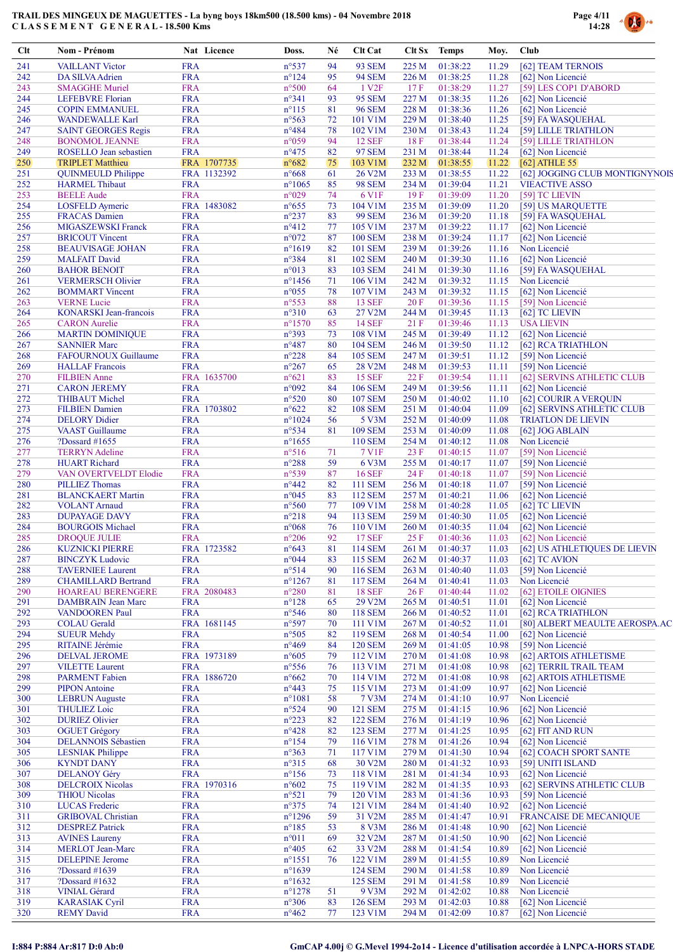

| Clt        | Nom - Prénom                                       | Nat Licence               | Doss.                              | Né       | <b>Clt Cat</b>                   | <b>Clt Sx</b>  | <b>Temps</b>         | Moy.           | Club                                    |
|------------|----------------------------------------------------|---------------------------|------------------------------------|----------|----------------------------------|----------------|----------------------|----------------|-----------------------------------------|
| 241        | <b>VAILLANT Victor</b>                             | <b>FRA</b>                | $n^{\circ}537$                     | 94       | <b>93 SEM</b>                    | 225 M          | 01:38:22             | 11.29          | [62] TEAM TERNOIS                       |
| 242        | DA SILVA Adrien                                    | <b>FRA</b>                | $n^{\circ}124$                     | 95       | <b>94 SEM</b>                    | 226 M          | 01:38:25             | 11.28          | [62] Non Licencié                       |
| 243        | <b>SMAGGHE Muriel</b>                              | <b>FRA</b>                | n°500                              | 64       | 1 V <sub>2F</sub>                | 17F            | 01:38:29             | 11.27          | [59] LES COP1 D'ABORD                   |
| 244        | <b>LEFEBVRE</b> Florian                            | <b>FRA</b>                | $n^{\circ}341$                     | 93       | <b>95 SEM</b>                    | 227 M          | 01:38:35             | 11.26          | [62] Non Licencié                       |
| 245<br>246 | <b>COPIN EMMANUEL</b><br><b>WANDEWALLE Karl</b>    | <b>FRA</b><br><b>FRA</b>  | $n^{\circ}115$<br>$n^{\circ}$ 563  | 81<br>72 | <b>96 SEM</b><br>101 V1M         | 228 M<br>229 M | 01:38:36<br>01:38:40 | 11.26<br>11.25 | [62] Non Licencié<br>[59] FA WASQUEHAL  |
| 247        | <b>SAINT GEORGES Regis</b>                         | <b>FRA</b>                | $n^{\circ}484$                     | 78       | 102 V1M                          | 230 M          | 01:38:43             | 11.24          | [59] LILLE TRIATHLON                    |
| 248        | <b>BONOMOL JEANNE</b>                              | <b>FRA</b>                | n°059                              | 94       | <b>12 SEF</b>                    | 18F            | 01:38:44             | 11.24          | [59] LILLE TRIATHLON                    |
| 249        | ROSELLO Jean sebastien                             | <b>FRA</b>                | $n^{\circ}475$                     | 82       | <b>97 SEM</b>                    | 231 M          | 01:38:44             | 11.24          | [62] Non Licencié                       |
| 250        | <b>TRIPLET Matthieu</b>                            | FRA 1707735               | $n^{\circ}682$                     | 75       | 103 V1M                          | 232 M          | 01:38:55             | 11.22          | $[62]$ ATHLE 55                         |
| 251        | <b>QUINMEULD Philippe</b>                          | FRA 1132392               | $n^{\circ}668$                     | 61       | 26 V2M                           | 233 M          | 01:38:55             | 11.22          | [62] JOGGING CLUB MONTIGNYNOIS          |
| 252        | <b>HARMEL Thibaut</b>                              | <b>FRA</b>                | $n^{\circ}1065$                    | 85       | <b>98 SEM</b>                    | 234 M          | 01:39:04             | 11.21          | <b>VIEACTIVE ASSO</b>                   |
| 253        | <b>BEELE</b> Aude                                  | <b>FRA</b>                | n°029                              | 74       | 6 V1F                            | 19F            | 01:39:09<br>01:39:09 | 11.20          | [59] TC LIEVIN                          |
| 254<br>255 | <b>LOSFELD</b> Aymeric<br><b>FRACAS</b> Damien     | FRA 1483082<br><b>FRA</b> | $n^{\circ}655$<br>$n^{\circ}237$   | 73<br>83 | 104 V1M<br><b>99 SEM</b>         | 235 M<br>236 M | 01:39:20             | 11.20<br>11.18 | [59] US MARQUETTE<br>[59] FA WASQUEHAL  |
| 256        | <b>MIGASZEWSKI Franck</b>                          | <b>FRA</b>                | $n^{\circ}412$                     | 77       | 105 V1M                          | 237 M          | 01:39:22             | 11.17          | [62] Non Licencié                       |
| 257        | <b>BRICOUT Vincent</b>                             | <b>FRA</b>                | $n^{\circ}072$                     | 87       | <b>100 SEM</b>                   | 238 M          | 01:39:24             | 11.17          | [62] Non Licencié                       |
| 258        | <b>BEAUVISAGE JOHAN</b>                            | <b>FRA</b>                | $n^{\circ}1619$                    | 82       | <b>101 SEM</b>                   | 239 M          | 01:39:26             | 11.16          | Non Licencié                            |
| 259        | <b>MALFAIT David</b>                               | <b>FRA</b>                | n°384                              | 81       | <b>102 SEM</b>                   | 240 M          | 01:39:30             | 11.16          | [62] Non Licencié                       |
| 260        | <b>BAHOR BENOIT</b>                                | <b>FRA</b>                | n°013                              | 83       | <b>103 SEM</b>                   | 241 M          | 01:39:30             | 11.16          | [59] FA WASQUEHAL                       |
| 261        | <b>VERMERSCH Olivier</b>                           | <b>FRA</b>                | $n^{\circ}$ 1456                   | 71       | 106 V1M                          | 242 M          | 01:39:32             | 11.15          | Non Licencié                            |
| 262        | <b>BOMMART</b> Vincent                             | <b>FRA</b>                | n°055                              | 78       | 107 V1M                          | 243 M          | 01:39:32             | 11.15          | [62] Non Licencié                       |
| 263        | <b>VERNE</b> Lucie                                 | <b>FRA</b>                | n°553                              | 88       | <b>13 SEF</b>                    | 20F            | 01:39:36             | 11.15          | [59] Non Licencié                       |
| 264        | <b>KONARSKI</b> Jean-francois                      | <b>FRA</b>                | $n^{\circ}310$                     | 63       | 27 V2M                           | 244 M          | 01:39:45             | 11.13          | [62] TC LIEVIN                          |
| 265        | <b>CARON</b> Aurelie                               | <b>FRA</b>                | $n^{\circ}1570$                    | 85       | <b>14 SEF</b>                    | 21F            | 01:39:46             | 11.13          | <b>USA LIEVIN</b>                       |
| 266<br>267 | <b>MARTIN DOMINIQUE</b><br><b>SANNIER Marc</b>     | <b>FRA</b><br><b>FRA</b>  | n°393<br>$n^{\circ}487$            | 73<br>80 | 108 V1M<br><b>104 SEM</b>        | 245 M<br>246 M | 01:39:49<br>01:39:50 | 11.12<br>11.12 | [62] Non Licencié<br>[62] RCA TRIATHLON |
| 268        | <b>FAFOURNOUX Guillaume</b>                        | <b>FRA</b>                | $n^{\circ}228$                     | 84       | <b>105 SEM</b>                   | 247 M          | 01:39:51             | 11.12          | [59] Non Licencié                       |
| 269        | <b>HALLAF</b> Francois                             | <b>FRA</b>                | $n^{\circ}267$                     | 65       | 28 V2M                           | 248 M          | 01:39:53             | 11.11          | [59] Non Licencié                       |
| 270        | <b>FILBIEN</b> Anne                                | FRA 1635700               | $n^{\circ}621$                     | 83       | <b>15 SEF</b>                    | 22F            | 01:39:54             | 11.11          | [62] SERVINS ATHLETIC CLUB              |
| 271        | <b>CARON JEREMY</b>                                | <b>FRA</b>                | n°092                              | 84       | <b>106 SEM</b>                   | 249 M          | 01:39:56             | 11.11          | [62] Non Licencié                       |
| 272        | <b>THIBAUT Michel</b>                              | <b>FRA</b>                | $n^{\circ}520$                     | 80       | <b>107 SEM</b>                   | 250 M          | 01:40:02             | 11.10          | [62] COURIR A VERQUIN                   |
| 273        | <b>FILBIEN Damien</b>                              | FRA 1703802               | $n^{\circ}622$                     | 82       | <b>108 SEM</b>                   | 251 M          | 01:40:04             | 11.09          | [62] SERVINS ATHLETIC CLUB              |
| 274        | <b>DELORY</b> Didier                               | <b>FRA</b>                | $n^{\circ}1024$                    | 56       | 5 V3M                            | 252 M          | 01:40:09             | 11.08          | <b>TRIATLON DE LIEVIN</b>               |
| 275        | <b>VAAST</b> Guillaume                             | <b>FRA</b>                | $n^{\circ}534$                     | 81       | <b>109 SEM</b>                   | 253 M          | 01:40:09             | 11.08          | [62] JOG ABLAIN                         |
| 276        | ?Dossard $\#1655$                                  | <b>FRA</b>                | $n^{\circ}1655$                    |          | <b>110 SEM</b>                   | 254 M          | 01:40:12             | 11.08          | Non Licencié                            |
| 277        | <b>TERRYN</b> Adeline                              | <b>FRA</b>                | $n^{\circ}516$                     | 71       | 7 V1F                            | 23 F           | 01:40:15             | 11.07          | [59] Non Licencié                       |
| 278        | <b>HUART Richard</b>                               | <b>FRA</b>                | n°288                              | 59       | 6 V3M                            | 255 M          | 01:40:17             | 11.07          | [59] Non Licencié                       |
| 279<br>280 | VAN OVERTVELDT Elodie<br><b>PILLIEZ Thomas</b>     | <b>FRA</b><br><b>FRA</b>  | n°539<br>$n^{\circ}442$            | 87<br>82 | <b>16 SEF</b><br>111 SEM         | 24 F<br>256 M  | 01:40:18<br>01:40:18 | 11.07<br>11.07 | [59] Non Licencié<br>[59] Non Licencié  |
| 281        | <b>BLANCKAERT Martin</b>                           | <b>FRA</b>                | n°045                              | 83       | <b>112 SEM</b>                   | 257 M          | 01:40:21             | 11.06          | [62] Non Licencié                       |
| 282        | <b>VOLANT</b> Arnaud                               | <b>FRA</b>                | $n^{\circ}560$                     | 77       | 109 V1M                          | 258 M          | 01:40:28             | 11.05          | [62] TC LIEVIN                          |
| 283        | <b>DUPAYAGE DAVY</b>                               | <b>FRA</b>                | $n^{\circ}218$                     | 94       | 113 SEM                          | 259 M          | 01:40:30             | 11.05          | [62] Non Licencié                       |
| 284        | <b>BOURGOIS Michael</b>                            | <b>FRA</b>                | $n^{\circ}068$                     | 76       | 110 V1M                          | 260 M          | 01:40:35             | 11.04          | [62] Non Licencié                       |
| 285        | <b>DROQUE JULIE</b>                                | <b>FRA</b>                | $n^{\circ}206$                     | 92       | <b>17 SEF</b>                    | 25 F           | 01:40:36             | 11.03          | [62] Non Licencié                       |
| 286        | <b>KUZNICKI PIERRE</b>                             | FRA 1723582               | $n^{\circ}643$                     | 81       | 114 SEM                          |                | 261 M 01:40:37       |                | 11.03 [62] US ATHLETIQUES DE LIEVIN     |
| 287        | <b>BINCZYK</b> Ludovic                             | <b>FRA</b>                | $n^{\circ}044$                     | 83       | 115 SEM                          | 262 M          | 01:40:37             | 11.03          | [62] TC AVION                           |
| 288        | <b>TAVERNIEE Laurent</b>                           | <b>FRA</b>                | $n^{\circ}514$                     | 90       | <b>116 SEM</b>                   | 263 M          | 01:40:40             | 11.03          | [59] Non Licencié                       |
| 289        | <b>CHAMILLARD Bertrand</b>                         | <b>FRA</b>                | $n^{\circ}$ 1267                   | 81       | <b>117 SEM</b>                   | 264 M          | 01:40:41             | 11.03          | Non Licencié                            |
| 290        | <b>HOAREAU BERENGERE</b>                           | FRA 2080483               | $n^{\circ}280$                     | 81       | <b>18 SEF</b>                    | 26F            | 01:40:44             | 11.02          | [62] ETOILE OIGNIES                     |
| 291<br>292 | <b>DAMBRAIN</b> Jean Marc<br><b>VANDOOREN Paul</b> | <b>FRA</b><br><b>FRA</b>  | $n^{\circ}128$<br>$n^{\circ}546$   | 65       | 29 V2M                           | 265 M          | 01:40:51<br>01:40:52 | 11.01          | [62] Non Licencié<br>[62] RCA TRIATHLON |
| 293        | <b>COLAU</b> Gerald                                | FRA 1681145               | n°597                              | 80<br>70 | 118 SEM<br>111 V1M               | 266 M<br>267 M | 01:40:52             | 11.01<br>11.01 | [80] ALBERT MEAULTE AEROSPA.AC          |
| 294        | <b>SUEUR Mehdy</b>                                 | <b>FRA</b>                | $n^{\circ}505$                     | 82       | 119 SEM                          | 268 M          | 01:40:54             | 11.00          | [62] Non Licencié                       |
| 295        | RITAINE Jérémie                                    | <b>FRA</b>                | $n^{\circ}469$                     | 84       | <b>120 SEM</b>                   | 269 M          | 01:41:05             | 10.98          | [59] Non Licencié                       |
| 296        | <b>DELVAL JEROME</b>                               | FRA 1973189               | $n^{\circ}605$                     | 79       | 112 V1M                          | 270 M          | 01:41:08             | 10.98          | [62] ARTOIS ATHLETISME                  |
| 297        | <b>VILETTE Laurent</b>                             | <b>FRA</b>                | $n^{\circ}$ 556                    | 76       | 113 V1M                          | 271 M          | 01:41:08             | 10.98          | [62] TERRIL TRAIL TEAM                  |
| 298        | <b>PARMENT</b> Fabien                              | FRA 1886720               | $n^{\circ}662$                     | 70       | 114 V1M                          | 272 M          | 01:41:08             | 10.98          | [62] ARTOIS ATHLETISME                  |
| 299        | <b>PIPON</b> Antoine                               | <b>FRA</b>                | $n^{\circ}443$                     | 75       | 115 V1M                          | 273 M          | 01:41:09             | 10.97          | [62] Non Licencié                       |
| 300        | <b>LEBRUN</b> Auguste                              | <b>FRA</b>                | $n^{\circ}1081$                    | 58       | 7 V3M                            | 274 M          | 01:41:10             | 10.97          | Non Licencié                            |
| 301        | <b>THULIEZ Loic</b>                                | <b>FRA</b>                | $n^{\circ}524$                     | 90       | 121 SEM                          | 275 M          | 01:41:15             | 10.96          | [62] Non Licencié                       |
| 302        | <b>DURIEZ Olivier</b>                              | <b>FRA</b>                | $n^{\circ}223$                     | 82       | <b>122 SEM</b>                   | 276 M          | 01:41:19             | 10.96          | [62] Non Licencié                       |
| 303<br>304 | <b>OGUET</b> Grégory<br><b>DELANNOIS Sébastien</b> | <b>FRA</b><br><b>FRA</b>  | $n^{\circ}428$<br>$n^{\circ}154$   | 82       | <b>123 SEM</b><br>116 V1M        | 277 M          | 01:41:25<br>01:41:26 | 10.95<br>10.94 | [62] FIT AND RUN<br>[62] Non Licencié   |
| 305        | <b>LESNIAK Philippe</b>                            | <b>FRA</b>                | n°363                              | 79<br>71 | 117 V1M                          | 278 M<br>279 M | 01:41:30             | 10.94          | [62] COACH SPORT SANTE                  |
| 306        | <b>KYNDT DANY</b>                                  | <b>FRA</b>                | $n^{\circ}315$                     | 68       | 30 V2M                           | 280 M          | 01:41:32             | 10.93          | [59] UNITI ISLAND                       |
| 307        | <b>DELANOY Géry</b>                                | <b>FRA</b>                | $n^{\circ}156$                     | 73       | 118 V1M                          | 281 M          | 01:41:34             | 10.93          | [62] Non Licencié                       |
| 308        | <b>DELCROIX Nicolas</b>                            | FRA 1970316               | $n^{\circ}602$                     | 75       | 119 V1M                          | 282 M          | 01:41:35             | 10.93          | [62] SERVINS ATHLETIC CLUB              |
| 309        | <b>THIOU Nicolas</b>                               | <b>FRA</b>                | $n^{\circ}521$                     | 79       | 120 V1M                          | 283 M          | 01:41:36             | 10.93          | [59] Non Licencié                       |
| 310        | <b>LUCAS</b> Frederic                              | <b>FRA</b>                | $n^{\circ}375$                     | 74       | 121 V1M                          | 284 M          | 01:41:40             | 10.92          | [62] Non Licencié                       |
| 311        | <b>GRIBOVAL Christian</b>                          | <b>FRA</b>                | $n^{\circ}$ 1296                   | 59       | 31 V2M                           | 285 M          | 01:41:47             | 10.91          | <b>FRANCAISE DE MECANIQUE</b>           |
| 312        | <b>DESPREZ Patrick</b>                             | <b>FRA</b>                | $n^{\circ}185$                     | 53       | 8 V3M                            | 286 M          | 01:41:48             | 10.90          | [62] Non Licencié                       |
| 313        | <b>AVINES Laureny</b>                              | <b>FRA</b>                | $n^{\circ}011$                     | 69       | 32 V2M                           | 287 M          | 01:41:50             | 10.90          | [62] Non Licencié                       |
| 314        | <b>MERLOT</b> Jean-Marc                            | <b>FRA</b>                | $n^{\circ}405$                     | 62       | 33 V2M                           | 288 M          | 01:41:54             | 10.89          | [62] Non Licencié                       |
| 315        | <b>DELEPINE Jerome</b>                             | <b>FRA</b>                | $n^{\circ}1551$                    | 76       | 122 V1M                          | 289 M          | 01:41:55             | 10.89          | Non Licencié                            |
| 316<br>317 | ?Dossard #1639                                     | <b>FRA</b><br><b>FRA</b>  | $n^{\circ}1639$<br>$n^{\circ}1632$ |          | <b>124 SEM</b><br><b>125 SEM</b> | 290 M          | 01:41:58<br>01:41:58 | 10.89          | Non Licencié<br>Non Licencié            |
| 318        | ?Dossard $\#1632$<br><b>VINIAL Gérard</b>          | <b>FRA</b>                | $n^{\circ}$ 1278                   | 51       | 9 V3M                            | 291 M<br>292 M | 01:42:02             | 10.89<br>10.88 | Non Licencié                            |
| 319        | <b>KARASIAK Cyril</b>                              | <b>FRA</b>                | $n^{\circ}306$                     | 83       | <b>126 SEM</b>                   | 293 M          | 01:42:03             | 10.88          | [62] Non Licencié                       |
| 320        | <b>REMY David</b>                                  | <b>FRA</b>                | $n^{\circ}462$                     | 77       | 123 V1M                          | 294 M          | 01:42:09             | 10.87          | [62] Non Licencié                       |
|            |                                                    |                           |                                    |          |                                  |                |                      |                |                                         |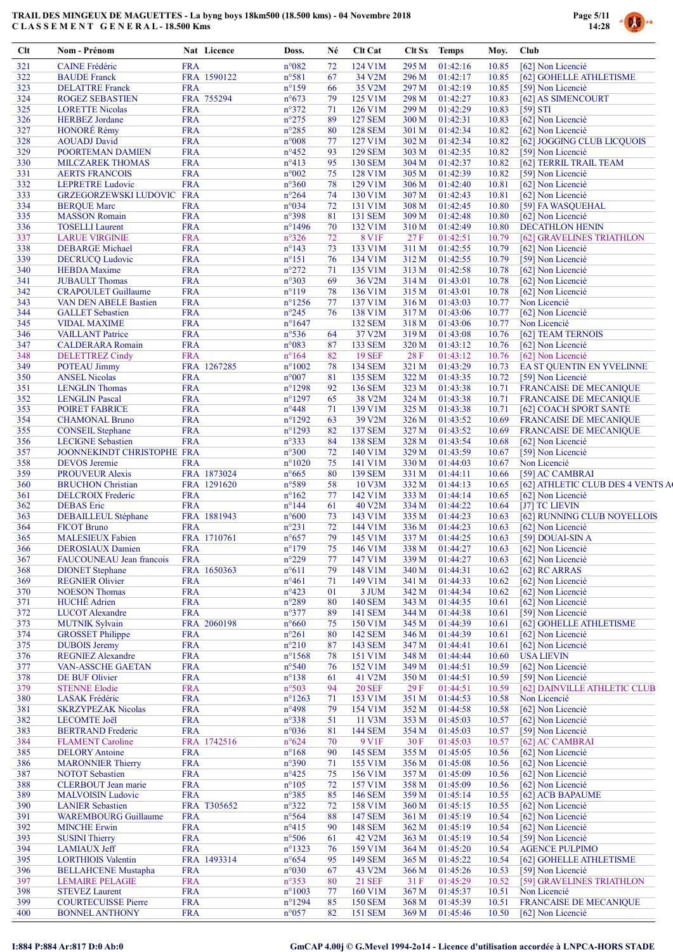

| Clt        | Nom - Prénom                                               |                          | Nat Licence | Doss.                              | Né       | <b>Clt Cat</b>            |                | Clt Sx Temps               | Moy.           | Club                                        |
|------------|------------------------------------------------------------|--------------------------|-------------|------------------------------------|----------|---------------------------|----------------|----------------------------|----------------|---------------------------------------------|
| 321        | <b>CAINE</b> Frédéric                                      | <b>FRA</b>               |             | n°082                              | 72       | 124 V1M                   | 295 M          | 01:42:16                   | 10.85          | [62] Non Licencié                           |
| 322        | <b>BAUDE</b> Franck                                        |                          | FRA 1590122 | $n^{\circ}581$                     | 67       | 34 V2M                    | 296 M          | 01:42:17                   | 10.85          | [62] GOHELLE ATHLETISME                     |
| 323        | <b>DELATTRE</b> Franck                                     | <b>FRA</b>               |             | $n^{\circ}159$                     | 66       | 35 V2M                    | 297 M          | 01:42:19                   | 10.85          | [59] Non Licencié                           |
| 324<br>325 | <b>ROGEZ SEBASTIEN</b><br><b>LORETTE Nicolas</b>           | <b>FRA</b>               | FRA 755294  | $n^{\circ}673$<br>$n^{\circ}372$   | 79<br>71 | 125 V1M<br>126 V1M        | 298 M<br>299 M | 01:42:27<br>01:42:29       | 10.83<br>10.83 | [62] AS SIMENCOURT<br>$[59]$ STI            |
| 326        | <b>HERBEZ</b> Jordane                                      | <b>FRA</b>               |             | $n^{\circ}275$                     | 89       | <b>127 SEM</b>            | 300 M          | 01:42:31                   | 10.83          | [62] Non Licencié                           |
| 327        | HONORÉ Rémy                                                | <b>FRA</b>               |             | $n^{\circ}285$                     | 80       | <b>128 SEM</b>            | 301 M          | 01:42:34                   | 10.82          | [62] Non Licencié                           |
| 328        | <b>AOUADJ</b> David                                        | <b>FRA</b>               |             | $n^{\circ}008$                     | 77       | 127 V1M                   | 302 M          | 01:42:34                   | 10.82          | [62] JOGGING CLUB LICQUOIS                  |
| 329        | POORTEMAN DAMIEN                                           | <b>FRA</b>               |             | $n^{\circ}452$                     | 93       | <b>129 SEM</b>            | 303 M          | 01:42:35                   | 10.82          | [59] Non Licencié                           |
| 330        | <b>MILCZAREK THOMAS</b>                                    | <b>FRA</b>               |             | $n^{\circ}413$                     | 95       | <b>130 SEM</b>            | 304 M          | 01:42:37                   | 10.82          | [62] TERRIL TRAIL TEAM                      |
| 331        | <b>AERTS FRANCOIS</b>                                      | <b>FRA</b>               |             | $n^{\circ}002$                     | 75       | 128 V1M                   | 305 M          | 01:42:39                   | 10.82          | [59] Non Licencié                           |
| 332        | <b>LEPRETRE Ludovic</b>                                    | <b>FRA</b>               |             | $n^{\circ}360$                     | 78       | 129 V1M                   | 306 M          | 01:42:40                   | 10.81          | [62] Non Licencié                           |
| 333        | GRZEGORZEWSKI LUDOVIC FRA                                  |                          |             | $n^{\circ}264$                     | 74       | 130 V1M                   | 307 M          | 01:42:43                   | 10.81          | [62] Non Licencié                           |
| 334        | <b>BERQUE Marc</b>                                         | <b>FRA</b>               |             | n°034                              | 72       | 131 V1M                   | 308 M          | 01:42:45                   | 10.80          | [59] FA WASQUEHAL                           |
| 335        | <b>MASSON Romain</b>                                       | <b>FRA</b>               |             | $n^{\circ}398$                     | 81       | 131 SEM                   | 309 M          | 01:42:48                   | 10.80          | [62] Non Licencié                           |
| 336        | <b>TOSELLI</b> Laurent                                     | <b>FRA</b>               |             | $n^{\circ}$ 1496                   | 70       | 132 V1M                   | 310 M          | 01:42:49                   | 10.80          | <b>DECATHLON HENIN</b>                      |
| 337        | <b>LARUE VIRGINIE</b>                                      | <b>FRA</b>               |             | $n^{\circ}326$                     | 72       | <b>8 V1F</b>              | 27F            | 01:42:51                   | 10.79          | [62] GRAVELINES TRIATHLON                   |
| 338        | <b>DEBARGE Michael</b>                                     | <b>FRA</b>               |             | $n^{\circ}143$                     | 73       | 133 V1M                   | 311 M          | 01:42:55                   | 10.79          | [62] Non Licencié                           |
| 339        | <b>DECRUCQ Ludovic</b>                                     | <b>FRA</b>               |             | $n^{\circ}151$                     | 76       | 134 V1M                   | 312 M          | 01:42:55                   | 10.79          | [59] Non Licencié                           |
| 340        | <b>HEBDA</b> Maxime                                        | <b>FRA</b><br><b>FRA</b> |             | $n^{\circ}272$                     | 71       | 135 V1M                   | 313 M          | 01:42:58                   | 10.78          | [62] Non Licencié                           |
| 341        | <b>JUBAULT</b> Thomas                                      | <b>FRA</b>               |             | $n^{\circ}303$                     | 69       | 36 V2M                    | 314 M          | 01:43:01                   | 10.78          | [62] Non Licencié                           |
| 342<br>343 | <b>CRAPOULET Guillaume</b><br><b>VAN DEN ABELE Bastien</b> | <b>FRA</b>               |             | $n^{\circ}119$<br>$n^{\circ}$ 1256 | 78<br>77 | 136 V1M<br>137 V1M        | 315 M<br>316 M | 01:43:01<br>01:43:03       | 10.78<br>10.77 | [62] Non Licencié<br>Non Licencié           |
| 344        | <b>GALLET</b> Sebastien                                    | <b>FRA</b>               |             | $n^{\circ}245$                     | 76       | 138 V1M                   | 317 M          | 01:43:06                   | 10.77          | [62] Non Licencié                           |
| 345        | <b>VIDAL MAXIME</b>                                        | <b>FRA</b>               |             | $n^{\circ}1647$                    |          | <b>132 SEM</b>            | 318 M          | 01:43:06                   | 10.77          | Non Licencié                                |
| 346        | <b>VAILLANT</b> Patrice                                    | <b>FRA</b>               |             | $n^{\circ}536$                     | 64       | 37 V2M                    | 319 M          | 01:43:08                   | 10.76          | [62] TEAM TERNOIS                           |
| 347        | <b>CALDERARA Romain</b>                                    | <b>FRA</b>               |             | n°083                              | 87       | 133 SEM                   | 320 M          | 01:43:12                   | 10.76          | [62] Non Licencié                           |
| 348        | <b>DELETTREZ Cindy</b>                                     | <b>FRA</b>               |             | $n^{\circ}164$                     | 82       | <b>19 SEF</b>             | 28 F           | 01:43:12                   | 10.76          | [62] Non Licencié                           |
| 349        | <b>POTEAU Jimmy</b>                                        |                          | FRA 1267285 | $n^{\circ}1002$                    | 78       | <b>134 SEM</b>            | 321 M          | 01:43:29                   | 10.73          | EA ST QUENTIN EN YVELINNE                   |
| 350        | <b>ANSEL Nicolas</b>                                       | <b>FRA</b>               |             | $n^{\circ}007$                     | 81       | <b>135 SEM</b>            | 322 M          | 01:43:35                   | 10.72          | [59] Non Licencié                           |
| 351        | <b>LENGLIN</b> Thomas                                      | <b>FRA</b>               |             | $n^{\circ}$ 1298                   | 92       | <b>136 SEM</b>            | 323 M          | 01:43:38                   | 10.71          | <b>FRANCAISE DE MECANIQUE</b>               |
| 352        | <b>LENGLIN Pascal</b>                                      | <b>FRA</b>               |             | $n^{\circ}1297$                    | 65       | 38 V2M                    | 324 M          | 01:43:38                   | 10.71          | <b>FRANCAISE DE MECANIQUE</b>               |
| 353        | POIRET FABRICE                                             | <b>FRA</b>               |             | $n^{\circ}448$                     | 71       | 139 V1M                   | 325 M          | 01:43:38                   | 10.71          | [62] COACH SPORT SANTE                      |
| 354        | <b>CHAMONAL Bruno</b>                                      | <b>FRA</b>               |             | $n^{\circ}1292$                    | 63       | 39 V2M                    | 326 M          | 01:43:52                   | 10.69          | <b>FRANCAISE DE MECANIQUE</b>               |
| 355        | <b>CONSEIL Stephane</b>                                    | <b>FRA</b>               |             | $n^{\circ}1293$                    | 82       | <b>137 SEM</b>            | 327 M          | 01:43:52                   | 10.69          | <b>FRANCAISE DE MECANIQUE</b>               |
| 356        | <b>LECIGNE Sebastien</b>                                   | <b>FRA</b>               |             | $n^{\circ}333$                     | 84       | <b>138 SEM</b>            | 328 M          | 01:43:54                   | 10.68          | [62] Non Licencié                           |
| 357        | JOONNEKINDT CHRISTOPHE FRA                                 |                          |             | $n^{\circ}300$                     | 72       | 140 V1M                   | 329 M          | 01:43:59                   | 10.67          | [59] Non Licencié                           |
| 358        | <b>DEVOS</b> Jeremie                                       | <b>FRA</b>               |             | $n^{\circ}1020$                    | 75       | 141 V1M                   | 330 M          | 01:44:03                   | 10.67          | Non Licencié                                |
| 359        | <b>PROUVEUR Alexis</b>                                     |                          | FRA 1873024 | $n^{\circ}665$                     | 80       | <b>139 SEM</b>            | 331 M          | 01:44:11                   | 10.66          | [59] AC CAMBRAI                             |
| 360        | <b>BRUCHON</b> Christian                                   |                          | FRA 1291620 | $n^{\circ}589$                     | 58       | 10 V3M                    | 332 M          | 01:44:13                   | 10.65          | [62] ATHLETIC CLUB DES 4 VENTS A            |
| 361        | <b>DELCROIX Frederic</b>                                   | <b>FRA</b>               |             | $n^{\circ}162$                     | 77       | 142 V1M                   | 333 M          | 01:44:14                   | 10.65          | [62] Non Licencié                           |
| 362        | <b>DEBAS</b> Eric                                          | <b>FRA</b>               |             | $n^{\circ}$ 144                    | 61       | 40 V2M                    | 334 M          | 01:44:22                   | 10.64          | [J7] TC LIEVIN                              |
| 363        | <b>DEBAILLEUL Stéphane</b>                                 |                          | FRA 1881943 | $n^{\circ}600$                     | 73       | 143 V1M                   | 335 M          | 01:44:23                   | 10.63          | [62] RUNNING CLUB NOYELLOIS                 |
| 364        | <b>FICOT Bruno</b>                                         | <b>FRA</b>               |             | $n^{\circ}231$                     | 72       | 144 V1M                   | 336 M          | 01:44:23                   | 10.63          | [62] Non Licencié                           |
| 365        | <b>MALESIEUX Fabien</b>                                    |                          | FRA 1710761 | $n^{\circ}657$                     | 79<br>75 | 145 V1M                   | 337 M          | 01:44:25                   | 10.63          | [59] DOUAI-SIN A<br>10.63 [62] Non Licencié |
| 366<br>367 | <b>DEROSIAUX Damien</b><br>FAUCOUNEAU Jean francois        | <b>FRA</b><br><b>FRA</b> |             | $n^{\circ}179$<br>$n^{\circ}229$   | 77       | 146 V1M<br>147 V1M        | 339 M          | 338 M 01:44:27<br>01:44:27 | 10.63          | [62] Non Licencié                           |
| 368        | <b>DIONET</b> Stephane                                     |                          | FRA 1650363 | $n^{\circ}611$                     | 79       | 148 V1M                   | 340 M          | 01:44:31                   | 10.62          | [62] RC ARRAS                               |
| 369        | <b>REGNIER Olivier</b>                                     | <b>FRA</b>               |             | $n^{\circ}461$                     | 71       | 149 V1M                   | 341 M          | 01:44:33                   | 10.62          | [62] Non Licencié                           |
| 370        | <b>NOESON Thomas</b>                                       | <b>FRA</b>               |             | $n^{\circ}423$                     | 01       | 3 JUM                     | 342 M          | 01:44:34                   | 10.62          | [62] Non Licencié                           |
| 371        | <b>HUCHÉ</b> Adrien                                        | <b>FRA</b>               |             | $n^{\circ}289$                     | 80       | <b>140 SEM</b>            | 343 M          | 01:44:35                   | 10.61          | [62] Non Licencié                           |
| 372        | <b>LUCOT</b> Alexandre                                     | <b>FRA</b>               |             | $n^{\circ}377$                     | 89       | <b>141 SEM</b>            | 344 M          | 01:44:38                   | 10.61          | [59] Non Licencié                           |
| 373        | <b>MUTNIK Sylvain</b>                                      |                          | FRA 2060198 | $n^{\circ}660$                     | 75       | 150 V1M                   | 345 M          | 01:44:39                   | 10.61          | [62] GOHELLE ATHLETISME                     |
| 374        | <b>GROSSET Philippe</b>                                    | <b>FRA</b>               |             | $n^{\circ}261$                     | 80       | <b>142 SEM</b>            | 346 M          | 01:44:39                   | 10.61          | [62] Non Licencié                           |
| 375        | <b>DUBOIS</b> Jeremy                                       | <b>FRA</b>               |             | $n^{\circ}210$                     | 87       | 143 SEM                   | 347 M          | 01:44:41                   | 10.61          | [62] Non Licencié                           |
| 376        | <b>REGNIEZ Alexandre</b>                                   | <b>FRA</b>               |             | $n^{\circ}$ 1568                   | 78       | 151 V1M                   | 348 M          | 01:44:44                   | 10.60          | <b>USA LIEVIN</b>                           |
| 377        | <b>VAN-ASSCHE GAETAN</b>                                   | <b>FRA</b>               |             | $n^{\circ}540$                     | 76       | 152 V1M                   | 349 M          | 01:44:51                   | 10.59          | [62] Non Licencié                           |
| 378        | DE BUF Olivier                                             | <b>FRA</b>               |             | $n^{\circ}138$                     | 61       | 41 V2M                    | 350 M          | 01:44:51                   | 10.59          | [59] Non Licencié                           |
| 379        | <b>STENNE Elodie</b>                                       | <b>FRA</b>               |             | $n^{\circ}503$                     | 94       | <b>20 SEF</b>             | 29F            | 01:44:51                   | 10.59          | [62] DAINVILLE ATHLETIC CLUB                |
| 380        | LASAK Frédéric                                             | <b>FRA</b>               |             | $n^{\circ}1263$                    | 71       | 153 V1M                   | 351 M          | 01:44:53                   | 10.58          | Non Licencié                                |
| 381        | <b>SKRZYPEZAK Nicolas</b>                                  | <b>FRA</b>               |             | $n^{\circ}498$                     | 79       | 154 V1M                   | 352 M          | 01:44:58                   | 10.58          | [62] Non Licencié                           |
| 382        | LECOMTE Joël                                               | <b>FRA</b>               |             | $n^{\circ}338$                     | 51       | 11 V3M                    | 353 M          | 01:45:03                   | 10.57          | [62] Non Licencié                           |
| 383        | <b>BERTRAND Frederic</b>                                   | <b>FRA</b>               |             | n°036                              | 81       | <b>144 SEM</b>            | 354 M          | 01:45:03                   | 10.57          | [59] Non Licencié                           |
| 384        | <b>FLAMENT</b> Caroline                                    |                          | FRA 1742516 | $n^{\circ}624$                     | 70       | 9 V1F                     | 30F            | 01:45:03                   | 10.57          | [62] AC CAMBRAI                             |
| 385        | <b>DELORY</b> Antoine                                      | <b>FRA</b>               |             | $n^{\circ}168$                     | 90       | 145 SEM                   | 355 M          | 01:45:05                   | 10.56          | [62] Non Licencié                           |
| 386        | <b>MARONNIER Thierry</b>                                   | <b>FRA</b>               |             | $n^{\circ}390$                     | 71       | 155 V1M                   | 356 M          | 01:45:08                   | 10.56          | [62] Non Licencié                           |
| 387        | <b>NOTOT</b> Sebastien                                     | <b>FRA</b>               |             | $n^{\circ}425$                     | 75       | 156 V1M                   | 357 M          | 01:45:09                   | 10.56          | [62] Non Licencié                           |
| 388        | CLERBOUT Jean marie                                        | <b>FRA</b>               |             | $n^{\circ}105$                     | 72       | 157 V1M                   | 358 M          | 01:45:09                   | 10.56          | [62] Non Licencié                           |
| 389        | <b>MALVOISIN Ludovic</b>                                   | <b>FRA</b>               |             | $n^{\circ}385$                     | 85       | <b>146 SEM</b>            | 359 M          | 01:45:14                   | 10.55          | [62] ACB BAPAUME                            |
| 390<br>391 | <b>LANIER Sebastien</b><br><b>WAREMBOURG Guillaume</b>     |                          | FRA T305652 | $n^{\circ}322$<br>$n^{\circ}$ 564  | 72       | 158 V1M<br><b>147 SEM</b> | 360 M          | 01:45:15                   | 10.55          | [62] Non Licencié<br>[62] Non Licencié      |
| 392        | <b>MINCHE Erwin</b>                                        | <b>FRA</b><br><b>FRA</b> |             | $n^{\circ}415$                     | 88<br>90 | <b>148 SEM</b>            | 361 M<br>362 M | 01:45:19<br>01:45:19       | 10.54<br>10.54 | [62] Non Licencié                           |
| 393        | <b>SUSINI Thierry</b>                                      | <b>FRA</b>               |             | $n^{\circ}506$                     | 61       | 42 V2M                    | 363 M          | 01:45:19                   | 10.54          | [59] Non Licencié                           |
| 394        | <b>LAMIAUX Jeff</b>                                        | <b>FRA</b>               |             | $n^{\circ}$ 1323                   | 76       | 159 V1M                   | 364 M          | 01:45:20                   | 10.54          | <b>AGENCE PULPIMO</b>                       |
| 395        | <b>LORTHIOIS Valentin</b>                                  |                          | FRA 1493314 | $n^{\circ}654$                     | 95       | <b>149 SEM</b>            | 365 M          | 01:45:22                   | 10.54          | [62] GOHELLE ATHLETISME                     |
| 396        | <b>BELLAHCENE Mustapha</b>                                 | <b>FRA</b>               |             | n°030                              | 67       | 43 V2M                    | 366 M          | 01:45:26                   | 10.53          | [59] Non Licencié                           |
| 397        | <b>LEMAIRE PELAGIE</b>                                     | <b>FRA</b>               |             | $n^{\circ}353$                     | 80       | <b>21 SEF</b>             | 31 F           | 01:45:29                   | 10.52          | [59] GRAVELINES TRIATHLON                   |
| 398        | <b>STEVEZ Laurent</b>                                      | <b>FRA</b>               |             | $n^{\circ}1003$                    | 77       | 160 V1M                   | 367 M          | 01:45:37                   | 10.51          | Non Licencié                                |
| 399        | <b>COURTECUISSE Pierre</b>                                 | <b>FRA</b>               |             | $n^{\circ}1294$                    | 85       | <b>150 SEM</b>            | 368 M          | 01:45:39                   | 10.51          | <b>FRANCAISE DE MECANIQUE</b>               |
| 400        | <b>BONNEL ANTHONY</b>                                      | <b>FRA</b>               |             | $n^{\circ}057$                     | 82       | 151 SEM                   | 369 M          | 01:45:46                   | 10.50          | [62] Non Licencié                           |
|            |                                                            |                          |             |                                    |          |                           |                |                            |                |                                             |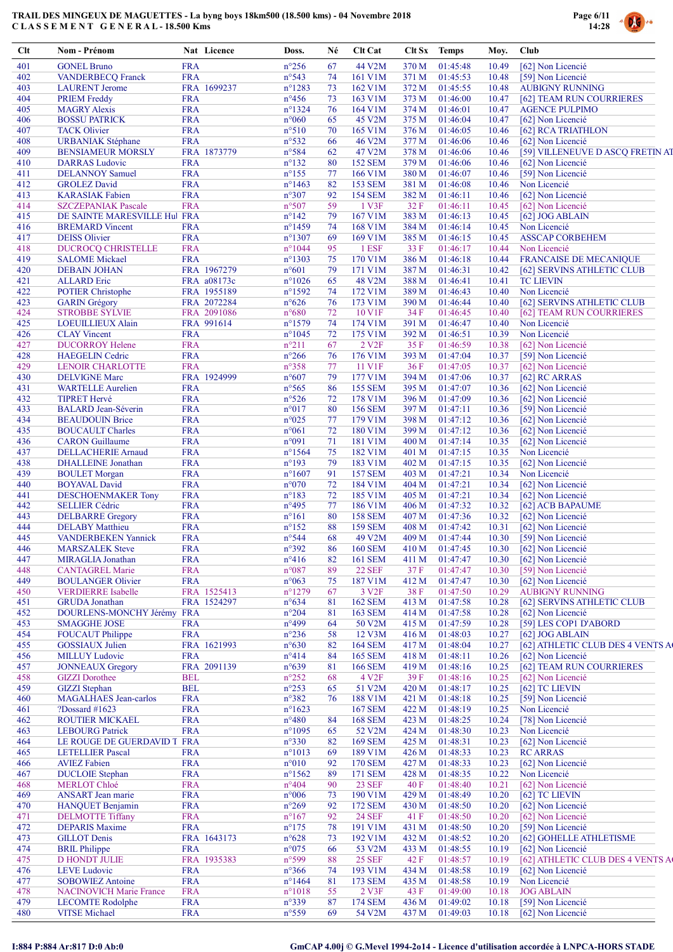

| Clt        | Nom - Prénom                                      |                          | Nat Licence               | Doss.                              | Né       | Clt Cat                          | Clt Sx         | <b>Temps</b>               | Moy.           | Club                                                  |
|------------|---------------------------------------------------|--------------------------|---------------------------|------------------------------------|----------|----------------------------------|----------------|----------------------------|----------------|-------------------------------------------------------|
| 401        | <b>GONEL Bruno</b>                                | <b>FRA</b>               |                           | $n^{\circ}256$                     | 67       | 44 V2M                           | 370 M          | 01:45:48                   | 10.49          | [62] Non Licencié                                     |
| 402        | <b>VANDERBECQ Franck</b>                          | <b>FRA</b>               |                           | n°543                              | 74       | 161 V1M                          | 371 M          | 01:45:53                   | 10.48          | [59] Non Licencié                                     |
| 403        | <b>LAURENT</b> Jerome                             |                          | FRA 1699237               | $n^{\circ}1283$                    | 73       | 162 V1M                          | 372 M          | 01:45:55                   | 10.48          | <b>AUBIGNY RUNNING</b>                                |
| 404<br>405 | <b>PRIEM Freddy</b><br><b>MAGRY Alexis</b>        | <b>FRA</b><br><b>FRA</b> |                           | $n^{\circ}456$<br>$n^{\circ}$ 1324 | 73<br>76 | 163 V1M<br>164 V1M               | 373 M<br>374 M | 01:46:00<br>01:46:01       | 10.47<br>10.47 | [62] TEAM RUN COURRIERES<br><b>AGENCE PULPIMO</b>     |
| 406        | <b>BOSSU PATRICK</b>                              | <b>FRA</b>               |                           | $n^{\circ}060$                     | 65       | 45 V2M                           | 375 M          | 01:46:04                   | 10.47          | [62] Non Licencié                                     |
| 407        | <b>TACK Olivier</b>                               | <b>FRA</b>               |                           | $n^{\circ}510$                     | 70       | 165 V1M                          | 376 M          | 01:46:05                   | 10.46          | [62] RCA TRIATHLON                                    |
| 408        | <b>URBANIAK Stéphane</b>                          | <b>FRA</b>               |                           | $n^{\circ}532$                     | 66       | 46 V2M                           | 377 M          | 01:46:06                   | 10.46          | [62] Non Licencié                                     |
| 409        | <b>BENSIAMEUR MORSLY</b>                          |                          | FRA 1873779               | n°584                              | 62       | 47 V2M                           | 378 M          | 01:46:06                   | 10.46          | [59] VILLENEUVE D ASCQ FRETIN AT                      |
| 410<br>411 | <b>DARRAS</b> Ludovic<br><b>DELANNOY Samuel</b>   | <b>FRA</b><br><b>FRA</b> |                           | $n^{\circ}132$<br>$n^{\circ}155$   | 80<br>77 | <b>152 SEM</b><br>166 V1M        | 379 M<br>380 M | 01:46:06<br>01:46:07       | 10.46<br>10.46 | [62] Non Licencié<br>[59] Non Licencié                |
| 412        | <b>GROLEZ David</b>                               | <b>FRA</b>               |                           | $n^{\circ}$ 1463                   | 82       | <b>153 SEM</b>                   | 381 M          | 01:46:08                   | 10.46          | Non Licencié                                          |
| 413        | <b>KARASIAK Fabien</b>                            | <b>FRA</b>               |                           | $n^{\circ}307$                     | 92       | <b>154 SEM</b>                   | 382 M          | 01:46:11                   | 10.46          | [62] Non Licencié                                     |
| 414        | <b>SZCZEPANIAK Pascale</b>                        | <b>FRA</b>               |                           | $n^{\circ}507$                     | 59       | 1 V3F                            | 32 F           | 01:46:11                   | 10.45          | [62] Non Licencié                                     |
| 415        | DE SAINTE MARESVILLE Hul FRA                      |                          |                           | $n^{\circ}142$                     | 79       | 167 V1M                          | 383 M          | 01:46:13                   | 10.45          | $[62]$ JOG ABLAIN                                     |
| 416        | <b>BREMARD</b> Vincent                            | <b>FRA</b>               |                           | $n^{\circ}$ 1459                   | 74       | 168 V1M                          | 384 M          | 01:46:14                   | 10.45          | Non Licencié                                          |
| 417<br>418 | <b>DEISS Olivier</b><br><b>DUCROCQ CHRISTELLE</b> | <b>FRA</b><br><b>FRA</b> |                           | $n^{\circ}1307$<br>$n^{\circ}1044$ | 69<br>95 | 169 V1M<br>1 ESF                 | 385 M<br>33 F  | 01:46:15<br>01:46:17       | 10.45<br>10.44 | <b>ASSCAP CORBEHEM</b><br>Non Licencié                |
| 419        | <b>SALOME</b> Mickael                             | <b>FRA</b>               |                           | $n^{\circ}1303$                    | 75       | 170 V1M                          | 386 M          | 01:46:18                   | 10.44          | <b>FRANCAISE DE MECANIQUE</b>                         |
| 420        | <b>DEBAIN JOHAN</b>                               |                          | FRA 1967279               | $n^{\circ}601$                     | 79       | 171 V1M                          | 387 M          | 01:46:31                   | 10.42          | [62] SERVINS ATHLETIC CLUB                            |
| 421        | <b>ALLARD</b> Eric                                |                          | FRA a08173c               | $n^{\circ}1026$                    | 65       | 48 V2M                           | 388 M          | 01:46:41                   | 10.41          | <b>TC LIEVIN</b>                                      |
| 422        | <b>POTIER Christophe</b>                          |                          | FRA 1955189               | $n^{\circ}1592$                    | 74       | 172 V1M                          | 389 M          | 01:46:43                   | 10.40          | Non Licencié                                          |
| 423        | <b>GARIN</b> Grégory                              |                          | FRA 2072284               | $n^{\circ}626$                     | 76       | 173 V1M                          | 390 M          | 01:46:44                   | 10.40          | [62] SERVINS ATHLETIC CLUB                            |
| 424<br>425 | <b>STROBBE SYLVIE</b>                             |                          | FRA 2091086<br>FRA 991614 | $n^{\circ}680$<br>$n^{\circ}1579$  | 72<br>74 | 10 V1F<br>174 V1M                | 34 F<br>391 M  | 01:46:45<br>01:46:47       | 10.40<br>10.40 | [62] TEAM RUN COURRIERES<br>Non Licencié              |
| 426        | LOEUILLIEUX Alain<br><b>CLAY</b> Vincent          | <b>FRA</b>               |                           | $n^{\circ}1045$                    | 72       | 175 V1M                          | 392 M          | 01:46:51                   | 10.39          | Non Licencié                                          |
| 427        | <b>DUCORROY Helene</b>                            | <b>FRA</b>               |                           | $n^{\circ}211$                     | 67       | 2 V <sub>2</sub> F               | 35 F           | 01:46:59                   | 10.38          | [62] Non Licencié                                     |
| 428        | <b>HAEGELIN</b> Cedric                            | <b>FRA</b>               |                           | $n^{\circ}266$                     | 76       | 176 V1M                          | 393 M          | 01:47:04                   | 10.37          | [59] Non Licencié                                     |
| 429        | <b>LENOIR CHARLOTTE</b>                           | <b>FRA</b>               |                           | $n^{\circ}358$                     | 77       | 11 V1F                           | 36F            | 01:47:05                   | 10.37          | [62] Non Licencié                                     |
| 430        | <b>DELVIGNE Marc</b>                              |                          | FRA 1924999               | $n^{\circ}607$                     | 79       | 177 V1M                          | 394 M          | 01:47:06                   | 10.37          | [62] RC ARRAS                                         |
| 431        | <b>WARTELLE Aurelien</b>                          | <b>FRA</b>               |                           | $n^{\circ}565$                     | 86       | <b>155 SEM</b>                   | 395 M          | 01:47:07                   | 10.36          | [62] Non Licencié                                     |
| 432<br>433 | <b>TIPRET Hervé</b><br><b>BALARD</b> Jean-Séverin | <b>FRA</b><br><b>FRA</b> |                           | $n^{\circ}526$<br>$n^{\circ}017$   | 72<br>80 | 178 V1M<br><b>156 SEM</b>        | 396 M<br>397 M | 01:47:09<br>01:47:11       | 10.36<br>10.36 | [62] Non Licencié<br>[59] Non Licencié                |
| 434        | <b>BEAUDOUIN Brice</b>                            | <b>FRA</b>               |                           | $n^{\circ}025$                     | 77       | 179 V1M                          | 398 M          | 01:47:12                   | 10.36          | [62] Non Licencié                                     |
| 435        | <b>BOUCAULT Charles</b>                           | <b>FRA</b>               |                           | $n^{\circ}061$                     | 72       | 180 V1M                          | 399 M          | 01:47:12                   | 10.36          | [62] Non Licencié                                     |
| 436        | <b>CARON</b> Guillaume                            | <b>FRA</b>               |                           | n°091                              | 71       | 181 V1M                          | 400 M          | 01:47:14                   | 10.35          | [62] Non Licencié                                     |
| 437        | <b>DELLACHERIE Arnaud</b>                         | <b>FRA</b>               |                           | $n^{\circ}$ 1564                   | 75       | 182 V1M                          | 401 M          | 01:47:15                   | 10.35          | Non Licencié                                          |
| 438        | <b>DHALLEINE</b> Jonathan                         | <b>FRA</b>               |                           | $n^{\circ}193$                     | 79       | 183 V1M                          | 402 M          | 01:47:15                   | 10.35          | [62] Non Licencié                                     |
| 439        | <b>BOULET</b> Morgan<br><b>BOYAVAL David</b>      | <b>FRA</b><br><b>FRA</b> |                           | $n^{\circ}1607$<br>$n^{\circ}070$  | 91<br>72 | <b>157 SEM</b><br>184 V1M        | 403 M          | 01:47:21<br>01:47:21       | 10.34<br>10.34 | Non Licencié<br>[62] Non Licencié                     |
| 440<br>441 | <b>DESCHOENMAKER Tony</b>                         | <b>FRA</b>               |                           | $n^{\circ}183$                     | 72       | 185 V1M                          | 404 M<br>405 M | 01:47:21                   | 10.34          | [62] Non Licencié                                     |
| 442        | <b>SELLIER Cédric</b>                             | <b>FRA</b>               |                           | $n^{\circ}495$                     | 77       | 186 V1M                          | 406 M          | 01:47:32                   | 10.32          | [62] ACB BAPAUME                                      |
| 443        | <b>DELBARRE</b> Gregory                           | <b>FRA</b>               |                           | $n^{\circ}161$                     | 80       | <b>158 SEM</b>                   | 407 M          | 01:47:36                   | 10.32          | [62] Non Licencié                                     |
| 444        | <b>DELABY</b> Matthieu                            | <b>FRA</b>               |                           | $n^{\circ}152$                     | 88       | <b>159 SEM</b>                   | 408 M          | 01:47:42                   | 10.31          | [62] Non Licencié                                     |
| 445        | <b>VANDERBEKEN Yannick</b>                        | <b>FRA</b>               |                           | n°544                              | 68       | 49 V2M                           | 409 M          | 01:47:44                   | 10.30          | [59] Non Licencié                                     |
| 446<br>447 | <b>MARSZALEK Steve</b><br>MIRAGLIA Jonathan       | <b>FRA</b><br><b>FRA</b> |                           | n°392<br>$n^{\circ}416$            | 86<br>82 | <b>160 SEM</b><br><b>161 SEM</b> | 411 M          | 410 M 01:47:45<br>01:47:47 | 10.30          | 10.30 [62] Non Licencié<br>[62] Non Licencié          |
| 448        | <b>CANTAGREL Marie</b>                            | <b>FRA</b>               |                           | $n^{\circ}087$                     | 89       | <b>22 SEF</b>                    | 37 F           | 01:47:47                   | 10.30          | [59] Non Licencié                                     |
| 449        | <b>BOULANGER Olivier</b>                          | <b>FRA</b>               |                           | $n^{\circ}063$                     | 75       | 187 V1M                          | 412 M          | 01:47:47                   | 10.30          | [62] Non Licencié                                     |
| 450        | <b>VERDIERRE Isabelle</b>                         |                          | FRA 1525413               | $n^{\circ}1279$                    | 67       | 3 V <sub>2F</sub>                | 38 F           | 01:47:50                   | 10.29          | <b>AUBIGNY RUNNING</b>                                |
| 451        | <b>GRUDA</b> Jonathan                             |                          | FRA 1524297               | $n^{\circ}634$                     | 81       | <b>162 SEM</b>                   | 413 M          | 01:47:58                   | 10.28          | [62] SERVINS ATHLETIC CLUB                            |
| 452        | DOURLENS-MONCHY Jérémy FRA                        |                          |                           | $n^{\circ}204$                     | 81       | <b>163 SEM</b>                   | 414 M          | 01:47:58                   | 10.28          | [62] Non Licencié                                     |
| 453        | <b>SMAGGHE JOSE</b>                               | <b>FRA</b>               |                           | n°499                              | 64       | 50 V2M                           | 415 M          | 01:47:59                   | 10.28          | [59] LES COP1 D'ABORD                                 |
| 454<br>455 | <b>FOUCAUT Philippe</b><br><b>GOSSIAUX</b> Julien | <b>FRA</b>               | FRA 1621993               | $n^{\circ}236$<br>$n^{\circ}630$   | 58<br>82 | 12 V3M<br><b>164 SEM</b>         | 416 M<br>417 M | 01:48:03<br>01:48:04       | 10.27<br>10.27 | [62] JOG ABLAIN<br>[62] ATHLETIC CLUB DES 4 VENTS A   |
| 456        | <b>MILLUY Ludovic</b>                             | <b>FRA</b>               |                           | $n^{\circ}414$                     | 84       | <b>165 SEM</b>                   | 418 M          | 01:48:11                   | 10.26          | [62] Non Licencié                                     |
| 457        | <b>JONNEAUX</b> Gregory                           |                          | FRA 2091139               | $n^{\circ}639$                     | 81       | <b>166 SEM</b>                   | 419 M          | 01:48:16                   | 10.25          | [62] TEAM RUN COURRIERES                              |
| 458        | <b>GIZZI</b> Dorothee                             | <b>BEL</b>               |                           | $n^{\circ}252$                     | 68       | 4 V <sub>2F</sub>                | 39F            | 01:48:16                   | 10.25          | [62] Non Licencié                                     |
| 459        | <b>GIZZI</b> Stephan                              | <b>BEL</b>               |                           | $n^{\circ}253$                     | 65       | 51 V2M                           | 420 M          | 01:48:17                   | 10.25          | [62] TC LIEVIN                                        |
| 460        | <b>MAGALHAES</b> Jean-carlos                      | <b>FRA</b>               |                           | $n^{\circ}382$                     | 76       | 188 V1M                          | 421 M          | 01:48:18                   | 10.25          | [59] Non Licencié                                     |
| 461<br>462 | ?Dossard #1623<br><b>ROUTIER MICKAEL</b>          | <b>FRA</b><br><b>FRA</b> |                           | $n^{\circ}1623$<br>$n^{\circ}480$  | 84       | <b>167 SEM</b><br><b>168 SEM</b> | 422 M<br>423 M | 01:48:19<br>01:48:25       | 10.25<br>10.24 | Non Licencié<br>[78] Non Licencié                     |
| 463        | <b>LEBOURG</b> Patrick                            | <b>FRA</b>               |                           | $n^{\circ}1095$                    | 65       | 52 V2M                           | 424 M          | 01:48:30                   | 10.23          | Non Licencié                                          |
| 464        | LE ROUGE DE GUERDAVID T FRA                       |                          |                           | $n^{\circ}330$                     | 82       | <b>169 SEM</b>                   | 425 M          | 01:48:31                   | 10.23          | [62] Non Licencié                                     |
| 465        | <b>LETELLIER Pascal</b>                           | <b>FRA</b>               |                           | $n^{\circ}1013$                    | 69       | 189 V1M                          | 426 M          | 01:48:33                   | 10.23          | <b>RC ARRAS</b>                                       |
| 466        | <b>AVIEZ Fabien</b>                               | <b>FRA</b>               |                           | $n^{\circ}010$                     | 92       | <b>170 SEM</b>                   | 427 M          | 01:48:33                   | 10.23          | [62] Non Licencié                                     |
| 467        | <b>DUCLOIE</b> Stephan                            | <b>FRA</b>               |                           | $n^{\circ}1562$                    | 89       | 171 SEM                          | 428 M          | 01:48:35                   | 10.22          | Non Licencié                                          |
| 468<br>469 | <b>MERLOT Chloé</b><br><b>ANSART</b> Jean marie   | <b>FRA</b><br><b>FRA</b> |                           | $n^{\circ}404$<br>$n^{\circ}006$   | 90<br>73 | <b>23 SEF</b><br>190 V1M         | 40 F<br>429 M  | 01:48:40<br>01:48:49       | 10.21<br>10.20 | [62] Non Licencié<br>[62] TC LIEVIN                   |
| 470        | <b>HANQUET Benjamin</b>                           | <b>FRA</b>               |                           | $n^{\circ}269$                     | 92       | <b>172 SEM</b>                   | 430 M          | 01:48:50                   | 10.20          | [62] Non Licencié                                     |
| 471        | <b>DELMOTTE Tiffany</b>                           | <b>FRA</b>               |                           | $n^{\circ}167$                     | 92       | <b>24 SEF</b>                    | 41 F           | 01:48:50                   | 10.20          | [62] Non Licencié                                     |
| 472        | <b>DEPARIS Maxime</b>                             | <b>FRA</b>               |                           | $n^{\circ}175$                     | 78       | 191 V1M                          | 431 M          | 01:48:50                   | 10.20          | [59] Non Licencié                                     |
| 473        | <b>GILLOT</b> Denis                               |                          | FRA 1643173               | $n^{\circ}628$                     | 73       | 192 V1M                          | 432 M          | 01:48:52                   | 10.20          | [62] GOHELLE ATHLETISME                               |
| 474        | <b>BRIL Philippe</b>                              | <b>FRA</b>               |                           | $n^{\circ}075$                     | 66       | 53 V2M                           | 433 M          | 01:48:55                   | 10.19          | [62] Non Licencié                                     |
| 475        | <b>D HONDT JULIE</b>                              | <b>FRA</b>               | FRA 1935383               | n°599<br>$n^{\circ}366$            | 88<br>74 | <b>25 SEF</b><br>193 V1M         | 42 F           | 01:48:57                   | 10.19          | [62] ATHLETIC CLUB DES 4 VENTS A<br>[62] Non Licencié |
| 476<br>477 | <b>LEVE</b> Ludovic<br><b>SOBOWIEZ Antoine</b>    | <b>FRA</b>               |                           | $n^{\circ}$ 1464                   | 81       | 173 SEM                          | 434 M<br>435 M | 01:48:58<br>01:48:58       | 10.19<br>10.19 | Non Licencié                                          |
| 478        | <b>NACINOVICH Marie France</b>                    | <b>FRA</b>               |                           | $n^{\circ}1018$                    | 55       | 2 V3F                            | 43 F           | 01:49:00                   | 10.18          | <b>JOG ABLAIN</b>                                     |
| 479        | <b>LECOMTE Rodolphe</b>                           | <b>FRA</b>               |                           | $n^{\circ}339$                     | 87       | <b>174 SEM</b>                   | 436 M          | 01:49:02                   | 10.18          | [59] Non Licencié                                     |
| 480        | <b>VITSE Michael</b>                              | <b>FRA</b>               |                           | $n^{\circ}559$                     | 69       | 54 V2M                           | 437 M          | 01:49:03                   | 10.18          | [62] Non Licencié                                     |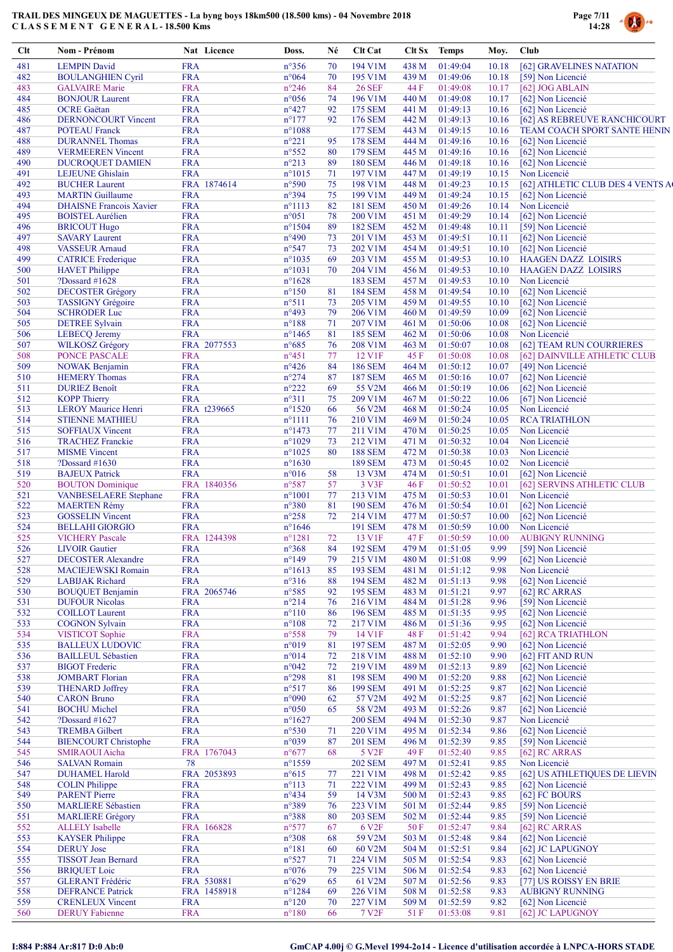

| Clt        | Nom - Prénom                                   | Nat Licence              | Doss.                             | Né       | Clt Cat                   |                | Clt Sx Temps         | Moy.           | Club                                   |
|------------|------------------------------------------------|--------------------------|-----------------------------------|----------|---------------------------|----------------|----------------------|----------------|----------------------------------------|
| 481        | <b>LEMPIN David</b>                            | <b>FRA</b>               | $n^{\circ}356$                    | 70       | 194 V1M                   | 438 M          | 01:49:04             | 10.18          | [62] GRAVELINES NATATION               |
| 482        | <b>BOULANGHIEN Cyril</b>                       | <b>FRA</b>               | $n^{\circ}064$                    | 70       | 195 V1M                   | 439 M          | 01:49:06             | 10.18          | [59] Non Licencié                      |
| 483        | <b>GALVAIRE</b> Marie                          | <b>FRA</b>               | $n^{\circ}246$                    | 84       | <b>26 SEF</b>             | 44 F           | 01:49:08             | 10.17          | [62] JOG ABLAIN                        |
| 484        | <b>BONJOUR Laurent</b>                         | <b>FRA</b>               | $n^{\circ}056$                    | 74       | 196 V1M                   | 440 M          | 01:49:08             | 10.17          | [62] Non Licencié                      |
| 485        | <b>OCRE</b> Gaëtan                             | <b>FRA</b>               | $n^{\circ}427$                    | 92       | 175 SEM                   | 441 M          | 01:49:13             | 10.16          | [62] Non Licencié                      |
| 486        | <b>DERNONCOURT Vincent</b>                     | <b>FRA</b>               | $n^{\circ}177$                    | 92       | 176 SEM                   | 442 M          | 01:49:13             | 10.16          | [62] AS REBREUVE RANCHICOURT           |
| 487        | <b>POTEAU</b> Franck                           | <b>FRA</b>               | $n^{\circ}1088$                   |          | <b>177 SEM</b>            | 443 M          | 01:49:15             | 10.16          | TEAM COACH SPORT SANTE HENIN           |
| 488        | <b>DURANNEL Thomas</b>                         | <b>FRA</b>               | $n^{\circ}221$                    | 95       | <b>178 SEM</b>            | 444 M          | 01:49:16             | 10.16          | [62] Non Licencié                      |
| 489        | <b>VERMEEREN Vincent</b>                       | <b>FRA</b>               | $n^{\circ}552$                    | 80       | 179 SEM                   | 445 M          | 01:49:16             | 10.16          | [62] Non Licencié                      |
| 490        | <b>DUCROQUET DAMIEN</b>                        | <b>FRA</b>               | $n^{\circ}213$                    | 89       | <b>180 SEM</b>            | 446 M          | 01:49:18             | 10.16          | [62] Non Licencié                      |
| 491        | <b>LEJEUNE</b> Ghislain                        | <b>FRA</b>               | $n^{\circ}1015$                   | 71       | 197 V1M                   | 447 M          | 01:49:19             | 10.15          | Non Licencié                           |
| 492        | <b>BUCHER Laurent</b>                          | FRA 1874614              | $n^{\circ}590$                    | 75       | 198 V1M                   | 448 M          | 01:49:23             | 10.15          | [62] ATHLETIC CLUB DES 4 VENTS A       |
| 493        | <b>MARTIN</b> Guillaume                        | <b>FRA</b>               | n°394                             | 75       | 199 V1M                   | 449 M          | 01:49:24             | 10.15          | [62] Non Licencié                      |
| 494        | <b>DHAISNE Francois Xavier</b>                 | <b>FRA</b>               | $n^{\circ}1113$                   | 82       | <b>181 SEM</b>            | 450 M          | 01:49:26             | 10.14          | Non Licencié                           |
| 495<br>496 | <b>BOISTEL Aurélien</b><br><b>BRICOUT Hugo</b> | <b>FRA</b><br><b>FRA</b> | $n^{\circ}051$<br>$n^{\circ}1504$ | 78<br>89 | 200 V1M<br><b>182 SEM</b> | 451 M<br>452 M | 01:49:29<br>01:49:48 | 10.14<br>10.11 | [62] Non Licencié<br>[59] Non Licencié |
| 497        | <b>SAVARY Laurent</b>                          | <b>FRA</b>               | $n^{\circ}490$                    | 73       | 201 V1M                   | 453 M          | 01:49:51             | 10.11          | [62] Non Licencié                      |
| 498        | <b>VASSEUR Arnaud</b>                          | <b>FRA</b>               | $n^{\circ}547$                    | 73       | 202 V1M                   | 454 M          | 01:49:51             | 10.10          | [62] Non Licencié                      |
| 499        | <b>CATRICE</b> Frederique                      | <b>FRA</b>               | $n^{\circ}1035$                   | 69       | 203 V1M                   | 455 M          | 01:49:53             | 10.10          | <b>HAAGEN DAZZ LOISIRS</b>             |
| 500        | <b>HAVET</b> Philippe                          | <b>FRA</b>               | $n^{\circ}1031$                   | 70       | 204 V1M                   | 456 M          | 01:49:53             | 10.10          | <b>HAAGEN DAZZ LOISIRS</b>             |
| 501        | ?Dossard #1628                                 | <b>FRA</b>               | $n^{\circ}1628$                   |          | <b>183 SEM</b>            | 457 M          | 01:49:53             | 10.10          | Non Licencié                           |
| 502        | <b>DECOSTER Grégory</b>                        | <b>FRA</b>               | $n^{\circ}150$                    | 81       | <b>184 SEM</b>            | 458 M          | 01:49:54             | 10.10          | [62] Non Licencié                      |
| 503        | <b>TASSIGNY Grégoire</b>                       | <b>FRA</b>               | $n^{\circ}511$                    | 73       | 205 V1M                   | 459 M          | 01:49:55             | 10.10          | [62] Non Licencié                      |
| 504        | <b>SCHRODER Luc</b>                            | <b>FRA</b>               | $n^{\circ}493$                    | 79       | 206 V1M                   | 460 M          | 01:49:59             | 10.09          | [62] Non Licencié                      |
| 505        | <b>DETREE Sylvain</b>                          | <b>FRA</b>               | $n^{\circ}188$                    | 71       | 207 V1M                   | 461 M          | 01:50:06             | 10.08          | [62] Non Licencié                      |
| 506        | <b>LEBECQ</b> Jeremy                           | <b>FRA</b>               | $n^{\circ}$ 1465                  | 81       | <b>185 SEM</b>            | 462 M          | 01:50:06             | 10.08          | Non Licencié                           |
| 507        | <b>WILKOSZ Grégory</b>                         | FRA 2077553              | $n^{\circ}685$                    | 76       | 208 V1M                   | 463 M          | 01:50:07             | 10.08          | [62] TEAM RUN COURRIERES               |
| 508        | <b>PONCE PASCALE</b>                           | <b>FRA</b>               | $n^{\circ}451$                    | $77\,$   | 12 V1F                    | 45 F           | 01:50:08             | 10.08          | [62] DAINVILLE ATHLETIC CLUB           |
| 509        | <b>NOWAK Benjamin</b>                          | <b>FRA</b>               | $n^{\circ}426$                    | 84       | <b>186 SEM</b>            | 464 M          | 01:50:12             | 10.07          | [49] Non Licencié                      |
| 510        | <b>HEMERY Thomas</b>                           | <b>FRA</b>               | $n^{\circ}274$                    | 87       | <b>187 SEM</b>            | 465 M          | 01:50:16             | 10.07          | [62] Non Licencié                      |
| 511        | <b>DURIEZ Benoît</b>                           | <b>FRA</b>               | $n^{\circ}222$                    | 69       | 55 V2M                    | 466 M          | 01:50:19             | 10.06          | [62] Non Licencié                      |
| 512        | <b>KOPP Thierry</b>                            | <b>FRA</b>               | $n^{\circ}311$                    | 75       | 209 V1M                   | 467 M          | 01:50:22             | 10.06          | [67] Non Licencié                      |
| 513        | <b>LEROY Maurice Henri</b>                     | FRA t239665              | $n^{\circ}1520$                   | 66       | 56 V2M                    | 468 M          | 01:50:24             | 10.05          | Non Licencié                           |
| 514        | <b>STIENNE MATHIEU</b>                         | <b>FRA</b>               | $n^{\circ}1111$                   | 76       | 210 V1M                   | 469 M          | 01:50:24             | 10.05          | <b>RCA TRIATHLON</b>                   |
| 515        | <b>SOFFIAUX Vincent</b>                        | <b>FRA</b>               | $n^{\circ}$ 1473                  | 77       | 211 V1M                   | 470 M          | 01:50:25             | 10.05          | Non Licencié                           |
| 516        | <b>TRACHEZ Franckie</b>                        | <b>FRA</b>               | $n^{\circ}1029$                   | 73       | 212 V1M                   | 471 M          | 01:50:32             | 10.04          | Non Licencié                           |
| 517        | <b>MISME</b> Vincent                           | <b>FRA</b>               | $n^{\circ}1025$                   | 80       | <b>188 SEM</b>            | 472 M          | 01:50:38             | 10.03          | Non Licencié                           |
| 518        | ?Dossard #1630                                 | <b>FRA</b>               | $n^{\circ}1630$                   |          | <b>189 SEM</b>            | 473 M          | 01:50:45             | 10.02          | Non Licencié                           |
| 519        | <b>BAJEUX Patrick</b>                          | <b>FRA</b>               | $n^{\circ}016$                    | 58       | 13 V3M                    | 474 M          | 01:50:51             | 10.01          | [62] Non Licencié                      |
| 520        | <b>BOUTON</b> Dominique                        | FRA 1840356              | $n^{\circ}587$                    | 57       | 3 V3F                     | 46 F           | 01:50:52             | 10.01          | [62] SERVINS ATHLETIC CLUB             |
| 521        | <b>VANBESELAERE</b> Stephane                   | <b>FRA</b>               | $n^{\circ}1001$                   | 77       | 213 V1M                   | 475 M          | 01:50:53             | 10.01          | Non Licencié                           |
| 522        | <b>MAERTEN Rémy</b>                            | <b>FRA</b>               | $n^{\circ}380$                    | 81       | <b>190 SEM</b>            | 476 M          | 01:50:54             | 10.01          | [62] Non Licencié                      |
| 523        | <b>GOSSELIN Vincent</b>                        | <b>FRA</b>               | $n^{\circ}258$                    | 72       | 214 V1M                   | 477 M          | 01:50:57             | 10.00          | [62] Non Licencié                      |
| 524        | <b>BELLAHI GIORGIO</b>                         | <b>FRA</b>               | $n^{\circ}1646$                   |          | 191 SEM                   | 478 M          | 01:50:59             | 10.00          | Non Licencié                           |
| 525        | <b>VICHERY Pascale</b>                         | FRA 1244398              | $n^{\circ}1281$                   | 72       | 13 V1F                    | 47 F           | 01:50:59             | 10.00          | <b>AUBIGNY RUNNING</b>                 |
| 526        | <b>LIVOIR</b> Gautier                          | <b>FRA</b>               | $n^{\circ}368$                    | 84       | <b>192 SEM</b>            | 479 M          | 01:51:05             | 9.99           | [59] Non Licencié                      |
| 527        | <b>DECOSTER Alexandre</b>                      | <b>FRA</b>               | $n^{\circ}149$                    | 79       | 215 V1M                   | 480 M          | 01:51:08             | 9.99           | [62] Non Licencié                      |
| 528        | <b>MACIEJEWSKI Romain</b>                      | <b>FRA</b>               | $n^{\circ}1613$                   | 85       | 193 SEM                   | 481 M          | 01:51:12             | 9.98           | Non Licencié                           |
| 529        | <b>LABIJAK Richard</b>                         | <b>FRA</b>               | $n^{\circ}316$                    | 88       | <b>194 SEM</b>            | 482 M          | 01:51:13             | 9.98           | [62] Non Licencié                      |
| 530        | <b>BOUQUET Benjamin</b>                        | FRA 2065746              | $n^{\circ}585$                    | 92       | <b>195 SEM</b>            | 483 M          | 01:51:21             | 9.97           | [62] RC ARRAS                          |
| 531        | <b>DUFOUR Nicolas</b>                          | <b>FRA</b>               | $n^{\circ}214$                    | 76       | 216 V1M                   | 484 M          | 01:51:28             | 9.96           | [59] Non Licencié                      |
| 532        | <b>COILLOT</b> Laurent                         | <b>FRA</b>               | $n^{\circ}110$                    | 86       | <b>196 SEM</b>            | 485 M          | 01:51:35             | 9.95           | [62] Non Licencié                      |
| 533        | <b>COGNON Sylvain</b>                          | <b>FRA</b>               | $n^{\circ}108$                    | 72       | 217 V1M                   | 486 M          | 01:51:36             | 9.95           | [62] Non Licencié                      |
| 534        | <b>VISTICOT</b> Sophie                         | <b>FRA</b>               | $n^{\circ}558$                    | 79       | 14 V1F                    | 48 F           | 01:51:42             | 9.94           | [62] RCA TRIATHLON                     |
| 535        | <b>BALLEUX LUDOVIC</b>                         | <b>FRA</b>               | n°019                             | 81       | <b>197 SEM</b>            | 487 M          | 01:52:05             | 9.90           | [62] Non Licencié                      |
| 536        | <b>BAILLEUL Sébastien</b>                      | <b>FRA</b>               | n°014                             | 72       | 218 V1M                   | 488 M          | 01:52:10             | 9.90           | [62] FIT AND RUN                       |
| 537        | <b>BIGOT</b> Frederic                          | <b>FRA</b>               | $n^{\circ}042$                    | 72       | 219 V1M                   | 489 M          | 01:52:13             | 9.89           | [62] Non Licencié                      |
| 538        | <b>JOMBART</b> Florian                         | <b>FRA</b>               | $n^{\circ}298$                    | 81       | <b>198 SEM</b>            | 490 M          | 01:52:20             | 9.88           | [62] Non Licencié                      |
| 539        | <b>THENARD Joffrey</b>                         | <b>FRA</b>               | $n^{\circ}517$                    | 86       | <b>199 SEM</b>            | 491 M          | 01:52:25             | 9.87           | [62] Non Licencié                      |
| 540        | <b>CARON</b> Bruno                             | <b>FRA</b>               | n°090                             | 62       | 57 V2M                    | 492 M          | 01:52:25             | 9.87           | [62] Non Licencié                      |
| 541        | <b>BOCHU</b> Michel                            | <b>FRA</b>               | $n^{\circ}050$                    | 65       | 58 V2M                    | 493 M          | 01:52:26             | 9.87           | [62] Non Licencié                      |
| 542        | ?Dossard $#1627$                               | <b>FRA</b>               | $n^{\circ}1627$                   |          | <b>200 SEM</b>            | 494 M          | 01:52:30             | 9.87           | Non Licencié                           |
| 543        | <b>TREMBA Gilbert</b>                          | <b>FRA</b>               | $n^{\circ}530$                    | 71       | 220 V1M                   | 495 M          | 01:52:34             | 9.86           | [62] Non Licencié                      |
| 544        | <b>BIENCOURT Christophe</b>                    | <b>FRA</b>               | n°039                             | 87       | <b>201 SEM</b>            | 496 M          | 01:52:39             | 9.85           | [59] Non Licencié                      |
| 545        | <b>SMIRAOUI Aicha</b>                          | FRA 1767043              | $n^{\circ}677$                    | 68       | 5 V <sub>2</sub> F        | 49 F           | 01:52:40             | 9.85           | [62] RC ARRAS                          |
| 546        | <b>SALVAN Romain</b>                           | 78                       | $n^{\circ}$ 1559                  |          | <b>202 SEM</b>            | 497 M          | 01:52:41             | 9.85           | Non Licencié                           |
| 547        | <b>DUHAMEL Harold</b>                          | FRA 2053893              | $n^{\circ}615$                    | 77       | 221 V1M                   | 498 M          | 01:52:42             | 9.85           | [62] US ATHLETIQUES DE LIEVIN          |
| 548        | <b>COLIN Philippe</b>                          | <b>FRA</b>               | $n^{\circ}113$                    | 71       | 222 V1M                   | 499 M          | 01:52:43             | 9.85           | [62] Non Licencié                      |
| 549        | <b>PARENT Pierre</b>                           | <b>FRA</b>               | $n^{\circ}434$                    | 59       | 14 V3M                    | 500 M          | 01:52:43             | 9.85           | [62] FC BOURS                          |
| 550        | <b>MARLIERE Sébastien</b>                      | <b>FRA</b>               | n°389                             | 76       | 223 V1M                   | 501 M          | 01:52:44             | 9.85           | [59] Non Licencié                      |
| 551        | <b>MARLIERE Grégory</b>                        | <b>FRA</b>               | $n^{\circ}388$                    | 80       | <b>203 SEM</b>            | 502 M          | 01:52:44             | 9.85           | [59] Non Licencié                      |
| 552        | <b>ALLELY</b> Isabelle                         | FRA 166828               | $n^{\circ}577$                    | 67       | 6 V <sub>2F</sub>         | 50 F           | 01:52:47             | 9.84           | [62] RC ARRAS                          |
| 553        | <b>KAYSER Philippe</b>                         | <b>FRA</b>               | $n^{\circ}308$                    | 68       | 59 V2M                    | 503 M          | 01:52:48             | 9.84           | [62] Non Licencié                      |
| 554        | <b>DERUY</b> Jose                              | <b>FRA</b>               | $n^{\circ}181$                    | 60       | 60 V2M                    | 504 M          | 01:52:51             | 9.84           | [62] JC LAPUGNOY                       |
| 555        | <b>TISSOT Jean Bernard</b>                     | <b>FRA</b>               | $n^{\circ}527$                    | 71       | 224 V1M                   | 505 M          | 01:52:54             | 9.83           | [62] Non Licencié                      |
| 556        | <b>BRIQUET</b> Loic                            | <b>FRA</b>               | $n^{\circ}076$                    | 79       | 225 V1M                   | 506 M          | 01:52:54             | 9.83           | [62] Non Licencié                      |
| 557        | <b>GLERANT Frédéric</b>                        | FRA 530881               | $n^{\circ}629$                    | 65       | 61 V2M                    | 507 M          | 01:52:56             | 9.83           | [77] US ROISSY EN BRIE                 |
| 558        | <b>DEFRANCE Patrick</b>                        | FRA 1458918              | $n^{\circ}$ 1284                  | 69       | 226 V1M                   | 508 M          | 01:52:58             | 9.83           | <b>AUBIGNY RUNNING</b>                 |
| 559        | <b>CRENLEUX Vincent</b>                        | <b>FRA</b>               | $n^{\circ}120$                    | 70       | 227 V1M                   | 509 M          | 01:52:59             | 9.82           | [62] Non Licencié                      |
| 560        | <b>DERUY</b> Fabienne                          | <b>FRA</b>               | $n^{\circ}180$                    | 66       | 7 V <sub>2F</sub>         | 51 F           | 01:53:08             | 9.81           | [62] JC LAPUGNOY                       |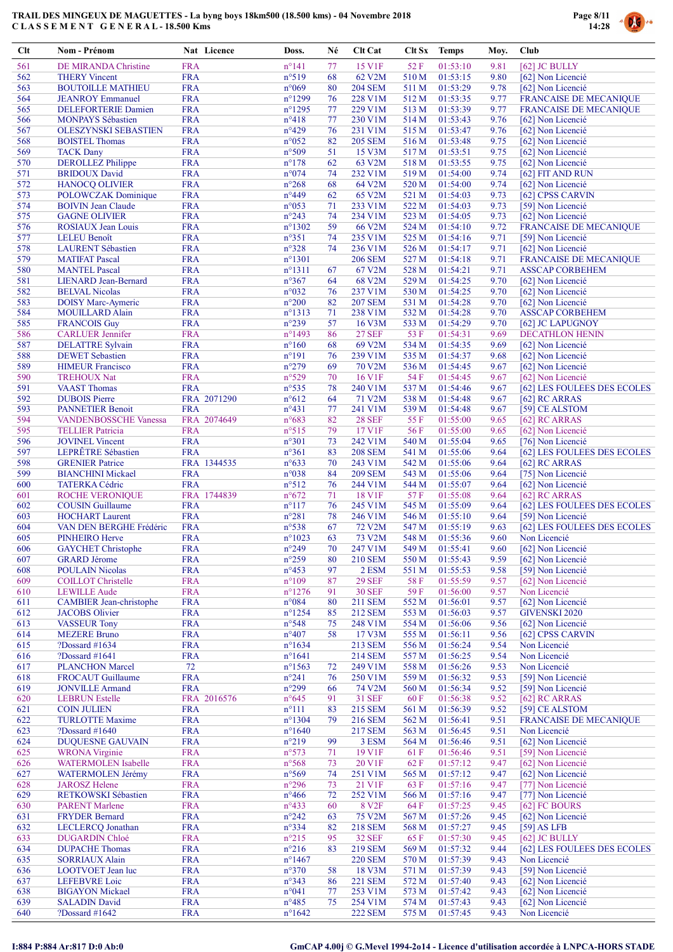

| <b>Clt</b> | Nom - Prénom                   | Nat Licence | Doss.            | Né | <b>Clt Cat</b>      | Clt Sx | <b>Temps</b> | Moy. | <b>Club</b>                   |
|------------|--------------------------------|-------------|------------------|----|---------------------|--------|--------------|------|-------------------------------|
| 561        | DE MIRANDA Christine           | <b>FRA</b>  | $n^{\circ}141$   | 77 | 15 V1F              | 52 F   | 01:53:10     | 9.81 | [62] JC BULLY                 |
| 562        | <b>THERY Vincent</b>           | <b>FRA</b>  | n°519            | 68 | 62 V2M              | 510 M  | 01:53:15     | 9.80 | [62] Non Licencié             |
| 563        | <b>BOUTOILLE MATHIEU</b>       | <b>FRA</b>  | $n^{\circ}069$   | 80 | <b>204 SEM</b>      | 511 M  | 01:53:29     | 9.78 | [62] Non Licencié             |
| 564        | <b>JEANROY</b> Emmanuel        | <b>FRA</b>  | $n^{\circ}1299$  | 76 | 228 V1M             | 512 M  | 01:53:35     | 9.77 | <b>FRANCAISE DE MECANIQUE</b> |
| 565        | <b>DELEFORTERIE Damien</b>     | <b>FRA</b>  | $n^{\circ}$ 1295 | 77 | 229 V1M             | 513 M  | 01:53:39     | 9.77 | <b>FRANCAISE DE MECANIQUE</b> |
| 566        | <b>MONPAYS</b> Sébastien       | <b>FRA</b>  | $n^{\circ}418$   | 77 | 230 V1M             | 514 M  | 01:53:43     | 9.76 | [62] Non Licencié             |
| 567        | <b>OLESZYNSKI SEBASTIEN</b>    | <b>FRA</b>  | $n^{\circ}429$   | 76 | 231 V1M             | 515 M  | 01:53:47     | 9.76 | [62] Non Licencié             |
| 568        | <b>BOISTEL Thomas</b>          | <b>FRA</b>  | $n^{\circ}052$   | 82 | <b>205 SEM</b>      | 516 M  | 01:53:48     | 9.75 | [62] Non Licencié             |
| 569        | <b>TACK Dany</b>               | <b>FRA</b>  | n°509            | 51 | 15 V3M              | 517 M  | 01:53:51     | 9.75 | [62] Non Licencié             |
| 570        | <b>DEROLLEZ Philippe</b>       | <b>FRA</b>  | $n^{\circ}178$   | 62 | 63 V2M              | 518 M  | 01:53:55     | 9.75 | [62] Non Licencié             |
| 571        | <b>BRIDOUX David</b>           | <b>FRA</b>  | n°074            | 74 | 232 V1M             | 519 M  | 01:54:00     | 9.74 | [62] FIT AND RUN              |
| 572        | <b>HANOCQ OLIVIER</b>          | <b>FRA</b>  | $n^{\circ}268$   | 68 | 64 V2M              | 520 M  | 01:54:00     | 9.74 | [62] Non Licencié             |
| 573        | <b>POLOWCZAK Dominique</b>     | <b>FRA</b>  | $n^{\circ}449$   | 62 | 65 V2M              | 521 M  | 01:54:03     | 9.73 | [62] CPSS CARVIN              |
| 574        | <b>BOIVIN Jean Claude</b>      | <b>FRA</b>  | $n^{\circ}053$   | 71 | 233 V1M             | 522 M  | 01:54:03     | 9.73 | [59] Non Licencié             |
| 575        | <b>GAGNE OLIVIER</b>           | <b>FRA</b>  | $n^{\circ}243$   | 74 | 234 V1M             | 523 M  | 01:54:05     | 9.73 | [62] Non Licencié             |
| 576        | <b>ROSIAUX Jean Louis</b>      | <b>FRA</b>  | $n^{\circ}1302$  | 59 | 66 V2M              | 524 M  | 01:54:10     | 9.72 | <b>FRANCAISE DE MECANIQUE</b> |
| 577        | LELEU Benoît                   | <b>FRA</b>  | $n^{\circ}351$   | 74 | 235 V1M             | 525 M  | 01:54:16     | 9.71 | [59] Non Licencié             |
| 578        | <b>LAURENT</b> Sébastien       | <b>FRA</b>  | $n^{\circ}328$   | 74 | 236 V1M             | 526 M  | 01:54:17     | 9.71 | [62] Non Licencié             |
| 579        | <b>MATIFAT Pascal</b>          | <b>FRA</b>  | $n^{\circ}1301$  |    | <b>206 SEM</b>      | 527 M  | 01:54:18     | 9.71 | <b>FRANCAISE DE MECANIQUE</b> |
| 580        | <b>MANTEL Pascal</b>           | <b>FRA</b>  | $n^{\circ}1311$  | 67 | 67 V2M              | 528 M  | 01:54:21     | 9.71 | <b>ASSCAP CORBEHEM</b>        |
| 581        | <b>LIENARD</b> Jean-Bernard    | <b>FRA</b>  | n°367            | 64 | 68 V <sub>2</sub> M | 529 M  | 01:54:25     | 9.70 | [62] Non Licencié             |
| 582        | <b>BELVAL Nicolas</b>          | <b>FRA</b>  | n°032            | 76 | 237 V1M             | 530 M  | 01:54:25     | 9.70 | [62] Non Licencié             |
| 583        | <b>DOISY Marc-Aymeric</b>      | <b>FRA</b>  | $n^{\circ}200$   | 82 | <b>207 SEM</b>      | 531 M  | 01:54:28     | 9.70 | [62] Non Licencié             |
| 584        | <b>MOUILLARD Alain</b>         | <b>FRA</b>  | $n^{\circ}1313$  | 71 | 238 V1M             | 532 M  | 01:54:28     | 9.70 | <b>ASSCAP CORBEHEM</b>        |
| 585        | <b>FRANCOIS Guy</b>            | <b>FRA</b>  | $n^{\circ}239$   | 57 | 16 V3M              | 533 M  | 01:54:29     | 9.70 | [62] JC LAPUGNOY              |
| 586        | <b>CARLUER Jennifer</b>        | <b>FRA</b>  | $n^{\circ}$ 1493 | 86 | <b>27 SEF</b>       | 53 F   | 01:54:31     | 9.69 | <b>DECATHLON HENIN</b>        |
| 587        | <b>DELATTRE Sylvain</b>        | <b>FRA</b>  | $n^{\circ}160$   | 68 | 69 V2M              | 534 M  | 01:54:35     | 9.69 | [62] Non Licencié             |
| 588        | <b>DEWET</b> Sebastien         | <b>FRA</b>  | $n^{\circ}191$   | 76 | 239 V1M             | 535 M  | 01:54:37     | 9.68 | [62] Non Licencié             |
| 589        | <b>HIMEUR</b> Francisco        | <b>FRA</b>  | $n^{\circ}279$   | 69 | 70 V2M              | 536 M  | 01:54:45     | 9.67 | [62] Non Licencié             |
| 590        | <b>TREHOUX Nat</b>             | <b>FRA</b>  | n°529            | 70 | 16 V1F              | 54 F   | 01:54:45     | 9.67 | [62] Non Licencié             |
| 591        | <b>VAAST</b> Thomas            | <b>FRA</b>  | $n^{\circ}535$   | 78 | 240 V1M             | 537 M  | 01:54:46     | 9.67 | [62] LES FOULEES DES ECOLES   |
| 592        | <b>DUBOIS</b> Pierre           | FRA 2071290 | $n^{\circ}612$   | 64 | 71 V2M              | 538 M  | 01:54:48     | 9.67 | [62] RC ARRAS                 |
| 593        | <b>PANNETIER Benoit</b>        | <b>FRA</b>  | $n^{\circ}431$   | 77 | 241 V1M             | 539 M  | 01:54:48     | 9.67 | [59] CE ALSTOM                |
| 594        | <b>VANDENBOSSCHE Vanessa</b>   | FRA 2074649 | $n^{\circ}683$   | 82 | <b>28 SEF</b>       | 55 F   | 01:55:00     | 9.65 | [62] RC ARRAS                 |
| 595        | <b>TELLIER Patricia</b>        | <b>FRA</b>  | $n^{\circ}515$   | 79 | 17 V1F              | 56F    | 01:55:00     | 9.65 | [62] Non Licencié             |
| 596        | <b>JOVINEL Vincent</b>         | <b>FRA</b>  | $n^{\circ}301$   | 73 | 242 V1M             | 540 M  | 01:55:04     | 9.65 | [76] Non Licencié             |
| 597        | LEPRÊTRE Sébastien             | <b>FRA</b>  | $n^{\circ}361$   | 83 | <b>208 SEM</b>      | 541 M  | 01:55:06     | 9.64 | [62] LES FOULEES DES ECOLES   |
| 598        | <b>GRENIER Patrice</b>         | FRA 1344535 | $n^{\circ}633$   | 70 | 243 V1M             | 542 M  | 01:55:06     | 9.64 | [62] RC ARRAS                 |
| 599        | <b>BIANCHINI Mickael</b>       | <b>FRA</b>  | n°038            | 84 | <b>209 SEM</b>      | 543 M  | 01:55:06     | 9.64 | [75] Non Licencié             |
| 600        | <b>TATERKA Cédric</b>          | <b>FRA</b>  | $n^{\circ}512$   | 76 | 244 V1M             | 544 M  | 01:55:07     | 9.64 | [62] Non Licencié             |
| 601        | <b>ROCHE VERONIQUE</b>         | FRA 1744839 | $n^{\circ}672$   | 71 | <b>18 V1F</b>       | 57 F   | 01:55:08     | 9.64 | [62] RC ARRAS                 |
| 602        | <b>COUSIN</b> Guillaume        | <b>FRA</b>  | $n^{\circ}117$   | 76 | 245 V1M             | 545 M  | 01:55:09     | 9.64 | [62] LES FOULEES DES ECOLES   |
| 603        | <b>HOCHART</b> Laurent         | <b>FRA</b>  | $n^{\circ}281$   | 78 | 246 V1M             | 546 M  | 01:55:10     | 9.64 | [59] Non Licencié             |
| 604        | VAN DEN BERGHE Frédéric        | <b>FRA</b>  | $n^{\circ}538$   | 67 | 72 V2M              | 547 M  | 01:55:19     | 9.63 | [62] LES FOULEES DES ECOLES   |
| 605        | <b>PINHEIRO Herve</b>          | <b>FRA</b>  | $n^{\circ}1023$  | 63 | 73 V2M              | 548 M  | 01:55:36     | 9.60 | Non Licencié                  |
| 606        | <b>GAYCHET</b> Christophe      | <b>FRA</b>  | $n^{\circ}249$   | 70 | 247 V1M             | 549 M  | 01:55:41     | 9.60 | [62] Non Licencié             |
| 607        | <b>GRARD Jérome</b>            | <b>FRA</b>  | $n^{\circ}259$   | 80 | <b>210 SEM</b>      | 550 M  | 01:55:43     | 9.59 | [62] Non Licencié             |
| 608        | <b>POULAIN Nicolas</b>         | <b>FRA</b>  | $n^{\circ}453$   | 97 | 2 ESM               | 551 M  | 01:55:53     | 9.58 | [59] Non Licencié             |
| 609        | <b>COILLOT</b> Christelle      | <b>FRA</b>  | $n^{\circ}109$   | 87 | <b>29 SEF</b>       | 58F    | 01:55:59     | 9.57 | [62] Non Licencié             |
| 610        | <b>LEWILLE Aude</b>            | <b>FRA</b>  | $n^{\circ}$ 1276 | 91 | <b>30 SEF</b>       | 59F    | 01:56:00     | 9.57 | Non Licencié                  |
| 611        | <b>CAMBIER</b> Jean-christophe | <b>FRA</b>  | n°084            | 80 | 211 SEM             | 552 M  | 01:56:01     | 9.57 | [62] Non Licencié             |
| 612        | <b>JACOBS</b> Olivier          | <b>FRA</b>  | $n^{\circ}$ 1254 | 85 | <b>212 SEM</b>      | 553 M  | 01:56:03     | 9.57 | <b>GIVENSKI 2020</b>          |
| 613        | <b>VASSEUR Tony</b>            | <b>FRA</b>  | $n^{\circ}548$   | 75 | 248 V1M             | 554 M  | 01:56:06     | 9.56 | [62] Non Licencié             |
| 614        | <b>MEZERE Bruno</b>            | <b>FRA</b>  | $n^{\circ}407$   | 58 | 17 V3M              | 555 M  | 01:56:11     | 9.56 | [62] CPSS CARVIN              |
| 615        | ?Dossard #1634                 | <b>FRA</b>  | $n^{\circ}1634$  |    | <b>213 SEM</b>      | 556 M  | 01:56:24     | 9.54 | Non Licencié                  |
| 616        | ?Dossard #1641                 | <b>FRA</b>  | $n^{\circ}1641$  |    | <b>214 SEM</b>      | 557 M  | 01:56:25     | 9.54 | Non Licencié                  |
| 617        | <b>PLANCHON Marcel</b>         | 72          | $n^{\circ}1563$  | 72 | 249 V1M             | 558 M  | 01:56:26     | 9.53 | Non Licencié                  |
| 618        | <b>FROCAUT Guillaume</b>       | <b>FRA</b>  | $n^{\circ}241$   | 76 | 250 V1M             | 559 M  | 01:56:32     | 9.53 | [59] Non Licencié             |
| 619        | <b>JONVILLE Armand</b>         | <b>FRA</b>  | $n^{\circ}299$   | 66 | 74 V2M              | 560 M  | 01:56:34     | 9.52 | [59] Non Licencié             |
| 620        | <b>LEBRUN</b> Estelle          | FRA 2016576 | $n^{\circ}645$   | 91 | <b>31 SEF</b>       | 60 F   | 01:56:38     | 9.52 | [62] RC ARRAS                 |
| 621        | <b>COIN JULIEN</b>             | <b>FRA</b>  | $n^{\circ}111$   | 83 | 215 SEM             | 561 M  | 01:56:39     | 9.52 | [59] CE ALSTOM                |
| 622        | <b>TURLOTTE Maxime</b>         | <b>FRA</b>  | $n^{\circ}$ 1304 | 79 | <b>216 SEM</b>      | 562 M  | 01:56:41     | 9.51 | <b>FRANCAISE DE MECANIQUE</b> |
| 623        | ?Dossard $#1640$               | <b>FRA</b>  | $n^{\circ}1640$  |    | <b>217 SEM</b>      | 563 M  | 01:56:45     | 9.51 | Non Licencié                  |
| 624        | <b>DUQUESNE GAUVAIN</b>        | <b>FRA</b>  | $n^{\circ}219$   | 99 | 3 ESM               | 564 M  | 01:56:46     | 9.51 | [62] Non Licencié             |
| 625        | <b>WRONA</b> Virginie          | <b>FRA</b>  | $n^{\circ}573$   | 71 | 19 V1F              | 61 F   | 01:56:46     | 9.51 | [59] Non Licencié             |
| 626        | <b>WATERMOLEN Isabelle</b>     | <b>FRA</b>  | n°568            | 73 | 20 V1F              | 62 F   | 01:57:12     | 9.47 | [62] Non Licencié             |
| 627        | WATERMOLEN Jérémy              | <b>FRA</b>  | n°569            | 74 | 251 V1M             | 565 M  | 01:57:12     | 9.47 | [62] Non Licencié             |
| 628        | <b>JAROSZ Helene</b>           | <b>FRA</b>  | $n^{\circ}296$   | 73 | 21 V1F              | 63 F   | 01:57:16     | 9.47 | [77] Non Licencié             |
| 629        | RETKOWSKI Sébastien            | <b>FRA</b>  | $n^{\circ}466$   | 72 | 252 V1M             | 566 M  | 01:57:16     | 9.47 | [77] Non Licencié             |
| 630        | <b>PARENT Marlene</b>          | <b>FRA</b>  | $n^{\circ}433$   | 60 | 8 V <sub>2F</sub>   | 64 F   | 01:57:25     | 9.45 | [62] FC BOURS                 |
| 631        | <b>FRYDER Bernard</b>          | <b>FRA</b>  | $n^{\circ}242$   | 63 | 75 V2M              | 567 M  | 01:57:26     | 9.45 | [62] Non Licencié             |
| 632        | <b>LECLERCQ</b> Jonathan       | <b>FRA</b>  | n°334            | 82 | <b>218 SEM</b>      | 568 M  | 01:57:27     | 9.45 | $[59]$ AS LFB                 |
| 633        | <b>DUGARDIN Chloé</b>          | <b>FRA</b>  | $n^{\circ}215$   | 95 | <b>32 SEF</b>       | 65 F   | 01:57:30     | 9.45 | [62] JC BULLY                 |
| 634        | <b>DUPACHE Thomas</b>          | <b>FRA</b>  | $n^{\circ}216$   | 83 | <b>219 SEM</b>      | 569 M  | 01:57:32     | 9.44 | [62] LES FOULEES DES ECOLES   |
| 635        | <b>SORRIAUX Alain</b>          | <b>FRA</b>  | $n^{\circ}$ 1467 |    | <b>220 SEM</b>      | 570 M  | 01:57:39     | 9.43 | Non Licencié                  |
| 636        | LOOTVOET Jean luc              | <b>FRA</b>  | $n^{\circ}370$   | 58 | 18 V3M              | 571 M  | 01:57:39     | 9.43 | [59] Non Licencié             |
| 637        | <b>LEFEBVRE</b> Loic           | <b>FRA</b>  | $n^{\circ}343$   | 86 | <b>221 SEM</b>      | 572 M  | 01:57:40     | 9.43 | [62] Non Licencié             |
| 638        | <b>BIGAYON Mickael</b>         | <b>FRA</b>  | $n^{\circ}041$   | 77 | 253 V1M             | 573 M  | 01:57:42     | 9.43 | [62] Non Licencié             |
| 639        | <b>SALADIN David</b>           | <b>FRA</b>  | $n^{\circ}485$   | 75 | 254 V1M             | 574 M  | 01:57:43     | 9.43 | [62] Non Licencié             |
| 640        | ?Dossard #1642                 | <b>FRA</b>  | $n^{\circ}1642$  |    | <b>222 SEM</b>      | 575 M  | 01:57:45     | 9.43 | Non Licencié                  |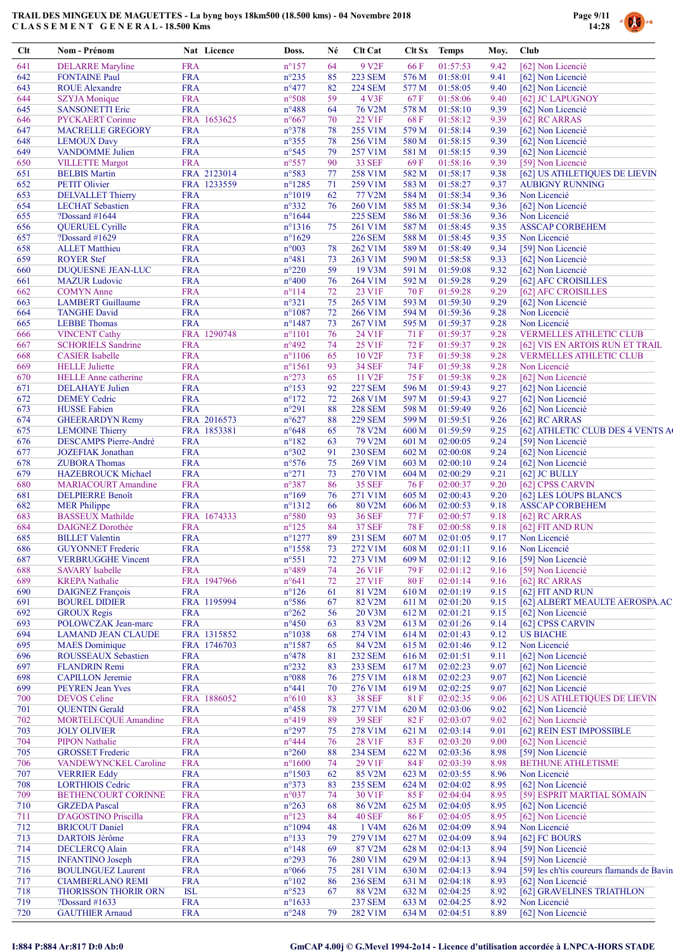

| $Cl$       | Nom - Prénom                                      | Nat Licence               | Doss.                             | Né       | Clt Cat                        |               | Clt Sx Temps         | Moy.         | Club                                       |
|------------|---------------------------------------------------|---------------------------|-----------------------------------|----------|--------------------------------|---------------|----------------------|--------------|--------------------------------------------|
| 641        | <b>DELARRE</b> Maryline                           | <b>FRA</b>                | $n^{\circ}157$                    | 64       | 9 V <sub>2F</sub>              | 66 F          | 01:57:53             | 9.42         | [62] Non Licencié                          |
| 642        | <b>FONTAINE Paul</b>                              | <b>FRA</b>                | $n^{\circ}235$                    | 85       | <b>223 SEM</b>                 | 576 M         | 01:58:01             | 9.41         | [62] Non Licencié                          |
| 643        | <b>ROUE Alexandre</b>                             | <b>FRA</b>                | $n^{\circ}477$                    | 82       | <b>224 SEM</b>                 | 577 M         | 01:58:05             | 9.40         | [62] Non Licencié                          |
| 644        | <b>SZYJA</b> Monique                              | <b>FRA</b>                | n°508                             | 59       | 4 V3F                          | 67 F          | 01:58:06             | 9.40         | [62] JC LAPUGNOY                           |
| 645<br>646 | <b>SANSONETTI Eric</b><br><b>PYCKAERT Corinne</b> | <b>FRA</b><br>FRA 1653625 | $n^{\circ}488$<br>$n^{\circ}667$  | 64<br>70 | 76 V2M<br>22 V1F               | 578 M<br>68 F | 01:58:10<br>01:58:12 | 9.39<br>9.39 | [62] Non Licencié<br>[62] RC ARRAS         |
| 647        | <b>MACRELLE GREGORY</b>                           | <b>FRA</b>                | $n^{\circ}378$                    | 78       | 255 V1M                        | 579 M         | 01:58:14             | 9.39         | [62] Non Licencié                          |
| 648        | <b>LEMOUX Davy</b>                                | <b>FRA</b>                | $n^{\circ}355$                    | 78       | 256 V1M                        | 580 M         | 01:58:15             | 9.39         | [62] Non Licencié                          |
| 649        | <b>VANDOMME</b> Julien                            | <b>FRA</b>                | $n^{\circ}545$                    | 79       | 257 V1M                        | 581 M         | 01:58:15             | 9.39         | [62] Non Licencié                          |
| 650        | <b>VILLETTE Margot</b>                            | <b>FRA</b>                | $n^{\circ}557$                    | 90       | <b>33 SEF</b>                  | 69 F          | 01:58:16             | 9.39         | [59] Non Licencié                          |
| 651        | <b>BELBIS Martin</b>                              | FRA 2123014               | n°583                             | 77       | 258 V1M                        | 582 M         | 01:58:17             | 9.38         | [62] US ATHLETIQUES DE LIEVIN              |
| 652        | <b>PETIT Olivier</b>                              | FRA 1233559               | $n^{\circ}1285$                   | 71       | 259 V1M                        | 583 M         | 01:58:27             | 9.37         | <b>AUBIGNY RUNNING</b>                     |
| 653        | <b>DELVALLET Thierry</b>                          | <b>FRA</b>                | $n^{\circ}1019$                   | 62       | 77 V2M                         | 584 M         | 01:58:34             | 9.36         | Non Licencié                               |
| 654        | <b>LECHAT</b> Sebastien                           | <b>FRA</b>                | $n^{\circ}332$                    | 76       | 260 V1M                        | 585 M         | 01:58:34             | 9.36         | [62] Non Licencié                          |
| 655        | ?Dossard #1644                                    | <b>FRA</b>                | $n^{\circ}1644$                   |          | <b>225 SEM</b>                 | 586 M         | 01:58:36             | 9.36         | Non Licencié                               |
| 656        | <b>QUERUEL Cyrille</b>                            | <b>FRA</b>                | $n^{\circ}1316$                   | 75       | 261 V1M                        | 587 M         | 01:58:45             | 9.35         | <b>ASSCAP CORBEHEM</b>                     |
| 657        | ?Dossard $#1629$                                  | <b>FRA</b>                | $n^{\circ}1629$                   |          | <b>226 SEM</b>                 | 588 M         | 01:58:45             | 9.35         | Non Licencié                               |
| 658        | <b>ALLET Matthieu</b>                             | <b>FRA</b>                | n°003                             | 78       | 262 V1M                        | 589 M         | 01:58:49             | 9.34         | [59] Non Licencié                          |
| 659        | <b>ROYER Stef</b>                                 | <b>FRA</b>                | $n^{\circ}481$                    | 73       | 263 V1M                        | 590 M         | 01:58:58             | 9.33         | [62] Non Licencié                          |
| 660        | <b>DUQUESNE JEAN-LUC</b><br><b>MAZUR</b> Ludovic  | <b>FRA</b>                | $n^{\circ}220$                    | 59       | 19 V3M                         | 591 M         | 01:59:08             | 9.32         | [62] Non Licencié                          |
| 661<br>662 | <b>COMYN</b> Anne                                 | <b>FRA</b><br><b>FRA</b>  | $n^{\circ}400$<br>$n^{\circ}114$  | 76<br>72 | 264 V1M<br>23 V1F              | 592 M<br>70 F | 01:59:28<br>01:59:28 | 9.29<br>9.29 | [62] AFC CROISILLES                        |
| 663        | <b>LAMBERT</b> Guillaume                          | <b>FRA</b>                | $n^{\circ}321$                    | 75       | 265 V1M                        | 593 M         | 01:59:30             | 9.29         | [62] AFC CROISILLES<br>[62] Non Licencié   |
| 664        | <b>TANGHE David</b>                               | <b>FRA</b>                | $n^{\circ}1087$                   | 72       | 266 V1M                        | 594 M         | 01:59:36             | 9.28         | Non Licencié                               |
| 665        | <b>LEBBE</b> Thomas                               | <b>FRA</b>                | $n^{\circ}$ 1487                  | 73       | 267 V1M                        | 595 M         | 01:59:37             | 9.28         | Non Licencié                               |
| 666        | <b>VINCENT Cathy</b>                              | FRA 1290748               | $n^{\circ}1101$                   | 76       | 24 V1F                         | 71 F          | 01:59:37             | 9.28         | <b>VERMELLES ATHLETIC CLUB</b>             |
| 667        | <b>SCHORIELS Sandrine</b>                         | <b>FRA</b>                | $n^{\circ}492$                    | 74       | 25 V1F                         | 72 F          | 01:59:37             | 9.28         | [62] VIS EN ARTOIS RUN ET TRAIL            |
| 668        | <b>CASIER</b> Isabelle                            | <b>FRA</b>                | $n^{\circ}1106$                   | 65       | 10 V <sub>2F</sub>             | 73 F          | 01:59:38             | 9.28         | <b>VERMELLES ATHLETIC CLUB</b>             |
| 669        | <b>HELLE</b> Juliette                             | <b>FRA</b>                | $n^{\circ}1561$                   | 93       | <b>34 SEF</b>                  | 74 F          | 01:59:38             | 9.28         | Non Licencié                               |
| 670        | <b>HELLE</b> Anne catherine                       | FRA                       | $n^{\circ}273$                    | 65       | 11 V <sub>2F</sub>             | 75 F          | 01:59:38             | 9.28         | [62] Non Licencié                          |
| 671        | <b>DELAHAYE</b> Julien                            | <b>FRA</b>                | $n^{\circ}153$                    | 92       | <b>227 SEM</b>                 | 596 M         | 01:59:43             | 9.27         | [62] Non Licencié                          |
| 672        | <b>DEMEY Cedric</b>                               | <b>FRA</b>                | $n^{\circ}172$                    | 72       | 268 V1M                        | 597 M         | 01:59:43             | 9.27         | [62] Non Licencié                          |
| 673        | <b>HUSSE</b> Fabien                               | <b>FRA</b>                | $n^{\circ}291$                    | 88       | <b>228 SEM</b>                 | 598 M         | 01:59:49             | 9.26         | [62] Non Licencié                          |
| 674        | <b>GHEERARDYN Remy</b>                            | FRA 2016573               | $n^{\circ}627$                    | 88       | <b>229 SEM</b>                 | 599 M         | 01:59:51             | 9.26         | [62] RC ARRAS                              |
| 675        | <b>LEMOINE</b> Thierry                            | FRA 1853381               | $n^{\circ}648$                    | 65       | 78 V2M                         | 600 M         | 01:59:59             | 9.25         | [62] ATHLETIC CLUB DES 4 VENTS A           |
| 676        | <b>DESCAMPS Pierre-André</b>                      | <b>FRA</b>                | $n^{\circ}182$                    | 63       | 79 V2M                         | 601 M         | 02:00:05             | 9.24         | [59] Non Licencié                          |
| 677        | <b>JOZEFIAK</b> Jonathan                          | <b>FRA</b>                | $n^{\circ}302$                    | 91       | <b>230 SEM</b>                 | 602 M         | 02:00:08             | 9.24         | [62] Non Licencié                          |
| 678        | <b>ZUBORA Thomas</b>                              | <b>FRA</b>                | $n^{\circ}576$                    | 75       | 269 V1M                        | 603 M         | 02:00:10             | 9.24         | [62] Non Licencié                          |
| 679        | <b>HAZEBROUCK Michael</b>                         | <b>FRA</b>                | $n^{\circ}271$                    | 73       | 270 V1M                        | 604 M         | 02:00:29             | 9.21         | [62] JC BULLY                              |
| 680        | <b>MARIACOURT Amandine</b>                        | <b>FRA</b>                | n°387                             | 86       | <b>35 SEF</b>                  | 76 F          | 02:00:37             | 9.20         | [62] CPSS CARVIN                           |
| 681        | <b>DELPIERRE Benoît</b>                           | <b>FRA</b>                | $n^{\circ}169$                    | 76       | 271 V1M                        | 605 M         | 02:00:43             | 9.20         | [62] LES LOUPS BLANCS                      |
| 682        | <b>MER Philippe</b><br><b>BASSEUX Mathilde</b>    | <b>FRA</b>                | $n^{\circ}1312$                   | 66       | 80 V2M                         | 606 M         | 02:00:53             | 9.18         | <b>ASSCAP CORBEHEM</b>                     |
| 683<br>684 | <b>DAIGNEZ Dorothée</b>                           | FRA 1674333<br><b>FRA</b> | $n^{\circ}580$<br>$n^{\circ}125$  | 93<br>84 | <b>36 SEF</b><br><b>37 SEF</b> | 77 F<br>78F   | 02:00:57<br>02:00:58 | 9.18<br>9.18 | [62] RC ARRAS                              |
| 685        | <b>BILLET</b> Valentin                            | <b>FRA</b>                | $n^{\circ}1277$                   | 89       | <b>231 SEM</b>                 | 607 M         | 02:01:05             | 9.17         | [62] FIT AND RUN<br>Non Licencié           |
| 686        | <b>GUYONNET</b> Frederic                          | <b>FRA</b>                | $n^{\circ}1558$                   | 73       | 272 V1M                        |               | 608 M 02:01:11       | 9.16         | Non Licencié                               |
| 687        | <b>VERBRUGGHE Vincent</b>                         | <b>FRA</b>                | $n^{\circ}551$                    | 72       | 273 V1M                        | 609 M         | 02:01:12             | 9.16         | [59] Non Licencié                          |
| 688        | <b>SAVARY</b> Isabelle                            | <b>FRA</b>                | $n^{\circ}489$                    | 74       | 26 V1F                         | 79 F          | 02:01:12             | 9.16         | [59] Non Licencié                          |
| 689        | <b>KREPA Nathalie</b>                             | FRA 1947966               | $n^{\circ}641$                    | 72       | 27 V1F                         | 80 F          | 02:01:14             | 9.16         | [62] RC ARRAS                              |
| 690        | <b>DAIGNEZ François</b>                           | <b>FRA</b>                | $n^{\circ}126$                    | 61       | 81 V2M                         | 610 M         | 02:01:19             | 9.15         | [62] FIT AND RUN                           |
| 691        | <b>BOUREL DIDIER</b>                              | FRA 1195994               | $n^{\circ}586$                    | 67       | 82 V2M                         | 611 M         | 02:01:20             | 9.15         | [62] ALBERT MEAULTE AEROSPA.AC             |
| 692        | <b>GROUX Regis</b>                                | <b>FRA</b>                | $n^{\circ}262$                    | 56       | 20 V3M                         | 612 M         | 02:01:21             | 9.15         | [62] Non Licencié                          |
| 693        | POLOWCZAK Jean-marc                               | <b>FRA</b>                | $n^{\circ}450$                    | 63       | 83 V2M                         | 613 M         | 02:01:26             | 9.14         | [62] CPSS CARVIN                           |
| 694        | <b>LAMAND JEAN CLAUDE</b>                         | FRA 1315852               | $n^{\circ}1038$                   | 68       | 274 V1M                        | 614 M         | 02:01:43             | 9.12         | <b>US BIACHE</b>                           |
| 695        | <b>MAES</b> Dominique                             | FRA 1746703               | $n^{\circ}1587$                   | 65       | 84 V2M                         | 615 M         | 02:01:46             | 9.12         | Non Licencié                               |
| 696        | ROUSSEAUX Sebastien                               | <b>FRA</b>                | $n^{\circ}478$                    | 81       | <b>232 SEM</b>                 | 616 M         | 02:01:51             | 9.11         | [62] Non Licencié                          |
| 697        | <b>FLANDRIN Remi</b>                              | <b>FRA</b>                | $n^{\circ}232$                    | 83       | <b>233 SEM</b>                 | 617 M         | 02:02:23             | 9.07         | [62] Non Licencié                          |
| 698        | <b>CAPILLON</b> Jeremie                           | <b>FRA</b>                | n°088                             | 76       | 275 V1M                        | 618 M         | 02:02:23             | 9.07         | [62] Non Licencié                          |
| 699        | <b>PEYREN Jean Yves</b>                           | <b>FRA</b>                | $n^{\circ}441$                    | 70       | 276 V1M                        | 619 M         | 02:02:25             | 9.07         | [62] Non Licencié                          |
| 700        | <b>DEVOS</b> Celine                               | FRA 1886052               | $n^{\circ}610$                    | 83       | <b>38 SEF</b>                  | 81 F          | 02:02:35             | 9.06         | [62] US ATHLETIQUES DE LIEVIN              |
| 701        | <b>QUENTIN</b> Gerald                             | <b>FRA</b>                | $n^{\circ}458$                    | 78       | 277 V1M                        | 620 M         | 02:03:06             | 9.02         | [62] Non Licencié                          |
| 702        | <b>MORTELECQUE Amandine</b>                       | <b>FRA</b>                | $n^{\circ}419$                    | 89       | <b>39 SEF</b>                  | 82F           | 02:03:07             | 9.02         | [62] Non Licencié                          |
| 703        | <b>JOLY OLIVIER</b>                               | <b>FRA</b>                | $n^{\circ}297$                    | 75       | 278 V1M                        | 621 M         | 02:03:14             | 9.01         | [62] REIN EST IMPOSSIBLE                   |
| 704        | <b>PIPON Nathalie</b>                             | <b>FRA</b>                | $n^{\circ}444$                    | 76       | 28 V1F                         | 83 F          | 02:03:20             | 9.00         | [62] Non Licencié                          |
| 705        | <b>GROSSET</b> Frederic                           | <b>FRA</b>                | $n^{\circ}260$                    | 88       | <b>234 SEM</b>                 | 622 M         | 02:03:36             | 8.98         | [59] Non Licencié                          |
| 706        | VANDEWYNCKEL Caroline                             | <b>FRA</b>                | $n^{\circ}1600$                   | 74       | 29 V1F                         | 84 F          | 02:03:39             | 8.98         | <b>BETHUNE ATHLETISME</b>                  |
| 707<br>708 | <b>VERRIER Eddy</b><br><b>LORTHIOIS Cedric</b>    | <b>FRA</b><br><b>FRA</b>  | $n^{\circ}1503$<br>$n^{\circ}373$ | 62       | 85 V2M<br><b>235 SEM</b>       | 623 M         | 02:03:55<br>02:04:02 | 8.96         | Non Licencié<br>[62] Non Licencié          |
| 709        | BETHENCOURT CORINNE                               | <b>FRA</b>                | $n^{\circ}037$                    | 83       | 30 V1F                         | 624 M<br>85F  | 02:04:04             | 8.95<br>8.95 | [59] ESPRIT MARTIAL SOMAIN                 |
| 710        | <b>GRZEDA</b> Pascal                              | <b>FRA</b>                | $n^{\circ}263$                    | 74<br>68 | 86 V2M                         | 625 M         | 02:04:05             | 8.95         | [62] Non Licencié                          |
| 711        | D'AGOSTINO Priscilla                              | <b>FRA</b>                | $n^{\circ}123$                    | 84       | <b>40 SEF</b>                  | 86 F          | 02:04:05             | 8.95         | [62] Non Licencié                          |
| 712        | <b>BRICOUT Daniel</b>                             | <b>FRA</b>                | $n^{\circ}1094$                   | 48       | 1 V4M                          | 626 M         | 02:04:09             | 8.94         | Non Licencié                               |
| 713        | <b>DARTOIS Jérôme</b>                             | <b>FRA</b>                | $n^{\circ}133$                    | 79       | 279 V1M                        | 627 M         | 02:04:09             | 8.94         | [62] FC BOURS                              |
| 714        | <b>DECLERCQ Alain</b>                             | <b>FRA</b>                | $n^{\circ}148$                    | 69       | 87 V2M                         | 628 M         | 02:04:13             | 8.94         | [59] Non Licencié                          |
| 715        | <b>INFANTINO</b> Joseph                           | <b>FRA</b>                | $n^{\circ}293$                    | 76       | 280 V1M                        | 629 M         | 02:04:13             | 8.94         | [59] Non Licencié                          |
| 716        | <b>BOULINGUEZ Laurent</b>                         | <b>FRA</b>                | $n^{\circ}066$                    | 75       | 281 V1M                        | 630 M         | 02:04:13             | 8.94         | [59] les ch'tis coureurs flamands de Bavin |
| 717        | <b>CIAMBERLANO REMI</b>                           | <b>FRA</b>                | $n^{\circ}102$                    | 86       | <b>236 SEM</b>                 | 631 M         | 02:04:18             | 8.93         | [62] Non Licencié                          |
| 718        | THORISSON THORIR ORN                              | <b>ISL</b>                | $n^{\circ}523$                    | 67       | 88 V2M                         | 632 M         | 02:04:25             | 8.92         | [62] GRAVELINES TRIATHLON                  |
| 719        | ?Dossard $#1633$                                  | <b>FRA</b>                | $n^{\circ}1633$                   |          | <b>237 SEM</b>                 | 633 M         | 02:04:25             | 8.92         | Non Licencié                               |
| 720        | <b>GAUTHIER Arnaud</b>                            | <b>FRA</b>                | $n^{\circ}248$                    | 79       | 282 V1M                        | 634 M         | 02:04:51             | 8.89         | [62] Non Licencié                          |
|            |                                                   |                           |                                   |          |                                |               |                      |              |                                            |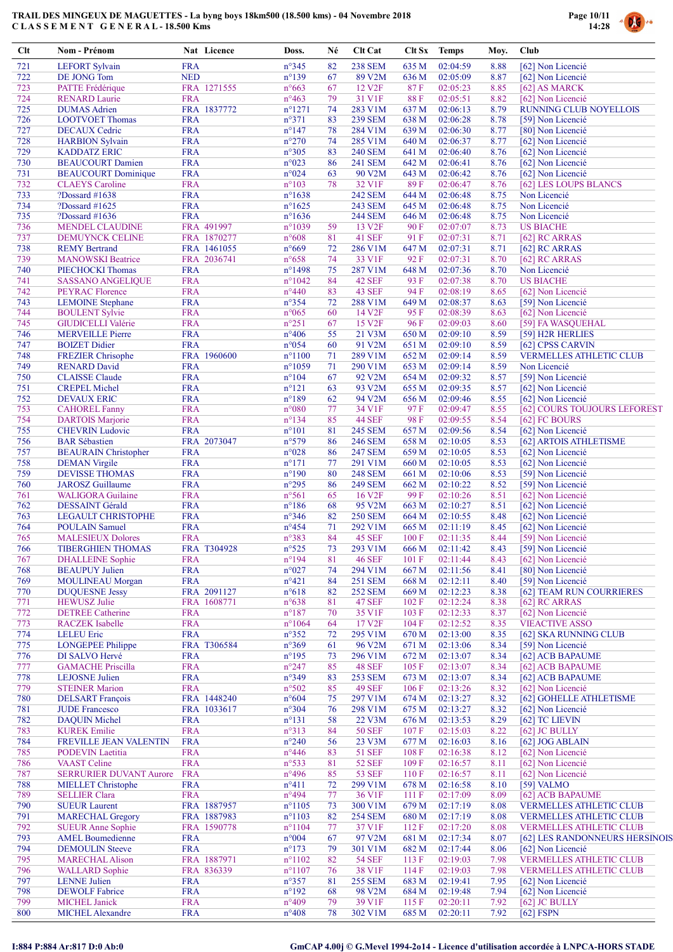

| Clt        | Nom - Prénom                                         | Nat Licence                | Doss.                               | Né       | Clt Cat                       | Clt Sx         | <b>Temps</b>               | Moy.         | Club                                                             |
|------------|------------------------------------------------------|----------------------------|-------------------------------------|----------|-------------------------------|----------------|----------------------------|--------------|------------------------------------------------------------------|
| 721        | <b>LEFORT Sylvain</b>                                | <b>FRA</b>                 | $n^{\circ}345$                      | 82       | <b>238 SEM</b>                | 635 M          | 02:04:59                   | 8.88         | [62] Non Licencié                                                |
| 722        | DE JONG Tom                                          | <b>NED</b>                 | $n^{\circ}139$                      | 67       | 89 V2M                        | 636 M          | 02:05:09                   | 8.87         | [62] Non Licencié                                                |
| 723        | PATTE Frédérique                                     | FRA 1271555                | $n^{\circ}663$                      | 67       | 12 V <sub>2F</sub>            | 87F            | 02:05:23                   | 8.85         | [62] AS MARCK                                                    |
| 724        | <b>RENARD Laurie</b>                                 | <b>FRA</b>                 | $n^{\circ}463$                      | 79       | 31 V1F                        | 88F            | 02:05:51                   | 8.82         | [62] Non Licencié<br><b>RUNNING CLUB NOYELLOIS</b>               |
| 725<br>726 | <b>DUMAS</b> Adrien<br><b>LOOTVOET Thomas</b>        | FRA 1837772<br><b>FRA</b>  | $n^{\circ}1271$<br>$n^{\circ}371$   | 74<br>83 | 283 V1M<br><b>239 SEM</b>     | 637 M<br>638 M | 02:06:13<br>02:06:28       | 8.79<br>8.78 | [59] Non Licencié                                                |
| 727        | <b>DECAUX Cedric</b>                                 | <b>FRA</b>                 | $n^{\circ}147$                      | 78       | 284 V1M                       | 639 M          | 02:06:30                   | 8.77         | [80] Non Licencié                                                |
| 728        | <b>HARBION Sylvain</b>                               | <b>FRA</b>                 | $n^{\circ}270$                      | 74       | 285 V1M                       | 640 M          | 02:06:37                   | 8.77         | [62] Non Licencié                                                |
| 729        | <b>KADDATZ ERIC</b>                                  | <b>FRA</b>                 | $n^{\circ}305$                      | 83       | <b>240 SEM</b>                | 641 M          | 02:06:40                   | 8.76         | [62] Non Licencié                                                |
| 730        | <b>BEAUCOURT Damien</b>                              | <b>FRA</b>                 | $n^{\circ}023$                      | 86       | <b>241 SEM</b>                | 642 M          | 02:06:41                   | 8.76         | [62] Non Licencié                                                |
| 731        | <b>BEAUCOURT</b> Dominique                           | <b>FRA</b>                 | $n^{\circ}024$                      | 63       | 90 V2M                        | 643 M          | 02:06:42                   | 8.76         | [62] Non Licencié                                                |
| 732<br>733 | <b>CLAEYS</b> Caroline                               | <b>FRA</b><br><b>FRA</b>   | $n^{\circ}103$<br>$n^{\circ}1638$   | 78       | 32 V1F<br><b>242 SEM</b>      | 89F<br>644 M   | 02:06:47<br>02:06:48       | 8.76<br>8.75 | [62] LES LOUPS BLANCS<br>Non Licencié                            |
| 734        | ?Dossard $\#1638$<br>?Dossard #1625                  | <b>FRA</b>                 | $n^{\circ}1625$                     |          | <b>243 SEM</b>                | 645 M          | 02:06:48                   | 8.75         | Non Licencié                                                     |
| 735        | ?Dossard $\#1636$                                    | <b>FRA</b>                 | $n^{\circ}1636$                     |          | <b>244 SEM</b>                | 646 M          | 02:06:48                   | 8.75         | Non Licencié                                                     |
| 736        | <b>MENDEL CLAUDINE</b>                               | FRA 491997                 | $n^{\circ}1039$                     | 59       | 13 V <sub>2F</sub>            | 90F            | 02:07:07                   | 8.73         | <b>US BIACHE</b>                                                 |
| 737        | DEMUYNCK CELINE                                      | FRA 1870277                | $n^{\circ}608$                      | 81       | 41 SEF                        | 91 F           | 02:07:31                   | 8.71         | [62] RC ARRAS                                                    |
| 738        | <b>REMY Bertrand</b>                                 | FRA 1461055                | $n^{\circ}669$                      | 72       | 286 V1M                       | 647 M          | 02:07:31                   | 8.71         | $[62]$ RC ARRAS                                                  |
| 739<br>740 | <b>MANOWSKI</b> Beatrice                             | FRA 2036741                | $n^{\circ}658$                      | 74       | 33 V1F                        | 92 F           | 02:07:31                   | 8.70         | [62] RC ARRAS                                                    |
| 741        | PIECHOCKI Thomas<br><b>SASSANO ANGELIQUE</b>         | <b>FRA</b><br><b>FRA</b>   | $n^{\circ}$ 1498<br>$n^{\circ}1042$ | 75<br>84 | 287 V1M<br>42 SEF             | 648 M<br>93 F  | 02:07:36<br>02:07:38       | 8.70<br>8.70 | Non Licencié<br><b>US BIACHE</b>                                 |
| 742        | <b>PEYRAC Florence</b>                               | <b>FRA</b>                 | $n^{\circ}440$                      | 83       | 43 SEF                        | 94 F           | 02:08:19                   | 8.65         | [62] Non Licencié                                                |
| 743        | <b>LEMOINE</b> Stephane                              | <b>FRA</b>                 | $n^{\circ}354$                      | 72       | 288 V1M                       | 649 M          | 02:08:37                   | 8.63         | [59] Non Licencié                                                |
| 744        | <b>BOULENT Sylvie</b>                                | <b>FRA</b>                 | $n^{\circ}065$                      | 60       | 14 V <sub>2F</sub>            | 95 F           | 02:08:39                   | 8.63         | [62] Non Licencié                                                |
| 745        | <b>GIUDICELLI Valérie</b>                            | <b>FRA</b>                 | $n^{\circ}251$                      | 67       | 15 V <sub>2F</sub>            | 96 F           | 02:09:03                   | 8.60         | [59] FA WASQUEHAL                                                |
| 746        | <b>MERVEILLE Pierre</b>                              | <b>FRA</b>                 | $n^{\circ}406$                      | 55       | 21 V3M                        | 650 M          | 02:09:10                   | 8.59         | [59] H2R HERLIES                                                 |
| 747        | <b>BOIZET Didier</b>                                 | <b>FRA</b>                 | $n^{\circ}054$                      | 60       | 91 V2M                        | 651 M          | 02:09:10                   | 8.59         | [62] CPSS CARVIN                                                 |
| 748<br>749 | <b>FREZIER</b> Chrisophe<br><b>RENARD David</b>      | FRA 1960600<br><b>FRA</b>  | $n^{\circ}1100$<br>$n^{\circ}1059$  | 71<br>71 | 289 V1M<br>290 V1M            | 652 M          | 02:09:14<br>02:09:14       | 8.59<br>8.59 | <b>VERMELLES ATHLETIC CLUB</b><br>Non Licencié                   |
| 750        | <b>CLAISSE</b> Claude                                | <b>FRA</b>                 | $n^{\circ}104$                      | 67       | 92 V2M                        | 653 M<br>654 M | 02:09:32                   | 8.57         | [59] Non Licencié                                                |
| 751        | <b>CREPEL Michel</b>                                 | <b>FRA</b>                 | $n^{\circ}121$                      | 63       | 93 V2M                        | 655 M          | 02:09:35                   | 8.57         | [62] Non Licencié                                                |
| 752        | <b>DEVAUX ERIC</b>                                   | <b>FRA</b>                 | $n^{\circ}189$                      | 62       | 94 V2M                        | 656 M          | 02:09:46                   | 8.55         | [62] Non Licencié                                                |
| 753        | <b>CAHOREL Fanny</b>                                 | <b>FRA</b>                 | $n^{\circ}080$                      | 77       | 34 V1F                        | 97 F           | 02:09:47                   | 8.55         | [62] COURS TOUJOURS LEFOREST                                     |
| 754        | <b>DARTOIS Marjorie</b>                              | <b>FRA</b>                 | $n^{\circ}134$                      | 85       | <b>44 SEF</b>                 | 98F            | 02:09:55                   | 8.54         | [62] FC BOURS                                                    |
| 755        | <b>CHEVRIN Ludovic</b>                               | <b>FRA</b>                 | $n^{\circ}101$                      | 81       | <b>245 SEM</b>                | 657 M          | 02:09:56                   | 8.54         | [62] Non Licencié                                                |
| 756        | <b>BAR</b> Sébastien                                 | FRA 2073047                | n°579                               | 86       | <b>246 SEM</b>                | 658 M          | 02:10:05                   | 8.53         | [62] ARTOIS ATHLETISME                                           |
| 757<br>758 | <b>BEAURAIN</b> Christopher                          | <b>FRA</b><br><b>FRA</b>   | $n^{\circ}028$<br>$n^{\circ}171$    | 86<br>77 | <b>247 SEM</b><br>291 V1M     | 659 M          | 02:10:05<br>02:10:05       | 8.53<br>8.53 | [62] Non Licencié                                                |
| 759        | <b>DEMAN Virgile</b><br><b>DEVISSE THOMAS</b>        | <b>FRA</b>                 | $n^{\circ}190$                      | 80       | <b>248 SEM</b>                | 660 M<br>661 M | 02:10:06                   | 8.53         | [62] Non Licencié<br>[59] Non Licencié                           |
| 760        | <b>JAROSZ</b> Guillaume                              | <b>FRA</b>                 | $n^{\circ}295$                      | 86       | <b>249 SEM</b>                | 662 M          | 02:10:22                   | 8.52         | [59] Non Licencié                                                |
| 761        | <b>WALIGORA</b> Guilaine                             | <b>FRA</b>                 | $n^{\circ}561$                      | 65       | 16 V <sub>2F</sub>            | 99 F           | 02:10:26                   | 8.51         | [62] Non Licencié                                                |
| 762        | <b>DESSAINT Gérald</b>                               | <b>FRA</b>                 | $n^{\circ}186$                      | 68       | 95 V2M                        | 663 M          | 02:10:27                   | 8.51         | [62] Non Licencié                                                |
| 763        | LEGAULT CHRISTOPHE                                   | <b>FRA</b>                 | $n^{\circ}346$                      | 82       | <b>250 SEM</b>                | 664 M          | 02:10:55                   | 8.48         | [62] Non Licencié                                                |
| 764        | <b>POULAIN Samuel</b>                                | <b>FRA</b>                 | $n^{\circ}454$                      | 71       | 292 V1M                       | 665 M          | 02:11:19                   | 8.45         | [62] Non Licencié                                                |
| 765<br>766 | <b>MALESIEUX Dolores</b><br><b>TIBERGHIEN THOMAS</b> | <b>FRA</b><br>FRA T304928  | n°383<br>$n^{\circ}525$             | 84<br>73 | <b>45 SEF</b><br>293 V1M      | 100 F          | 02:11:35<br>666 M 02:11:42 | 8.44         | [59] Non Licencié<br>8.43 [59] Non Licencié                      |
| 767        | <b>DHALLEINE</b> Sophie                              | <b>FRA</b>                 | $n^{\circ}194$                      | 81       | <b>46 SEF</b>                 | 101 F          | 02:11:44                   | 8.43         | [62] Non Licencié                                                |
| 768        | <b>BEAUPUY</b> Julien                                | <b>FRA</b>                 | $n^{\circ}027$                      | 74       | 294 V1M                       | 667 M          | 02:11:56                   | 8.41         | [80] Non Licencié                                                |
| 769        | <b>MOULINEAU Morgan</b>                              | <b>FRA</b>                 | $n^{\circ}421$                      | 84       | <b>251 SEM</b>                | 668 M          | 02:12:11                   | 8.40         | [59] Non Licencié                                                |
| 770        | <b>DUQUESNE Jessy</b>                                | FRA 2091127                | $n^{\circ}618$                      | 82       | <b>252 SEM</b>                | 669 M          | 02:12:23                   | 8.38         | [62] TEAM RUN COURRIERES                                         |
| 771        | <b>HEWUSZ</b> Julie                                  | FRA 1608771                | $n^{\circ}638$                      | 81       | <b>47 SEF</b>                 | 102 F          | 02:12:24                   | 8.38         | [62] RC ARRAS                                                    |
| 772        | <b>DETREE Catherine</b>                              | <b>FRA</b>                 | $n^{\circ}187$                      | 70       | 35 V1F                        | 103 F          | 02:12:33                   | 8.37         | [62] Non Licencié                                                |
| 773<br>774 | <b>RACZEK</b> Isabelle<br><b>LELEU Eric</b>          | <b>FRA</b><br><b>FRA</b>   | $n^{\circ}1064$<br>$n^{\circ}352$   | 64<br>72 | 17 V <sub>2F</sub><br>295 V1M | 104 F<br>670 M | 02:12:52<br>02:13:00       | 8.35<br>8.35 | <b>VIEACTIVE ASSO</b><br>[62] SKA RUNNING CLUB                   |
| 775        | <b>LONGEPEE Philippe</b>                             | FRA T306584                | $n^{\circ}369$                      | 61       | 96 V2M                        | 671 M          | 02:13:06                   | 8.34         | [59] Non Licencié                                                |
| 776        | DI SALVO Hervé                                       | <b>FRA</b>                 | $n^{\circ}195$                      | 73       | 296 V1M                       | 672 M          | 02:13:07                   | 8.34         | [62] ACB BAPAUME                                                 |
| 777        | <b>GAMACHE Priscilla</b>                             | <b>FRA</b>                 | $n^{\circ}247$                      | 85       | <b>48 SEF</b>                 | 105 F          | 02:13:07                   | 8.34         | [62] ACB BAPAUME                                                 |
| 778        | <b>LEJOSNE</b> Julien                                | <b>FRA</b>                 | $n^{\circ}349$                      | 83       | <b>253 SEM</b>                | 673 M          | 02:13:07                   | 8.34         | [62] ACB BAPAUME                                                 |
| 779        | <b>STEINER Marion</b>                                | <b>FRA</b>                 | $n^{\circ}502$                      | 85       | <b>49 SEF</b>                 | 106 F          | 02:13:26                   | 8.32         | [62] Non Licencié                                                |
| 780        | <b>DELSART</b> François                              | FRA 1448240                | $n^{\circ}604$                      | 75       | 297 V1M                       | 674 M          | 02:13:27                   | 8.32         | [62] GOHELLE ATHLETISME                                          |
| 781<br>782 | <b>JUDE</b> Francesco<br><b>DAQUIN Michel</b>        | FRA 1033617<br><b>FRA</b>  | $n^{\circ}304$<br>$n^{\circ}131$    | 76       | 298 V1M<br>22 V3M             | 675 M<br>676 M | 02:13:27<br>02:13:53       | 8.32<br>8.29 | [62] Non Licencié<br>[62] TC LIEVIN                              |
| 783        | <b>KUREK</b> Emilie                                  | <b>FRA</b>                 | $n^{\circ}313$                      | 58<br>84 | <b>50 SEF</b>                 | 107 F          | 02:15:03                   | 8.22         | [62] JC BULLY                                                    |
| 784        | FREVILLE JEAN VALENTIN                               | <b>FRA</b>                 | $n^{\circ}240$                      | 56       | 23 V3M                        | 677 M          | 02:16:03                   | 8.16         | [62] JOG ABLAIN                                                  |
| 785        | <b>PODEVIN</b> Laetitia                              | <b>FRA</b>                 | $n^{\circ}446$                      | 83       | <b>51 SEF</b>                 | 108F           | 02:16:38                   | 8.12         | [62] Non Licencié                                                |
| 786        | <b>VAAST Celine</b>                                  | <b>FRA</b>                 | $n^{\circ}533$                      | 81       | <b>52 SEF</b>                 | 109F           | 02:16:57                   | 8.11         | [62] Non Licencié                                                |
| 787        | <b>SERRURIER DUVANT Aurore</b>                       | <b>FRA</b>                 | $n^{\circ}496$                      | 85       | <b>53 SEF</b>                 | 110F           | 02:16:57                   | 8.11         | [62] Non Licencié                                                |
| 788        | <b>MIELLET</b> Christophe                            | <b>FRA</b>                 | $n^{\circ}411$                      | 72       | 299 V1M                       | 678 M          | 02:16:58                   | 8.10         | [59] VALMO                                                       |
| 789        | <b>SELLIER Clara</b>                                 | <b>FRA</b>                 | $n^{\circ}494$                      | 77       | 36 V1F                        | 111 F          | 02:17:09                   | 8.09         | [62] ACB BAPAUME                                                 |
| 790<br>791 | <b>SUEUR Laurent</b><br><b>MARECHAL Gregory</b>      | FRA 1887957<br>FRA 1887983 | $n^{\circ}1105$<br>$n^{\circ}1103$  | 73<br>82 | 300 V1M<br><b>254 SEM</b>     | 679 M<br>680 M | 02:17:19<br>02:17:19       | 8.08<br>8.08 | <b>VERMELLES ATHLETIC CLUB</b><br><b>VERMELLES ATHLETIC CLUB</b> |
| 792        | <b>SUEUR Anne Sophie</b>                             | FRA 1590778                | $n^{\circ}1104$                     | 77       | 37 V1F                        | 112F           | 02:17:20                   | 8.08         | <b>VERMELLES ATHLETIC CLUB</b>                                   |
| 793        | <b>AMEL Boumedienne</b>                              | <b>FRA</b>                 | $n^{\circ}004$                      | 67       | 97 V2M                        | 681 M          | 02:17:34                   | 8.07         | [62] LES RANDONNEURS HERSINOIS                                   |
| 794        | <b>DEMOULIN Steeve</b>                               | <b>FRA</b>                 | $n^{\circ}173$                      | 79       | 301 V1M                       | 682 M          | 02:17:44                   | 8.06         | [62] Non Licencié                                                |
| 795        | <b>MARECHAL Alison</b>                               | FRA 1887971                | $n^{\circ}1102$                     | 82       | <b>54 SEF</b>                 | 113F           | 02:19:03                   | 7.98         | VERMELLES ATHLETIC CLUB                                          |
| 796        | <b>WALLARD</b> Sophie                                | FRA 836339                 | $n^{\circ}1107$                     | 76       | 38 V1F                        | 114 F          | 02:19:03                   | 7.98         | <b>VERMELLES ATHLETIC CLUB</b>                                   |
| 797        | <b>LENNE Julien</b>                                  | <b>FRA</b>                 | $n^{\circ}357$                      | 81       | <b>255 SEM</b>                | 683 M          | 02:19:41                   | 7.95         | [62] Non Licencié                                                |
| 798<br>799 | <b>DEWOLF</b> Fabrice<br><b>MICHEL Janick</b>        | <b>FRA</b><br><b>FRA</b>   | $n^{\circ}192$<br>$n^{\circ}409$    | 68<br>79 | 98 V2M<br>39 V1F              | 684 M<br>115F  | 02:19:48<br>02:20:11       | 7.94<br>7.92 | [62] Non Licencié<br>[62] JC BULLY                               |
| 800        | <b>MICHEL Alexandre</b>                              | <b>FRA</b>                 | $n^{\circ}408$                      | 78       | 302 V1M                       | 685 M          | 02:20:11                   | 7.92         | $[62]$ FSPN                                                      |
|            |                                                      |                            |                                     |          |                               |                |                            |              |                                                                  |